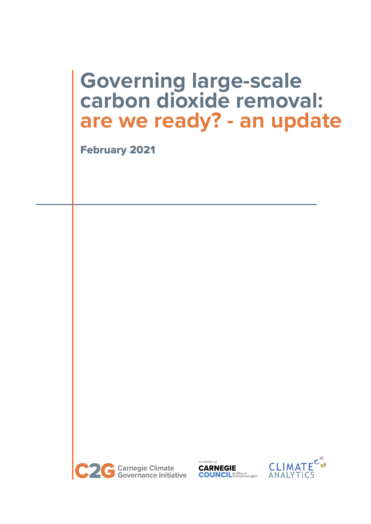# **Governing large-scale carbon dioxide removal: are we ready? - an update**

February 2021





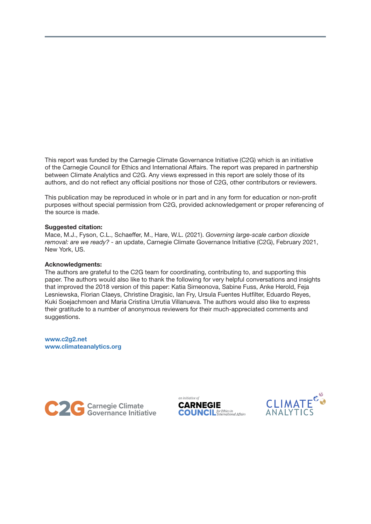This report was funded by the Carnegie Climate Governance Initiative (C2G) which is an initiative of the Carnegie Council for Ethics and International Affairs. The report was prepared in partnership between Climate Analytics and C2G. Any views expressed in this report are solely those of its authors, and do not reflect any official positions nor those of C2G, other contributors or reviewers.

This publication may be reproduced in whole or in part and in any form for education or non-profit purposes without special permission from C2G, provided acknowledgement or proper referencing of the source is made.

### Suggested citation:

Mace, M.J., Fyson, C.L., Schaeffer, M., Hare, W.L. (2021). *Governing large-scale carbon dioxide removal: are we ready?* - an update, Carnegie Climate Governance Initiative (C2G), February 2021, New York, US.

#### Acknowledgments:

The authors are grateful to the C2G team for coordinating, contributing to, and supporting this paper. The authors would also like to thank the following for very helpful conversations and insights that improved the 2018 version of this paper: Katia Simeonova, Sabine Fuss, Anke Herold, Feja Lesniewska, Florian Claeys, Christine Dragisic, Ian Fry, Ursula Fuentes Hutfilter, Eduardo Reyes, Kuki Soejachmoen and Maria Cristina Urrutia Villanueva. The authors would also like to express their gratitude to a number of anonymous reviewers for their much-appreciated comments and suggestions.

www.c2g2.net www.climateanalytics.org





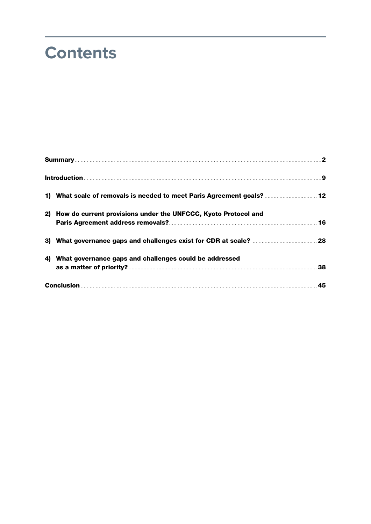# **Contents**

| Summary <b>Executive Constitution of the Constitution Constitution of the Constitution Constitution of the Constitution Constitution of American Constitution of American Constitution of American Constitution of American Cons</b> |  |
|--------------------------------------------------------------------------------------------------------------------------------------------------------------------------------------------------------------------------------------|--|
|                                                                                                                                                                                                                                      |  |
| 12 What scale of removals is needed to meet Paris Agreement goals?  12                                                                                                                                                               |  |
| 2) How do current provisions under the UNFCCC, Kyoto Protocol and                                                                                                                                                                    |  |
|                                                                                                                                                                                                                                      |  |
| 4) What governance gaps and challenges could be addressed                                                                                                                                                                            |  |
|                                                                                                                                                                                                                                      |  |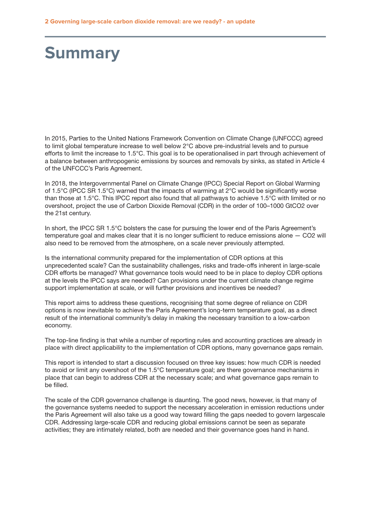# <span id="page-3-0"></span>**Summary**

In 2015, Parties to the United Nations Framework Convention on Climate Change (UNFCCC) agreed to limit global temperature increase to well below 2°C above pre-industrial levels and to pursue efforts to limit the increase to 1.5°C. This goal is to be operationalised in part through achievement of a balance between anthropogenic emissions by sources and removals by sinks, as stated in Article 4 of the UNFCCC's Paris Agreement.

In 2018, the Intergovernmental Panel on Climate Change (IPCC) Special Report on Global Warming of 1.5°C (IPCC SR 1.5°C) warned that the impacts of warming at 2°C would be significantly worse than those at 1.5°C. This IPCC report also found that all pathways to achieve 1.5°C with limited or no overshoot, project the use of Carbon Dioxide Removal (CDR) in the order of 100–1000 GtCO2 over the 21st century.

In short, the IPCC SR 1.5°C bolsters the case for pursuing the lower end of the Paris Agreement's temperature goal and makes clear that it is no longer sufficient to reduce emissions alone — CO2 will also need to be removed from the atmosphere, on a scale never previously attempted.

Is the international community prepared for the implementation of CDR options at this unprecedented scale? Can the sustainability challenges, risks and trade-offs inherent in large-scale CDR efforts be managed? What governance tools would need to be in place to deploy CDR options at the levels the IPCC says are needed? Can provisions under the current climate change regime support implementation at scale, or will further provisions and incentives be needed?

This report aims to address these questions, recognising that some degree of reliance on CDR options is now inevitable to achieve the Paris Agreement's long-term temperature goal, as a direct result of the international community's delay in making the necessary transition to a low-carbon economy.

The top-line finding is that while a number of reporting rules and accounting practices are already in place with direct applicability to the implementation of CDR options, many governance gaps remain.

This report is intended to start a discussion focused on three key issues: how much CDR is needed to avoid or limit any overshoot of the 1.5°C temperature goal; are there governance mechanisms in place that can begin to address CDR at the necessary scale; and what governance gaps remain to be filled.

The scale of the CDR governance challenge is daunting. The good news, however, is that many of the governance systems needed to support the necessary acceleration in emission reductions under the Paris Agreement will also take us a good way toward filling the gaps needed to govern largescale CDR. Addressing large-scale CDR and reducing global emissions cannot be seen as separate activities; they are intimately related, both are needed and their governance goes hand in hand.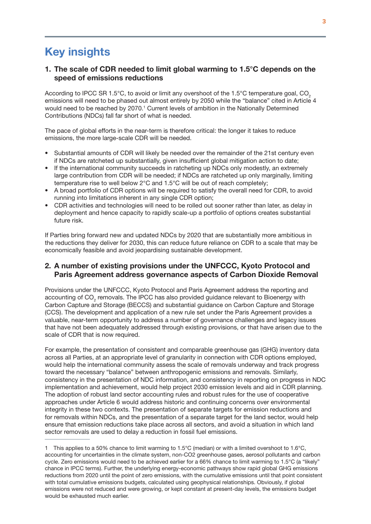# **Key insights**

## 1. The scale of CDR needed to limit global warming to 1.5°C depends on the speed of emissions reductions

According to IPCC SR 1.5 $^{\circ}$ C, to avoid or limit any overshoot of the 1.5 $^{\circ}$ C temperature goal, CO<sub>2</sub> emissions will need to be phased out almost entirely by 2050 while the "balance" cited in Article 4 would need to be reached by 2070.<sup>1</sup> Current levels of ambition in the Nationally Determined Contributions (NDCs) fall far short of what is needed.

The pace of global efforts in the near-term is therefore critical: the longer it takes to reduce emissions, the more large-scale CDR will be needed.

- Substantial amounts of CDR will likely be needed over the remainder of the 21st century even if NDCs are ratcheted up substantially, given insufficient global mitigation action to date;
- If the international community succeeds in ratcheting up NDCs only modestly, an extremely large contribution from CDR will be needed; if NDCs are ratcheted up only marginally, limiting temperature rise to well below 2°C and 1.5°C will be out of reach completely;
- A broad portfolio of CDR options will be required to satisfy the overall need for CDR, to avoid running into limitations inherent in any single CDR option;
- CDR activities and technologies will need to be rolled out sooner rather than later, as delay in deployment and hence capacity to rapidly scale-up a portfolio of options creates substantial future risk.

If Parties bring forward new and updated NDCs by 2020 that are substantially more ambitious in the reductions they deliver for 2030, this can reduce future reliance on CDR to a scale that may be economically feasible and avoid jeopardising sustainable development.

## 2. A number of existing provisions under the UNFCCC, Kyoto Protocol and Paris Agreement address governance aspects of Carbon Dioxide Removal

Provisions under the UNFCCC, Kyoto Protocol and Paris Agreement address the reporting and accounting of CO<sub>2</sub> removals. The IPCC has also provided guidance relevant to Bioenergy with Carbon Capture and Storage (BECCS) and substantial guidance on Carbon Capture and Storage (CCS). The development and application of a new rule set under the Paris Agreement provides a valuable, near-term opportunity to address a number of governance challenges and legacy issues that have not been adequately addressed through existing provisions, or that have arisen due to the scale of CDR that is now required.

For example, the presentation of consistent and comparable greenhouse gas (GHG) inventory data across all Parties, at an appropriate level of granularity in connection with CDR options employed, would help the international community assess the scale of removals underway and track progress toward the necessary "balance" between anthropogenic emissions and removals. Similarly, consistency in the presentation of NDC information, and consistency in reporting on progress in NDC implementation and achievement, would help project 2030 emission levels and aid in CDR planning. The adoption of robust land sector accounting rules and robust rules for the use of cooperative approaches under Article 6 would address historic and continuing concerns over environmental integrity in these two contexts. The presentation of separate targets for emission reductions and for removals within NDCs, and the presentation of a separate target for the land sector, would help ensure that emission reductions take place across all sectors, and avoid a situation in which land sector removals are used to delay a reduction in fossil fuel emissions.

<sup>1</sup> This applies to a 50% chance to limit warming to 1.5°C (median) or with a limited overshoot to 1.6°C, accounting for uncertainties in the climate system, non-CO2 greenhouse gases, aerosol pollutants and carbon cycle. Zero emissions would need to be achieved earlier for a 66% chance to limit warming to 1.5°C (a "likely" chance in IPCC terms). Further, the underlying energy-economic pathways show rapid global GHG emissions reductions from 2020 until the point of zero emissions, with the cumulative emissions until that point consistent with total cumulative emissions budgets, calculated using geophysical relationships. Obviously, if global emissions were not reduced and were growing, or kept constant at present-day levels, the emissions budget would be exhausted much earlier.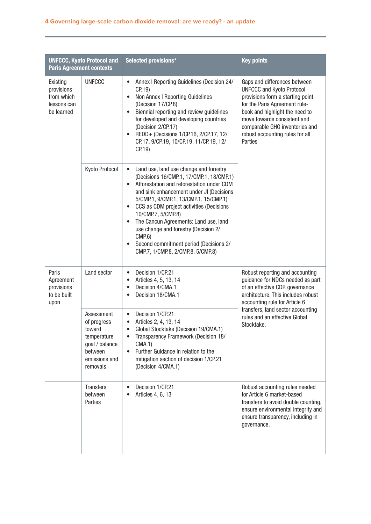| <b>UNFCCC, Kyoto Protocol and</b><br><b>Paris Agreement contexts</b> |                                                                                                              | Selected provisions*                                                                                                                                                                                                                                                                                                                                                                                                                                                                                                | <b>Key points</b>                                                                                                                                                                                                                                                                      |
|----------------------------------------------------------------------|--------------------------------------------------------------------------------------------------------------|---------------------------------------------------------------------------------------------------------------------------------------------------------------------------------------------------------------------------------------------------------------------------------------------------------------------------------------------------------------------------------------------------------------------------------------------------------------------------------------------------------------------|----------------------------------------------------------------------------------------------------------------------------------------------------------------------------------------------------------------------------------------------------------------------------------------|
| Existing<br>provisions<br>from which<br>lessons can<br>be learned    | <b>UNFCCC</b>                                                                                                | Annex I Reporting Guidelines (Decision 24/<br>CP.19<br>Non Annex I Reporting Guidelines<br>(Decision 17/CP.8)<br>Biennial reporting and review guidelines<br>$\bullet$<br>for developed and developing countries<br>(Decision 2/CP.17)<br>REDD+ (Decisions 1/CP.16, 2/CP.17, 12/<br>$\bullet$<br>CP.17, 9/CP.19, 10/CP.19, 11/CP.19, 12/<br>CP.19                                                                                                                                                                   | Gaps and differences between<br><b>UNFCCC and Kyoto Protocol</b><br>provisions form a starting point<br>for the Paris Agreement rule-<br>book and highlight the need to<br>move towards consistent and<br>comparable GHG inventories and<br>robust accounting rules for all<br>Parties |
|                                                                      | Kyoto Protocol                                                                                               | Land use, land use change and forestry<br>$\bullet$<br>(Decisions 16/CMP.1, 17/CMP.1, 18/CMP.1)<br>Afforestation and reforestation under CDM<br>$\bullet$<br>and sink enhancement under JI (Decisions<br>5/CMP.1, 9/CMP.1, 13/CMP.1, 15/CMP.1)<br>CCS as CDM project activities (Decisions<br>$\bullet$<br>10/CMP.7, 5/CMP.8)<br>The Cancun Agreements: Land use, land<br>$\bullet$<br>use change and forestry (Decision 2/<br>CMP.6<br>Second commitment period (Decisions 2/<br>CMP.7, 1/CMP.8, 2/CMP.8, 5/CMP.8) |                                                                                                                                                                                                                                                                                        |
| Paris<br>Agreement<br>provisions<br>to be built<br>upon              | Land sector                                                                                                  | Decision 1/CP.21<br>$\bullet$<br>Articles 4, 5, 13, 14<br>$\bullet$<br>Decision 4/CMA.1<br>Decision 18/CMA.1                                                                                                                                                                                                                                                                                                                                                                                                        | Robust reporting and accounting<br>guidance for NDCs needed as part<br>of an effective CDR governance<br>architecture. This includes robust<br>accounting rule for Article 6                                                                                                           |
|                                                                      | Assessment<br>of progress<br>toward<br>temperature<br>goal / balance<br>between<br>emissions and<br>removals | Decision 1/CP.21<br>$\bullet$<br>Articles 2, 4, 13, 14<br>Global Stocktake (Decision 19/CMA.1)<br>Transparency Framework (Decision 18/<br>CMA.1)<br>Further Guidance in relation to the<br>mitigation section of decision 1/CP.21<br>(Decision 4/CMA.1)                                                                                                                                                                                                                                                             | transfers, land sector accounting<br>rules and an effective Global<br>Stocktake.                                                                                                                                                                                                       |
|                                                                      | <b>Transfers</b><br>between<br>Parties                                                                       | Decision 1/CP.21<br>$\bullet$<br>Articles 4, 6, 13                                                                                                                                                                                                                                                                                                                                                                                                                                                                  | Robust accounting rules needed<br>for Article 6 market-based<br>transfers to avoid double counting,<br>ensure environmental integrity and<br>ensure transparency, including in<br>governance.                                                                                          |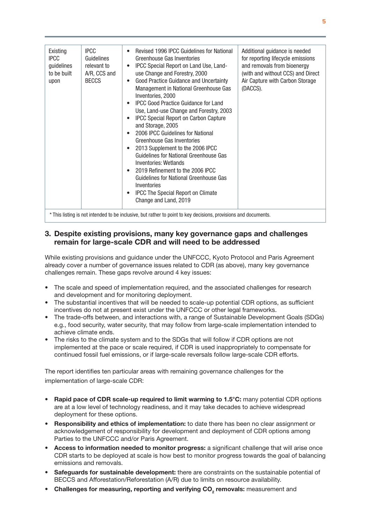| <b>IPCC</b><br>Existing<br><b>IPCC</b><br>Guidelines<br>guidelines<br>relevant to<br>to be built<br><b>BECCS</b><br>upon | A/R, CCS and<br>$\bullet$<br>٠<br>٠<br>$\bullet$<br>Inventories | Revised 1996 IPCC Guidelines for National<br>Greenhouse Gas Inventories<br>IPCC Special Report on Land Use, Land-<br>use Change and Forestry, 2000<br>Good Practice Guidance and Uncertainty<br>Management in National Greenhouse Gas<br>Inventories, 2000<br><b>IPCC Good Practice Guidance for Land</b><br>Use, Land-use Change and Forestry, 2003<br><b>IPCC Special Report on Carbon Capture</b><br>and Storage, 2005<br>2006 IPCC Guidelines for National<br>Greenhouse Gas Inventories<br>2013 Supplement to the 2006 IPCC<br>Guidelines for National Greenhouse Gas<br>Inventories: Wetlands<br>2019 Refinement to the 2006 IPCC<br>Guidelines for National Greenhouse Gas<br><b>IPCC The Special Report on Climate</b><br>Change and Land, 2019 | Additional guidance is needed<br>for reporting lifecycle emissions<br>and removals from bioenergy<br>(with and without CCS) and Direct<br>Air Capture with Carbon Storage<br>(DACCS). |  |  |
|--------------------------------------------------------------------------------------------------------------------------|-----------------------------------------------------------------|---------------------------------------------------------------------------------------------------------------------------------------------------------------------------------------------------------------------------------------------------------------------------------------------------------------------------------------------------------------------------------------------------------------------------------------------------------------------------------------------------------------------------------------------------------------------------------------------------------------------------------------------------------------------------------------------------------------------------------------------------------|---------------------------------------------------------------------------------------------------------------------------------------------------------------------------------------|--|--|
| * This listing is not intended to be inclusive, but rather to point to key decisions, provisions and documents.          |                                                                 |                                                                                                                                                                                                                                                                                                                                                                                                                                                                                                                                                                                                                                                                                                                                                         |                                                                                                                                                                                       |  |  |

## 3. Despite existing provisions, many key governance gaps and challenges remain for large-scale CDR and will need to be addressed

While existing provisions and guidance under the UNFCCC, Kyoto Protocol and Paris Agreement already cover a number of governance issues related to CDR (as above), many key governance challenges remain. These gaps revolve around 4 key issues:

- The scale and speed of implementation required, and the associated challenges for research and development and for monitoring deployment.
- The substantial incentives that will be needed to scale-up potential CDR options, as sufficient incentives do not at present exist under the UNFCCC or other legal frameworks.
- The trade-offs between, and interactions with, a range of Sustainable Development Goals (SDGs) e.g., food security, water security, that may follow from large-scale implementation intended to achieve climate ends.
- The risks to the climate system and to the SDGs that will follow if CDR options are not implemented at the pace or scale required, if CDR is used inappropriately to compensate for continued fossil fuel emissions, or if large-scale reversals follow large-scale CDR efforts.

The report identifies ten particular areas with remaining governance challenges for the implementation of large-scale CDR:

- Rapid pace of CDR scale-up required to limit warming to 1.5°C: many potential CDR options are at a low level of technology readiness, and it may take decades to achieve widespread deployment for these options.
- Responsibility and ethics of implementation: to date there has been no clear assignment or acknowledgement of responsibility for development and deployment of CDR options among Parties to the UNFCCC and/or Paris Agreement.
- Access to information needed to monitor progress: a significant challenge that will arise once CDR starts to be deployed at scale is how best to monitor progress towards the goal of balancing emissions and removals.
- Safeguards for sustainable development: there are constraints on the sustainable potential of BECCS and Afforestation/Reforestation (A/R) due to limits on resource availability.
- Challenges for measuring, reporting and verifying  $CO_2$  removals: measurement and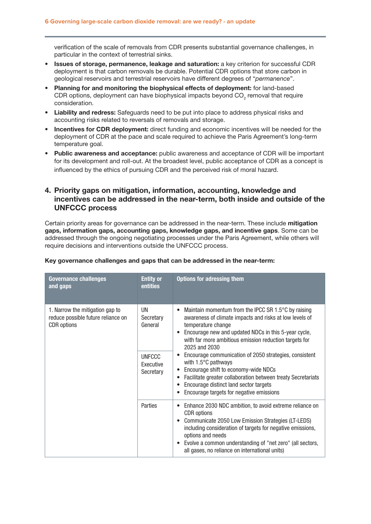verification of the scale of removals from CDR presents substantial governance challenges, in particular in the context of terrestrial sinks.

- Issues of storage, permanence, leakage and saturation: a key criterion for successful CDR deployment is that carbon removals be durable. Potential CDR options that store carbon in geological reservoirs and terrestrial reservoirs have different degrees of "*permanence*".
- Planning for and monitoring the biophysical effects of deployment: for land-based CDR options, deployment can have biophysical impacts beyond  $\mathsf{CO}_2$  removal that require consideration.
- Liability and redress: Safeguards need to be put into place to address physical risks and accounting risks related to reversals of removals and storage.
- Incentives for CDR deployment: direct funding and economic incentives will be needed for the deployment of CDR at the pace and scale required to achieve the Paris Agreement's long-term temperature goal.
- Public awareness and acceptance: public awareness and acceptance of CDR will be important for its development and roll-out. At the broadest level, public acceptance of CDR as a concept is influenced by the ethics of pursuing CDR and the perceived risk of moral hazard.

## 4. Priority gaps on mitigation, information, accounting, knowledge and incentives can be addressed in the near-term, both inside and outside of the UNFCCC process

Certain priority areas for governance can be addressed in the near-term. These include mitigation gaps, information gaps, accounting gaps, knowledge gaps, and incentive gaps. Some can be addressed through the ongoing negotiating processes under the Paris Agreement, while others will require decisions and interventions outside the UNFCCC process.

| <b>Governance challenges</b><br>and gaps                                                    | <b>Entity or</b><br>entities            | <b>Options for adressing them</b>                                                                                                                                                                                                                                                                                                                                    |
|---------------------------------------------------------------------------------------------|-----------------------------------------|----------------------------------------------------------------------------------------------------------------------------------------------------------------------------------------------------------------------------------------------------------------------------------------------------------------------------------------------------------------------|
| 1. Narrow the mitigation gap to<br>reduce possible future reliance on<br><b>CDR</b> options | UN<br>Secretary<br>General              | Maintain momentum from the IPCC SR 1.5°C by raising<br>$\bullet$<br>awareness of climate impacts and risks at low levels of<br>temperature change<br>Encourage new and updated NDCs in this 5-year cycle,<br>with far more ambitious emission reduction targets for<br>2025 and 2030                                                                                 |
|                                                                                             | <b>UNFCCC</b><br>Executive<br>Secretary | Encourage communication of 2050 strategies, consistent<br>with 1.5°C pathways<br>Encourage shift to economy-wide NDCs<br>Facilitate greater collaboration between treaty Secretariats<br>$\bullet$<br>Encourage distinct land sector targets<br>Encourage targets for negative emissions<br>$\bullet$                                                                |
|                                                                                             | Parties                                 | Enhance 2030 NDC ambition, to avoid extreme reliance on<br>٠<br><b>CDR</b> options<br>Communicate 2050 Low Emission Strategies (LT-LEDS)<br>$\bullet$<br>including consideration of targets for negative emissions,<br>options and needs<br>Evolve a common understanding of "net zero" (all sectors,<br>$\bullet$<br>all gases, no reliance on international units) |

### Key governance challenges and gaps that can be addressed in the near-term: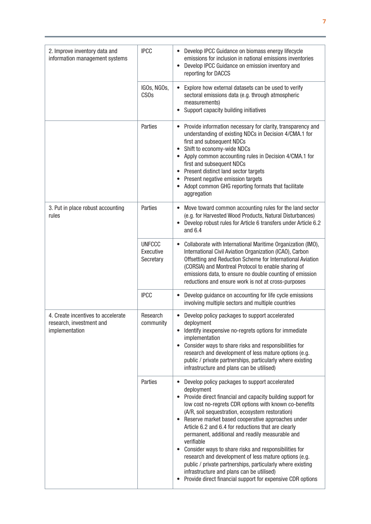| 2. Improve inventory data and<br>information management systems                  | <b>IPCC</b>                             | Develop IPCC Guidance on biomass energy lifecycle<br>emissions for inclusion in national emissions inventories<br>Develop IPCC Guidance on emission inventory and<br>reporting for DACCS                                                                                                                                                                                                                                                                                                                                                                                                                                                                                                                                                      |
|----------------------------------------------------------------------------------|-----------------------------------------|-----------------------------------------------------------------------------------------------------------------------------------------------------------------------------------------------------------------------------------------------------------------------------------------------------------------------------------------------------------------------------------------------------------------------------------------------------------------------------------------------------------------------------------------------------------------------------------------------------------------------------------------------------------------------------------------------------------------------------------------------|
|                                                                                  | IGOs, NGOs,<br>CS <sub>Os</sub>         | Explore how external datasets can be used to verify<br>sectoral emissions data (e.g. through atmospheric<br>measurements)<br>Support capacity building initiatives                                                                                                                                                                                                                                                                                                                                                                                                                                                                                                                                                                            |
|                                                                                  | Parties                                 | Provide information necessary for clarity, transparency and<br>understanding of existing NDCs in Decision 4/CMA.1 for<br>first and subsequent NDCs<br>Shift to economy-wide NDCs<br>Apply common accounting rules in Decision 4/CMA.1 for<br>first and subsequent NDCs<br>Present distinct land sector targets<br>Present negative emission targets<br>Adopt common GHG reporting formats that facilitate<br>aggregation                                                                                                                                                                                                                                                                                                                      |
| 3. Put in place robust accounting<br>rules                                       | Parties                                 | Move toward common accounting rules for the land sector<br>$\bullet$<br>(e.g. for Harvested Wood Products, Natural Disturbances)<br>Develop robust rules for Article 6 transfers under Article 6.2<br>and $6.4$                                                                                                                                                                                                                                                                                                                                                                                                                                                                                                                               |
|                                                                                  | <b>UNFCCC</b><br>Executive<br>Secretary | Collaborate with International Maritime Organization (IMO),<br>$\bullet$<br>International Civil Aviation Organization (ICAO), Carbon<br>Offsetting and Reduction Scheme for International Aviation<br>(CORSIA) and Montreal Protocol to enable sharing of<br>emissions data, to ensure no double counting of emission<br>reductions and ensure work is not at cross-purposes                                                                                                                                                                                                                                                                                                                                                                  |
|                                                                                  | <b>IPCC</b>                             | Develop guidance on accounting for life cycle emissions<br>involving multiple sectors and multiple countries                                                                                                                                                                                                                                                                                                                                                                                                                                                                                                                                                                                                                                  |
| 4. Create incentives to accelerate<br>research, investment and<br>implementation | Research<br>community                   | Develop policy packages to support accelerated<br>deployment<br>Identify inexpensive no-regrets options for immediate<br>implementation<br>Consider ways to share risks and responsibilities for<br>research and development of less mature options (e.g.<br>public / private partnerships, particularly where existing<br>infrastructure and plans can be utilised)                                                                                                                                                                                                                                                                                                                                                                          |
|                                                                                  | Parties                                 | Develop policy packages to support accelerated<br>deployment<br>Provide direct financial and capacity building support for<br>$\bullet$<br>low cost no-regrets CDR options with known co-benefits<br>(A/R, soil sequestration, ecosystem restoration)<br>• Reserve market based cooperative approaches under<br>Article 6.2 and 6.4 for reductions that are clearly<br>permanent, additional and readily measurable and<br>verifiable<br>Consider ways to share risks and responsibilities for<br>$\bullet$<br>research and development of less mature options (e.g.<br>public / private partnerships, particularly where existing<br>infrastructure and plans can be utilised)<br>Provide direct financial support for expensive CDR options |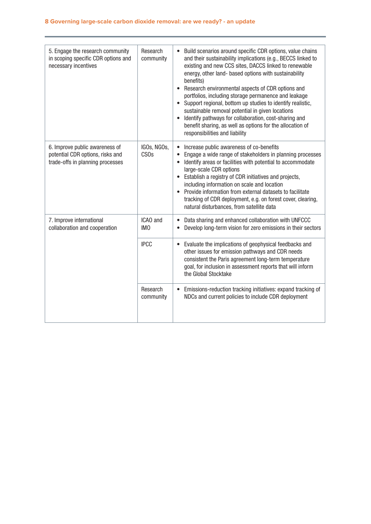<span id="page-9-0"></span>

| 5. Engage the research community<br>in scoping specific CDR options and<br>necessary incentives        | Research<br>community           | Build scenarios around specific CDR options, value chains<br>$\bullet$<br>and their sustainability implications (e.g., BECCS linked to<br>existing and new CCS sites, DACCS linked to renewable<br>energy, other land- based options with sustainability<br>benefits)<br>Research environmental aspects of CDR options and<br>$\bullet$<br>portfolios, including storage permanence and leakage<br>• Support regional, bottom up studies to identify realistic,<br>sustainable removal potential in given locations<br>Identify pathways for collaboration, cost-sharing and<br>$\bullet$<br>benefit sharing, as well as options for the allocation of<br>responsibilities and liability |
|--------------------------------------------------------------------------------------------------------|---------------------------------|------------------------------------------------------------------------------------------------------------------------------------------------------------------------------------------------------------------------------------------------------------------------------------------------------------------------------------------------------------------------------------------------------------------------------------------------------------------------------------------------------------------------------------------------------------------------------------------------------------------------------------------------------------------------------------------|
| 6. Improve public awareness of<br>potential CDR options, risks and<br>trade-offs in planning processes | IGOs, NGOs,<br>CS <sub>Os</sub> | Increase public awareness of co-benefits<br>Engage a wide range of stakeholders in planning processes<br>$\bullet$<br>Identify areas or facilities with potential to accommodate<br>$\bullet$<br>large-scale CDR options<br>• Establish a registry of CDR initiatives and projects,<br>including information on scale and location<br>Provide information from external datasets to facilitate<br>$\bullet$<br>tracking of CDR deployment, e.g. on forest cover, clearing,<br>natural disturbances, from satellite data                                                                                                                                                                  |
| 7. Improve international<br>collaboration and cooperation                                              | ICAO and<br>IM <sub>0</sub>     | Data sharing and enhanced collaboration with UNFCCC<br>Develop long-term vision for zero emissions in their sectors                                                                                                                                                                                                                                                                                                                                                                                                                                                                                                                                                                      |
|                                                                                                        | <b>IPCC</b>                     | Evaluate the implications of geophysical feedbacks and<br>other issues for emission pathways and CDR needs<br>consistent the Paris agreement long-term temperature<br>goal, for inclusion in assessment reports that will inform<br>the Global Stocktake                                                                                                                                                                                                                                                                                                                                                                                                                                 |
|                                                                                                        | Research<br>community           | • Emissions-reduction tracking initiatives: expand tracking of<br>NDCs and current policies to include CDR deployment                                                                                                                                                                                                                                                                                                                                                                                                                                                                                                                                                                    |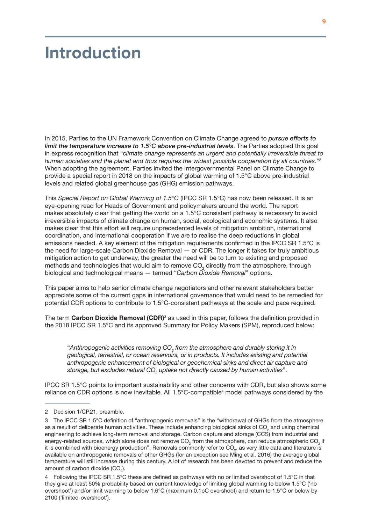# <span id="page-10-0"></span>**Introduction**

In 2015, Parties to the UN Framework Convention on Climate Change agreed to *pursue efforts to limit the temperature increase to 1.5°C above pre-industrial levels*. The Parties adopted this goal in express recognition that "c*limate change represents an urgent and potentially irreversible threat to human societies and the planet and thus requires the widest possible cooperation by all countries.*"2 When adopting the agreement, Parties invited the Intergovernmental Panel on Climate Change to provide a special report in 2018 on the impacts of global warming of 1.5°C above pre-industrial levels and related global greenhouse gas (GHG) emission pathways.

This *Special Report on Global Warming of 1.5°C* (IPCC SR 1.5°C) has now been released. It is an eye-opening read for Heads of Government and policymakers around the world. The report makes absolutely clear that getting the world on a 1.5°C consistent pathway is necessary to avoid irreversible impacts of climate change on human, social, ecological and economic systems. It also makes clear that this effort will require unprecedented levels of mitigation ambition, international coordination, and international cooperation if we are to realise the deep reductions in global emissions needed. A key element of the mitigation requirements confirmed in the IPCC SR 1.5°C is the need for large-scale Carbon Dioxide Removal — or CDR. The longer it takes for truly ambitious mitigation action to get underway, the greater the need will be to turn to existing and proposed methods and technologies that would aim to remove CO<sub>2</sub> directly from the atmosphere, through biological and technological means — termed "*Carbon Dioxide Removal*" options.

This paper aims to help senior climate change negotiators and other relevant stakeholders better appreciate some of the current gaps in international governance that would need to be remedied for potential CDR options to contribute to 1.5°C-consistent pathways at the scale and pace required.

The term Carbon Dioxide Removal (CDR)<sup>3</sup> as used in this paper, follows the definition provided in the 2018 IPCC SR 1.5°C and its approved Summary for Policy Makers (SPM), reproduced below:

"Anthropogenic activities removing CO<sub>2</sub> from the atmosphere and durably storing it in *geological, terrestrial, or ocean reservoirs, or in products. It includes existing and potential anthropogenic enhancement of biological or geochemical sinks and direct air capture and*  storage, but excludes natural CO<sub>2</sub> uptake not directly caused by human activities".

IPCC SR 1.5°C points to important sustainability and other concerns with CDR, but also shows some reliance on CDR options is now inevitable. All  $1.5^{\circ}$ C-compatible<sup>4</sup> model pathways considered by the

<sup>2</sup> Decision 1/CP.21, preamble.

<sup>3</sup> The IPCC SR 1.5°C definition of "anthropogenic removals" is the "withdrawal of GHGs from the atmosphere as a result of deliberate human activities. These include enhancing biological sinks of CO<sub>2</sub> and using chemical engineering to achieve long-term removal and storage. Carbon capture and storage (CCS) from industrial and energy-related sources, which alone does not remove CO<sub>2</sub> from the atmosphere, can reduce atmospheric CO<sub>2</sub> if it is combined with bioenergy production". Removals commonly refer to CO<sub>2</sub>, as very little data and literature is available on anthropogenic removals of other GHGs (for an exception see Ming et al. 2016) the average global temperature will still increase during this century. A lot of research has been devoted to prevent and reduce the amount of carbon dioxide (CO<sub>2</sub>).

<sup>4</sup> Following the IPCC SR 1.5°C these are defined as pathways with no or limited overshoot of 1.5°C in that they give at least 50% probability based on current knowledge of limiting global warming to below 1.5°C ('no overshoot') and/or limit warming to below 1.6°C (maximum 0.1oC overshoot) and return to 1.5°C or below by 2100 ('limited-overshoot').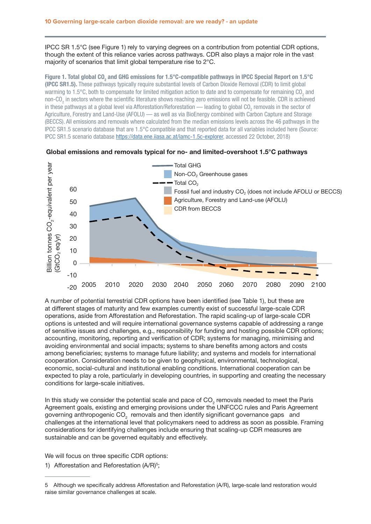IPCC SR 1.5°C (see Figure 1) rely to varying degrees on a contribution from potential CDR options, though the extent of this reliance varies across pathways. CDR also plays a major role in the vast majority of scenarios that limit global temperature rise to 2°C.

Figure 1. Total global CO<sub>2</sub> and GHG emissions for 1.5°C-compatible pathways in IPCC Special Report on 1.5°C (IPCC SR1.5). These pathways typically require substantial levels of Carbon Dioxide Removal (CDR) to limit global warming to 1.5°C, both to compensate for limited mitigation action to date and to compensate for remaining CO<sub>2</sub> and non-CO<sub>2</sub> in sectors where the scientific literature shows reaching zero emissions will not be feasible. CDR is achieved in these pathways at a global level via Afforestation/Reforestation — leading to global CO<sub>2</sub> removals in the sector of Agriculture, Forestry and Land-Use (AFOLU) — as well as via BioEnergy combined with Carbon Capture and Storage (BECCS). All emissions and removals where calculated from the median emissions levels across the 46 pathways in the IPCC SR1.5 scenario database that are 1.5°C compatible and that reported data for all variables included here (Source: IPCC SR1.5 scenario database [https://data.ene.iiasa.ac.at/iamc-1.5c-explorer,](https://data.ene.iiasa.ac.at/iamc-1.5c-explorer) accessed 22 October, 2018)





A number of potential terrestrial CDR options have been identified (see Table 1), but these are at different stages of maturity and few examples currently exist of successful large-scale CDR operations, aside from Afforestation and Reforestation. The rapid scaling-up of large-scale CDR options is untested and will require international governance systems capable of addressing a range of sensitive issues and challenges, e.g., responsibility for funding and hosting possible CDR options; accounting, monitoring, reporting and verification of CDR; systems for managing, minimising and avoiding environmental and social impacts; systems to share benefits among actors and costs among beneficiaries; systems to manage future liability; and systems and models for international cooperation. Consideration needs to be given to geophysical, environmental, technological, economic, social-cultural and institutional enabling conditions. International cooperation can be expected to play a role, particularly in developing countries, in supporting and creating the necessary conditions for large-scale initiatives.

In this study we consider the potential scale and pace of CO<sub>2</sub> removals needed to meet the Paris Agreement goals, existing and emerging provisions under the UNFCCC rules and Paris Agreement governing anthropogenic CO<sub>2</sub> removals and then identify significant governance gaps and challenges at the international level that policymakers need to address as soon as possible. Framing considerations for identifying challenges include ensuring that scaling-up CDR measures are sustainable and can be governed equitably and effectively.

We will focus on three specific CDR options:

1) Afforestation and Reforestation (A/R)<sup>5</sup>;

<sup>5</sup> Although we specifically address Afforestation and Reforestation (A/R), large-scale land restoration would raise similar governance challenges at scale.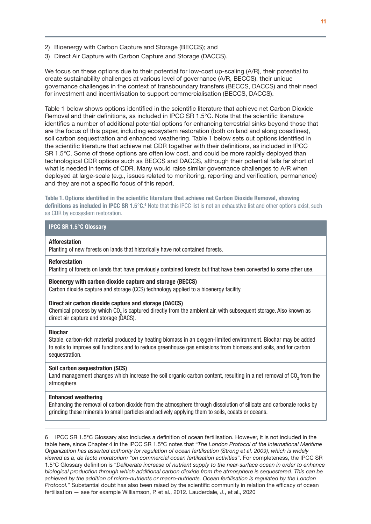- <span id="page-12-0"></span>2) Bioenergy with Carbon Capture and Storage (BECCS); and
- 3) Direct Air Capture with Carbon Capture and Storage (DACCS).

We focus on these options due to their potential for low-cost up-scaling (A/R), their potential to create sustainability challenges at various level of governance (A/R, BECCS), their unique governance challenges in the context of transboundary transfers (BECCS, DACCS) and their need for investment and incentivisation to support commercialisation (BECCS, DACCS).

Table 1 below shows options identified in the scientific literature that achieve net Carbon Dioxide Removal and their definitions, as included in IPCC SR 1.5°C. Note that the scientific literature identifies a number of additional potential options for enhancing terrestrial sinks beyond those that are the focus of this paper, including ecosystem restoration (both on land and along coastlines), soil carbon sequestration and enhanced weathering. Table 1 below sets out options identified in the scientific literature that achieve net CDR together with their definitions, as included in IPCC SR 1.5°C. Some of these options are often low cost, and could be more rapidly deployed than technological CDR options such as BECCS and DACCS, although their potential falls far short of what is needed in terms of CDR. Many would raise similar governance challenges to A/R when deployed at large-scale (e.g., issues related to monitoring, reporting and verification, permanence) and they are not a specific focus of this report.

Table 1. Options identified in the scientific literature that achieve net Carbon Dioxide Removal, showing definitions as included in IPCC SR 1.5°C.<sup>6</sup> Note that this IPCC list is not an exhaustive list and other options exist, such as CDR by ecosystem restoration.

### IPCC SR 1.5°C Glossary

#### Afforestation

Planting of new forests on lands that historically have not contained forests.

#### Reforestation

Planting of forests on lands that have previously contained forests but that have been converted to some other use.

#### Bioenergy with carbon dioxide capture and storage (BECCS)

Carbon dioxide capture and storage (CCS) technology applied to a bioenergy facility.

### Direct air carbon dioxide capture and storage (DACCS)

Chemical process by which CO<sub>2</sub> is captured directly from the ambient air, with subsequent storage. Also known as direct air capture and storage (DACS).

#### Biochar

Stable, carbon-rich material produced by heating biomass in an oxygen-limited environment. Biochar may be added to soils to improve soil functions and to reduce greenhouse gas emissions from biomass and soils, and for carbon sequestration.

#### Soil carbon sequestration (SCS)

Land management changes which increase the soil organic carbon content, resulting in a net removal of CO<sub>2</sub> from the atmosphere.

#### Enhanced weathering

Enhancing the removal of carbon dioxide from the atmosphere through dissolution of silicate and carbonate rocks by grinding these minerals to small particles and actively applying them to soils, coasts or oceans.

<sup>6</sup> IPCC SR 1.5°C Glossary also includes a definition of ocean fertilisation. However, it is not included in the table here, since Chapter 4 in the IPCC SR 1.5°C notes that "*The London Protocol of the International Maritime Organization has asserted authority for regulation of ocean fertilisation (Strong et al. 2009), which is widely viewed as a' de facto moratorium "on commercial ocean fertilisation activities*". For completeness, the IPCC SR 1.5°C Glossary definition is "*Deliberate increase of nutrient supply to the near-surface ocean in order to enhance biological production through which additional carbon dioxide from the atmosphere is sequestered. This can be achieved by the addition of micro-nutrients or macro-nutrients. Ocean fertilisation is regulated by the London Protocol.*" Substantial doubt has also been raised by the scientific community in relation the efficacy of ocean fertilisation — see for example Williamson, P. et al., 2012. Lauderdale, J., et al., 2020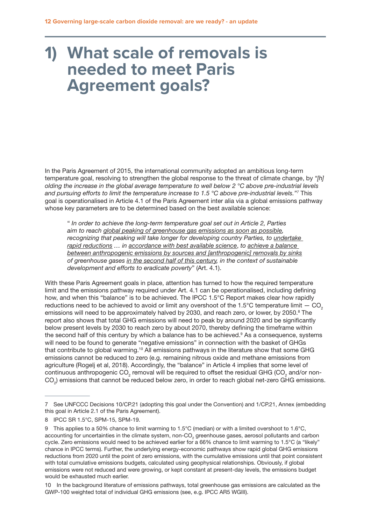# <span id="page-13-0"></span>**1) What scale of removals is needed to meet Paris Agreement goals?**

In the Paris Agreement of 2015, the international community adopted an ambitious long-term temperature goal, resolving to strengthen the global response to the threat of climate change, by *"[h] olding the increase in the global average temperature to well below 2 °C above pre-industrial levels and pursuing efforts to limit the temperature increase to 1.5 °C above pre-industrial levels."7* This goal is operationalised in Article 4.1 of the Paris Agreement inter alia via a global emissions pathway whose key parameters are to be determined based on the best available science:

" *In order to achieve the long-term temperature goal set out in Article 2, Parties aim to reach global peaking of greenhouse gas emissions as soon as possible, recognizing that peaking will take longer for developing country Parties, to undertake rapid reductions … in accordance with best available science*, *to achieve a balance between anthropogenic emissions by sources and [anthropogenic] removals by sinks of greenhouse gases in the second half of this century, in the context of sustainable development and efforts to eradicate poverty*" (Art. 4.1).

With these Paris Agreement goals in place, attention has turned to how the required temperature limit and the emissions pathway required under Art. 4.1 can be operationalised, including defining how, and when this "balance" is to be achieved. The IPCC 1.5°C Report makes clear how rapidly reductions need to be achieved to avoid or limit any overshoot of the 1.5 $\degree$ C temperature limit  $-$  CO<sub>2</sub> emissions will need to be approximately halved by 2030, and reach zero, or lower, by 2050.<sup>8</sup> The report also shows that total GHG emissions will need to peak by around 2020 and be significantly below present levels by 2030 to reach zero by about 2070, thereby defining the timeframe within the second half of this century by which a balance has to be achieved.<sup>9</sup> As a consequence, systems will need to be found to generate "negative emissions" in connection with the basket of GHGs that contribute to global warming.<sup>10</sup> All emissions pathways in the literature show that some GHG emissions cannot be reduced to zero (e.g. remaining nitrous oxide and methane emissions from agriculture (Rogelj et al, 2018). Accordingly, the "balance" in Article 4 implies that some level of continuous anthropogenic CO<sub>2</sub> removal will be required to offset the residual GHG (CO<sub>2</sub> and/or non- $\mathrm{CO}_2$ ) emissions that cannot be reduced below zero, in order to reach global net-zero GHG emissions.

<sup>7</sup> See UNFCCC Decisions 10/CP.21 (adopting this goal under the Convention) and 1/CP.21, Annex (embedding this goal in Article 2.1 of the Paris Agreement).

<sup>8</sup> IPCC SR 1.5°C, SPM-15, SPM-19.

<sup>9</sup> This applies to a 50% chance to limit warming to 1.5°C (median) or with a limited overshoot to 1.6°C, accounting for uncertainties in the climate system, non-CO<sub>2</sub> greenhouse gases, aerosol pollutants and carbon cycle. Zero emissions would need to be achieved earlier for a 66% chance to limit warming to 1.5°C (a "likely" chance in IPCC terms). Further, the underlying energy-economic pathways show rapid global GHG emissions reductions from 2020 until the point of zero emissions, with the cumulative emissions until that point consistent with total cumulative emissions budgets, calculated using geophysical relationships. Obviously, if global emissions were not reduced and were growing, or kept constant at present-day levels, the emissions budget would be exhausted much earlier.

<sup>10</sup> In the background literature of emissions pathways, total greenhouse gas emissions are calculated as the GWP-100 weighted total of individual GHG emissions (see, e.g. IPCC AR5 WGIII).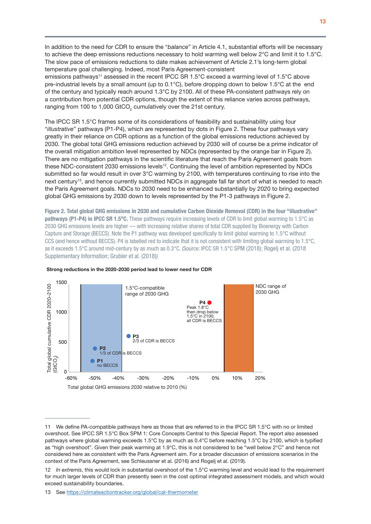In addition to the need for CDR to ensure the "*balance*" in Article 4.1, substantial efforts will be necessary to achieve the deep emissions reductions necessary to hold warming well below 2°C and limit it to 1.5°C. The slow pace of emissions reductions to date makes achievement of Article 2.1's long-term global temperature goal challenging. Indeed, most Paris Agreement-consistent

emissions pathways<sup>11</sup> assessed in the recent IPCC SR 1.5°C exceed a warming level of 1.5°C above pre-industrial levels by a small amount (up to 0.1°C), before dropping down to below 1.5°C at the end of the century and typically reach around 1.3°C by 2100. All of these PA-consistent pathways rely on a contribution from potential CDR options, though the extent of this reliance varies across pathways, ranging from 100 to 1,000 GtCO<sub>2</sub> cumulatively over the 21st century.

The IPCC SR 1.5°C frames some of its considerations of feasibility and sustainability using four "*illustrative*" pathways (P1-P4), which are represented by dots in Figure 2. These four pathways vary greatly in their reliance on CDR options as a function of the global emissions reductions achieved by 2030. The global total GHG emissions reduction achieved by 2030 will of course be a prime indicator of the overall mitigation ambition level represented by NDCs (represented by the orange bar in Figure 2). There are no mitigation pathways in the scientific literature that reach the Paris Agreement goals from these NDC-consistent 2030 emissions levels<sup>12</sup>. Continuing the level of ambition represented by NDCs submitted so far would result in over 3°C warming by 2100, with temperatures continuing to rise into the next century<sup>13</sup>, and hence currently submitted NDCs in aggregate fall far short of what is needed to reach the Paris Agreement goals. NDCs to 2030 need to be enhanced substantially by 2020 to bring expected global GHG emissions by 2030 down to levels represented by the P1-3 pathways in Figure 2.

Figure 2. Total global GHG emissions in 2030 and cumulative Carbon Dioxide Removal (CDR) in the four "illustrative" pathways (P1-P4) in IPCC SR 1.5°C. These pathways require increasing levels of CDR to limit global warming to 1.5°C as 2030 GHG emissions levels are higher — with increasing relative shares of total CDR supplied by Bioenergy with Carbon Capture and Storage (BECCS). Note the P1 pathway was developed specifically to limit global warming to 1.5°C without CCS (and hence without BECCS). P4 is labelled red to indicate that it is not consistent with limiting global warming to 1.5°C, as it exceeds 1.5°C around mid-century by as much as 0.3°C. (Source: IPCC SR 1.5°C SPM (2018); Rogelj et al. (2018 Supplementary Information; Grubler et al. (2018))



#### Strong reductions in the 2020-2030 period lead to lower need for CDR

<sup>11</sup> We define PA-compatible pathways here as those that are referred to in the IPCC SR 1.5°C with no or limited overshoot. See IPCC SR 1.5°C Box SPM 1: Core Concepts Central to this Special Report. The report also assessed pathways where global warming exceeds 1.5°C by as much as 0.4°C before reaching 1.5°C by 2100, which is typified as "high overshoot". Given their peak warming at 1.9°C, this is not considered to be "well below 2°C" and hence not considered here as consistent with the Paris Agreement aim. For a broader discussion of emissions scenarios in the context of the Paris Agreement, see Schleussner et al. (2016) and Rogelj et al. (2019).

<sup>12</sup> *In extremis*, this would lock in substantial overshoot of the 1.5°C warming level and would lead to the requirement for much larger levels of CDR than presently seen in the cost optimal integrated assessment models, and which would exceed sustainability boundaries.

<sup>13</sup> See <https://climateactiontracker.org/global/cat-thermometer>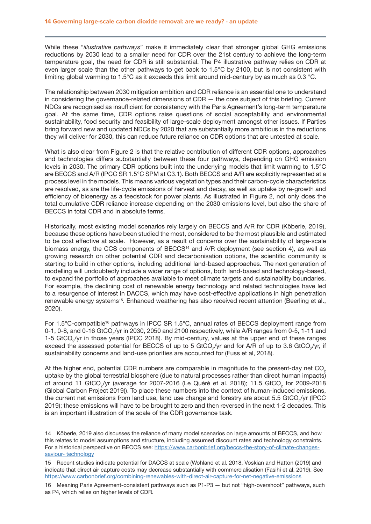While these "*illustrative pathways*" make it immediately clear that stronger global GHG emissions reductions by 2030 lead to a smaller need for CDR over the 21st century to achieve the long-term temperature goal, the need for CDR is still substantial. The P4 illustrative pathway relies on CDR at even larger scale than the other pathways to get back to 1.5°C by 2100, but is not consistent with limiting global warming to 1.5°C as it exceeds this limit around mid-century by as much as 0.3 °C.

The relationship between 2030 mitigation ambition and CDR reliance is an essential one to understand in considering the governance-related dimensions of CDR — the core subject of this briefing. Current NDCs are recognised as insufficient for consistency with the Paris Agreement's long-term temperature goal. At the same time, CDR options raise questions of social acceptability and environmental sustainability, food security and feasibility of large-scale deployment amongst other issues. If Parties bring forward new and updated NDCs by 2020 that are substantially more ambitious in the reductions they will deliver for 2030, this can reduce future reliance on CDR options that are untested at scale.

What is also clear from Figure 2 is that the relative contribution of different CDR options, approaches and technologies differs substantially between these four pathways, depending on GHG emission levels in 2030. The primary CDR options built into the underlying models that limit warming to 1.5°C are BECCS and A/R (IPCC SR 1.5°C SPM at C3.1). Both BECCS and A/R are explicitly represented at a process level in the models. This means various vegetation types and their carbon-cycle characteristics are resolved, as are the life-cycle emissions of harvest and decay, as well as uptake by re-growth and efficiency of bioenergy as a feedstock for power plants. As illustrated in Figure 2, not only does the total cumulative CDR reliance increase depending on the 2030 emissions level, but also the share of BECCS in total CDR and in absolute terms.

Historically, most existing model scenarios rely largely on BECCS and A/R for CDR (Köberle, 2019), because these options have been studied the most, considered to be the most plausible and estimated to be cost effective at scale. However, as a result of concerns over the sustainability of large-scale biomass energy, the CCS components of BECCS<sup>14</sup> and A/R deployment (see section 4), as well as growing research on other potential CDR and decarbonisation options, the scientific community is starting to build in other options, including additional land-based approaches. The next generation of modelling will undoubtedly include a wider range of options, both land-based and technology-based, to expand the portfolio of approaches available to meet climate targets and sustainability boundaries. For example, the declining cost of renewable energy technology and related technologies have led to a resurgence of interest in DACCS, which may have cost-effective applications in high penetration renewable energy systems<sup>15</sup>. Enhanced weathering has also received recent attention (Beerling et al., 2020).

For 1.5°C-compatible<sup>16</sup> pathways in IPCC SR 1.5°C, annual rates of BECCS deployment range from 0-1, 0-8, and 0-16 GtCO<sub>2</sub>/yr in 2030, 2050 and 2100 respectively, while A/R ranges from 0-5, 1-11 and 1-5 GtCO<sub>2</sub>/yr in those years (IPCC 2018). By mid-century, values at the upper end of these ranges exceed the assessed potential for BECCS of up to 5 GtCO<sub>2</sub>/yr and for A/R of up to 3.6 GtCO<sub>2</sub>/yr, if sustainability concerns and land-use priorities are accounted for (Fuss et al, 2018).

At the higher end, potential CDR numbers are comparable in magnitude to the present-day net CO<sub>2</sub> uptake by the global terrestrial biosphere (due to natural processes rather than direct human impacts) of around 11 GtCO<sub>2</sub>/yr (average for 2007-2016 (Le Quéré et al. 2018); 11.5 GtCO<sub>2</sub> for 2009-2018 (Global Carbon Project 2019)). To place these numbers into the context of human-induced emissions, the current net emissions from land use, land use change and forestry are about 5.5 GtCO<sub>2</sub>/yr (IPCC 2019); these emissions will have to be brought to zero and then reversed in the next 1-2 decades. This is an important illustration of the scale of the CDR governance task.

<sup>14</sup> Köberle, 2019 also discusses the reliance of many model scenarios on large amounts of BECCS, and how this relates to model assumptions and structure, including assumed discount rates and technology constraints. For a historical perspective on BECCS see: [https://www.carbonbrief.org/beccs-the-story-of-climate-changes](https://www.carbonbrief.org/beccs-the-story-of-climate-changes-saviour- technology)[saviour- technology](https://www.carbonbrief.org/beccs-the-story-of-climate-changes-saviour- technology)

<sup>15</sup> Recent studies indicate potential for DACCS at scale (Wohland et al. 2018, Voskian and Hatton (2019) and indicate that direct air capture costs may decrease substantially with commercialisation (Fasihi et al. 2019). See <https://www.carbonbrief.org/combining-renewables-with-direct-air-capture-for-net-negative-emissions>

<sup>16</sup> Meaning Paris Agreement-consistent pathways such as P1-P3 — but not "high-overshoot" pathways, such as P4, which relies on higher levels of CDR.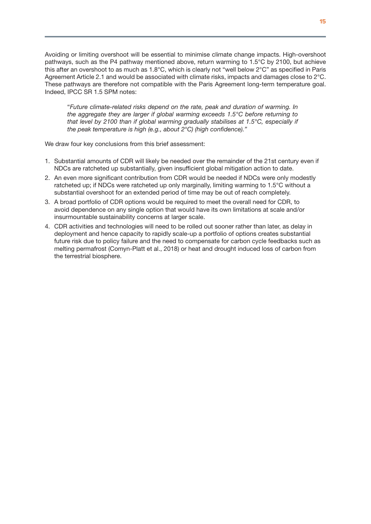<span id="page-16-0"></span>Avoiding or limiting overshoot will be essential to minimise climate change impacts. High-overshoot pathways, such as the P4 pathway mentioned above, return warming to 1.5°C by 2100, but achieve this after an overshoot to as much as 1.8°C, which is clearly not "well below 2°C" as specified in Paris Agreement Article 2.1 and would be associated with climate risks, impacts and damages close to 2°C. These pathways are therefore not compatible with the Paris Agreement long-term temperature goal. Indeed, IPCC SR 1.5 SPM notes:

"*Future climate-related risks depend on the rate, peak and duration of warming. In the aggregate they are larger if global warming exceeds 1.5°C before returning to that level by 2100 than if global warming gradually stabilises at 1.5°C, especially if the peak temperature is high (e.g., about 2°C) (high confidence)."*

We draw four key conclusions from this brief assessment:

- 1. Substantial amounts of CDR will likely be needed over the remainder of the 21st century even if NDCs are ratcheted up substantially, given insufficient global mitigation action to date.
- 2. An even more significant contribution from CDR would be needed if NDCs were only modestly ratcheted up; if NDCs were ratcheted up only marginally, limiting warming to 1.5°C without a substantial overshoot for an extended period of time may be out of reach completely.
- 3. A broad portfolio of CDR options would be required to meet the overall need for CDR, to avoid dependence on any single option that would have its own limitations at scale and/or insurmountable sustainability concerns at larger scale.
- 4. CDR activities and technologies will need to be rolled out sooner rather than later, as delay in deployment and hence capacity to rapidly scale-up a portfolio of options creates substantial future risk due to policy failure and the need to compensate for carbon cycle feedbacks such as melting permafrost (Comyn-Platt et al., 2018) or heat and drought induced loss of carbon from the terrestrial biosphere.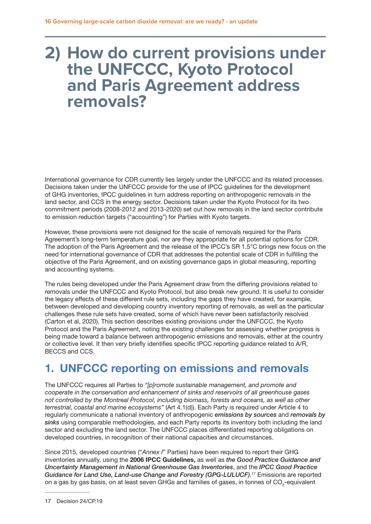# <span id="page-17-0"></span>**2) How do current provisions under the UNFCCC, Kyoto Protocol and Paris Agreement address removals?**

International governance for CDR currently lies largely under the UNFCCC and its related processes. Decisions taken under the UNFCCC provide for the use of IPCC guidelines for the development of GHG inventories, IPCC guidelines in turn address reporting on anthropogenic removals in the land sector, and CCS in the energy sector. Decisions taken under the Kyoto Protocol for its two commitment periods (2008-2012 and 2013-2020) set out how removals in the land sector contribute to emission reduction targets ("accounting") for Parties with Kyoto targets.

However, these provisions were not designed for the scale of removals required for the Paris Agreement's long-term temperature goal, nor are they appropriate for all potential options for CDR. The adoption of the Paris Agreement and the release of the IPCC's SR 1.5°C brings new focus on the need for international governance of CDR that addresses the potential scale of CDR in fulfilling the objective of the Paris Agreement, and on existing governance gaps in global measuring, reporting and accounting systems.

The rules being developed under the Paris Agreement draw from the differing provisions related to removals under the UNFCCC and Kyoto Protocol, but also break new ground. It is useful to consider the legacy effects of these different rule sets, including the gaps they have created, for example, between developed and developing country inventory reporting of removals, as well as the particular challenges these rule sets have created, some of which have never been satisfactorily resolved (Carton et al, 2020). This section describes existing provisions under the UNFCCC, the Kyoto Protocol and the Paris Agreement, noting the existing challenges for assessing whether progress is being made toward a balance between anthropogenic emissions and removals, either at the country or collective level. It then very briefly identifies specific IPCC reporting guidance related to A/R, BECCS and CCS.

# 1. UNFCCC reporting on emissions and removals

The UNFCCC requires all Parties to *"[p]romote sustainable management, and promote and cooperate in the conservation and enhancement of sinks and reservoirs of all greenhouse gases not controlled by the Montreal Protocol, including biomass, forests and oceans, as well as other terrestrial, coastal and marine ecosystems"* (Art 4.1(d)). Each Party is required under Article 4 to regularly communicate a national inventory of anthropogenic *emissions by sources* and *removals by sinks* using comparable methodologies, and each Party reports its inventory both including the land sector and excluding the land sector. The UNFCCC places differentiated reporting obligations on developed countries, in recognition of their national capacities and circumstances.

Since 2015, developed countries ("*Annex I*" Parties) have been required to report their GHG inventories annually, using the 2006 IPCC Guidelines, as well as *the Good Practice Guidance and Uncertainty Management in National Greenhouse Gas Inventories*, and the *IPCC Good Practice Guidance for Land Use, Land-use Change and Forestry (GPG-LULUCF)*. 17 Emissions are reported on a gas by gas basis, on at least seven GHGs and families of gases, in tonnes of CO<sub>2</sub>-equivalent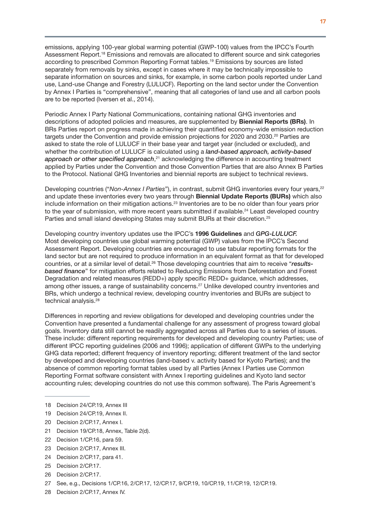emissions, applying 100-year global warming potential (GWP-100) values from the IPCC's Fourth Assessment Report.18 Emissions and removals are allocated to different source and sink categories according to prescribed Common Reporting Format tables.<sup>19</sup> Emissions by sources are listed separately from removals by sinks, except in cases where it may be technically impossible to separate information on sources and sinks, for example, in some carbon pools reported under Land use, Land-use Change and Forestry (LULUCF). Reporting on the land sector under the Convention by Annex I Parties is "comprehensive", meaning that all categories of land use and all carbon pools are to be reported (Iversen et al., 2014).

Periodic Annex I Party National Communications, containing national GHG inventories and descriptions of adopted policies and measures, are supplemented by **Biennial Reports (BRs)**. In BRs Parties report on progress made in achieving their quantified economy-wide emission reduction targets under the Convention and provide emission projections for 2020 and 2030.<sup>20</sup> Parties are asked to state the role of LULUCF in their base year and target year (included or excluded), and whether the contribution of LULUCF is calculated using a *land-based approach, activity-based*  approach or other specified approach,<sup>21</sup> acknowledging the difference in accounting treatment applied by Parties under the Convention and those Convention Parties that are also Annex B Parties to the Protocol. National GHG Inventories and biennial reports are subject to technical reviews.

Developing countries ("Non-Annex I Parties"), in contrast, submit GHG inventories every four years,<sup>22</sup> and update these inventories every two years through Biennial Update Reports (BURs) which also include information on their mitigation actions.23 Inventories are to be no older than four years prior to the year of submission, with more recent years submitted if available.<sup>24</sup> Least developed country Parties and small island developing States may submit BURs at their discretion.<sup>25</sup>

Developing country inventory updates use the IPCC's 1996 Guidelines and *GPG-LULUCF.* Most developing countries use global warming potential (GWP) values from the IPCC's Second Assessment Report. Developing countries are encouraged to use tabular reporting formats for the land sector but are not required to produce information in an equivalent format as that for developed countries, or at a similar level of detail.26 Those developing countries that aim to receive "*resultsbased finance*" for mitigation efforts related to Reducing Emissions from Deforestation and Forest Degradation and related measures (REDD+) apply specific REDD+ guidance, which addresses, among other issues, a range of sustainability concerns.27 Unlike developed country inventories and BRs, which undergo a technical review, developing country inventories and BURs are subject to technical analysis.28

Differences in reporting and review obligations for developed and developing countries under the Convention have presented a fundamental challenge for any assessment of progress toward global goals. Inventory data still cannot be readily aggregated across all Parties due to a series of issues. These include: different reporting requirements for developed and developing country Parties; use of different IPCC reporting guidelines (2006 and 1996); application of different GWPs to the underlying GHG data reported; different frequency of inventory reporting; different treatment of the land sector by developed and developing countries (land-based v. activity based for Kyoto Parties); and the absence of common reporting format tables used by all Parties (Annex I Parties use Common Reporting Format software consistent with Annex I reporting guidelines and Kyoto land sector accounting rules; developing countries do not use this common software). The Paris Agreement's

- 18 Decision 24/CP.19, Annex III
- 19 Decision 24/CP.19, Annex II.
- 20 Decision 2/CP.17, Annex I.
- 21 Decision 19/CP.18, Annex, Table 2(d).
- 22 Decision 1/CP.16, para 59.
- 23 Decision 2/CP.17, Annex III.
- 24 Decision 2/CP.17, para 41.
- 25 Decision 2/CP.17.
- 26 Decision 2/CP.17.
- 27 See, e.g., Decisions 1/CP.16, 2/CP.17, 12/CP.17, 9/CP.19, 10/CP.19, 11/CP.19, 12/CP.19.
- 28 Decision 2/CP.17, Annex IV.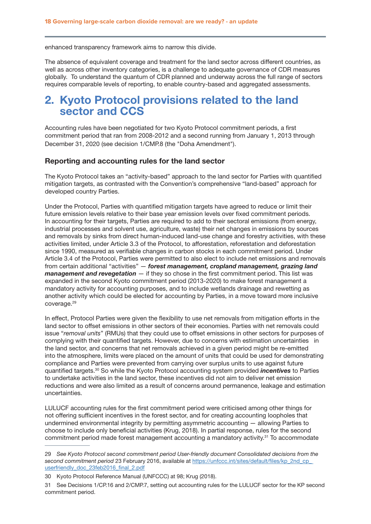enhanced transparency framework aims to narrow this divide.

The absence of equivalent coverage and treatment for the land sector across different countries, as well as across other inventory categories, is a challenge to adequate governance of CDR measures globally. To understand the quantum of CDR planned and underway across the full range of sectors requires comparable levels of reporting, to enable country-based and aggregated assessments.

## 2. Kyoto Protocol provisions related to the land sector and CCS

Accounting rules have been negotiated for two Kyoto Protocol commitment periods, a first commitment period that ran from 2008-2012 and a second running from January 1, 2013 through December 31, 2020 (see decision 1/CMP.8 (the "Doha Amendment").

### Reporting and accounting rules for the land sector

The Kyoto Protocol takes an "activity-based" approach to the land sector for Parties with quantified mitigation targets, as contrasted with the Convention's comprehensive "land-based" approach for developed country Parties.

Under the Protocol, Parties with quantified mitigation targets have agreed to reduce or limit their future emission levels relative to their base year emission levels over fixed commitment periods. In accounting for their targets, Parties are required to add to their sectoral emissions (from energy, industrial processes and solvent use, agriculture, waste) their net changes in emissions by sources and removals by sinks from direct human-induced land-use change and forestry activities, with these activities limited, under Article 3.3 of the Protocol, to afforestation, reforestation and deforestation since 1990, measured as verifiable changes in carbon stocks in each commitment period. Under Article 3.4 of the Protocol, Parties were permitted to also elect to include net emissions and removals from certain additional "activities" — *forest management, cropland management, grazing land management and revegetation* — if they so chose in the first commitment period. This list was expanded in the second Kyoto commitment period (2013-2020) to make forest management a mandatory activity for accounting purposes, and to include wetlands drainage and rewetting as another activity which could be elected for accounting by Parties, in a move toward more inclusive coverage.<sup>29</sup>

In effect, Protocol Parties were given the flexibility to use net removals from mitigation efforts in the land sector to offset emissions in other sectors of their economies. Parties with net removals could issue "*removal units*" (RMUs) that they could use to offset emissions in other sectors for purposes of complying with their quantified targets. However, due to concerns with estimation uncertainties in the land sector, and concerns that net removals achieved in a given period might be re-emitted into the atmosphere, limits were placed on the amount of units that could be used for demonstrating compliance and Parties were prevented from carrying over surplus units to use against future quantified targets.30 So while the Kyoto Protocol accounting system provided *incentives* to Parties to undertake activities in the land sector, these incentives did not aim to deliver net emission reductions and were also limited as a result of concerns around permanence, leakage and estimation uncertainties.

LULUCF accounting rules for the first commitment period were criticised among other things for not offering sufficient incentives in the forest sector, and for creating accounting loopholes that undermined environmental integrity by permitting asymmetric accounting — allowing Parties to choose to include only beneficial activities (Krug, 2018). In partial response, rules for the second commitment period made forest management accounting a mandatory activity.31 To accommodate

<sup>29</sup> *See Kyoto Protocol second commitment period User-friendly document Consolidated decisions from the second commitment period* 23 February 2016, available at [https://unfccc.int/sites/default/files/kp\\_2nd\\_cp\\_](https://unfccc.int/sites/default/files/kp_2nd_cp_ userfriendly_doc_23feb2016_final_2.pdf)  [userfriendly\\_doc\\_23feb2016\\_final\\_2.pdf](https://unfccc.int/sites/default/files/kp_2nd_cp_ userfriendly_doc_23feb2016_final_2.pdf)

<sup>30</sup> Kyoto Protocol Reference Manual (UNFCCC) at 98; Krug (2018).

<sup>31</sup> See Decisions 1/CP.16 and 2/CMP.7, setting out accounting rules for the LULUCF sector for the KP second commitment period.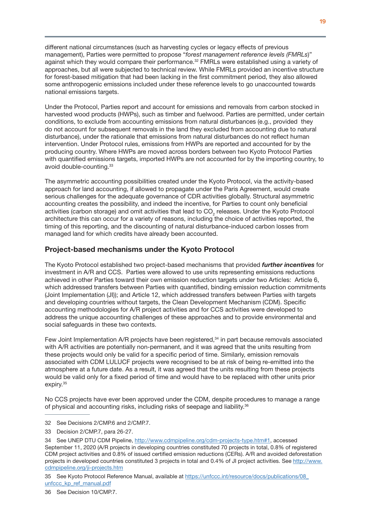different national circumstances (such as harvesting cycles or legacy effects of previous management), Parties were permitted to propose "*forest management reference levels (FMRLs*)" against which they would compare their performance.<sup>32</sup> FMRLs were established using a variety of approaches, but all were subjected to technical review. While FMRLs provided an incentive structure for forest-based mitigation that had been lacking in the first commitment period, they also allowed some anthropogenic emissions included under these reference levels to go unaccounted towards national emissions targets.

Under the Protocol, Parties report and account for emissions and removals from carbon stocked in harvested wood products (HWPs), such as timber and fuelwood. Parties are permitted, under certain conditions, to exclude from accounting emissions from natural disturbances (e.g., provided they do not account for subsequent removals in the land they excluded from accounting due to natural disturbance), under the rationale that emissions from natural disturbances do not reflect human intervention. Under Protocol rules, emissions from HWPs are reported and accounted for by the producing country. Where HWPs are moved across borders between two Kyoto Protocol Parties with quantified emissions targets, imported HWPs are not accounted for by the importing country, to avoid double-counting.<sup>33</sup>

The asymmetric accounting possibilities created under the Kyoto Protocol, via the activity-based approach for land accounting, if allowed to propagate under the Paris Agreement, would create serious challenges for the adequate governance of CDR activities globally. Structural asymmetric accounting creates the possibility, and indeed the incentive, for Parties to count only beneficial activities (carbon storage) and omit activities that lead to CO<sub>2</sub> releases. Under the Kyoto Protocol architecture this can occur for a variety of reasons, including the choice of activities reported, the timing of this reporting, and the discounting of natural disturbance-induced carbon losses from managed land for which credits have already been accounted.

## Project-based mechanisms under the Kyoto Protocol

The Kyoto Protocol established two project-based mechanisms that provided *further incentives* for investment in A/R and CCS. Parties were allowed to use units representing emissions reductions achieved in other Parties toward their own emission reduction targets under two Articles: Article 6, which addressed transfers between Parties with quantified, binding emission reduction commitments (Joint Implementation (JI)); and Article 12, which addressed transfers between Parties with targets and developing countries without targets, the Clean Development Mechanism (CDM). Specific accounting methodologies for A/R project activities and for CCS activities were developed to address the unique accounting challenges of these approaches and to provide environmental and social safeguards in these two contexts.

Few Joint Implementation A/R projects have been registered,<sup>34</sup> in part because removals associated with A/R activities are potentially non-permanent, and it was agreed that the units resulting from these projects would only be valid for a specific period of time. Similarly, emission removals associated with CDM LULUCF projects were recognised to be at risk of being re-emitted into the atmosphere at a future date. As a result, it was agreed that the units resulting from these projects would be valid only for a fixed period of time and would have to be replaced with other units prior expiry.<sup>35</sup>

No CCS projects have ever been approved under the CDM, despite procedures to manage a range of physical and accounting risks, including risks of seepage and liability.36

- 32 See Decisions 2/CMP.6 and 2/CMP.7.
- 33 Decision 2/CMP.7, para 26-27.

35 See Kyoto Protocol Reference Manual, available at [https://unfccc.int/resource/docs/publications/08\\_](https://unfccc.int/resource/docs/publications/08_unfccc_kp_ref_manual.pdf) [unfccc\\_kp\\_ref\\_manual.pdf](https://unfccc.int/resource/docs/publications/08_unfccc_kp_ref_manual.pdf)

<sup>34</sup> See UNEP DTU CDM Pipeline, [http://www.cdmpipeline.org/cdm-projects-type.htm#1,](http://www.cdmpipeline.org/cdm-projects-type.htm#1) accessed September 11, 2020 (A/R projects in developing countries constituted 70 projects in total, 0.8% of registered CDM project activities and 0.8% of issued certified emission reductions (CERs). A/R and avoided deforestation projects in developed countries constituted 3 projects in total and 0.4% of JI project activities. See [http://www.](http://www.cdmpipeline.org/ji-projects.htm) [cdmpipeline.org/ji-projects.htm](http://www.cdmpipeline.org/ji-projects.htm)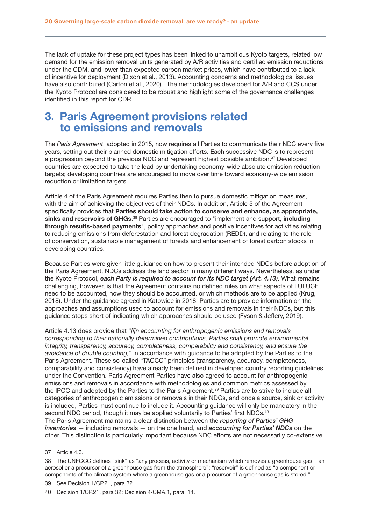The lack of uptake for these project types has been linked to unambitious Kyoto targets, related low demand for the emission removal units generated by A/R activities and certified emission reductions under the CDM, and lower than expected carbon market prices, which have contributed to a lack of incentive for deployment (Dixon et al., 2013). Accounting concerns and methodological issues have also contributed (Carton et al., 2020). The methodologies developed for A/R and CCS under the Kyoto Protocol are considered to be robust and highlight some of the governance challenges identified in this report for CDR.

## 3. Paris Agreement provisions related to emissions and removals

The *Paris Agreement*, adopted in 2015, now requires all Parties to communicate their NDC every five years, setting out their planned domestic mitigation efforts. Each successive NDC is to represent a progression beyond the previous NDC and represent highest possible ambition.<sup>37</sup> Developed countries are expected to take the lead by undertaking economy-wide absolute emission reduction targets; developing countries are encouraged to move over time toward economy-wide emission reduction or limitation targets.

Article 4 of the Paris Agreement requires Parties then to pursue domestic mitigation measures, with the aim of achieving the objectives of their NDCs. In addition, Article 5 of the Agreement specifically provides that **Parties should take action to conserve and enhance, as appropriate,** sinks and reservoirs of GHGs.<sup>38</sup> Parties are encouraged to "implement and support, including through results-based payments", policy approaches and positive incentives for activities relating to reducing emissions from deforestation and forest degradation (REDD), and relating to the role of conservation, sustainable management of forests and enhancement of forest carbon stocks in developing countries.

Because Parties were given little guidance on how to present their intended NDCs before adoption of the Paris Agreement, NDCs address the land sector in many different ways. Nevertheless, as under the Kyoto Protocol, *each Party is required to account for its NDC target (Art. 4.13)*. What remains challenging, however, is that the Agreement contains no defined rules on what aspects of LULUCF need to be accounted, how they should be accounted, or which methods are to be applied (Krug, 2018). Under the guidance agreed in Katowice in 2018, Parties are to provide information on the approaches and assumptions used to account for emissions and removals in their NDCs, but this guidance stops short of indicating which approaches should be used (Fyson & Jeffery, 2019).

Article 4.13 does provide that "*[i]n accounting for anthropogenic emissions and removals corresponding to their nationally determined contributions, Parties shall promote environmental integrity, transparency, accuracy, completeness, comparability and consistency, and ensure the avoidance of double counting,*" in accordance with guidance to be adopted by the Parties to the Paris Agreement. These so-called "TACCC" principles (transparency, accuracy, completeness, comparability and consistency) have already been defined in developed country reporting guidelines under the Convention. Paris Agreement Parties have also agreed to account for anthropogenic emissions and removals in accordance with methodologies and common metrics assessed by the IPCC and adopted by the Parties to the Paris Agreement.<sup>39</sup> Parties are to strive to include all categories of anthropogenic emissions or removals in their NDCs, and once a source, sink or activity is included, Parties must continue to include it. Accounting guidance will only be mandatory in the second NDC period, though it may be applied voluntarily to Parties' first NDCs.<sup>40</sup> The Paris Agreement maintains a clear distinction between the *reporting of Parties' GHG inventories* — including removals — on the one hand, and *accounting for Parties' NDCs* on the other. This distinction is particularly important because NDC efforts are not necessarily co-extensive

<sup>37</sup> Article 4.3.

<sup>38</sup> The UNFCCC defines "sink" as "any process, activity or mechanism which removes a greenhouse gas, an aerosol or a precursor of a greenhouse gas from the atmosphere"; "reservoir" is defined as "a component or components of the climate system where a greenhouse gas or a precursor of a greenhouse gas is stored."

<sup>39</sup> See Decision 1/CP.21, para 32.

<sup>40</sup> Decision 1/CP.21, para 32; Decision 4/CMA.1, para. 14.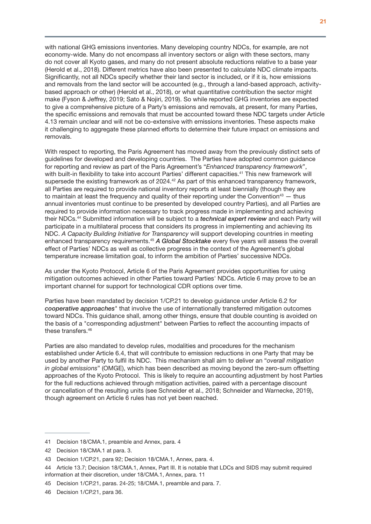with national GHG emissions inventories. Many developing country NDCs, for example, are not economy-wide. Many do not encompass all inventory sectors or align with these sectors, many do not cover all Kyoto gases, and many do not present absolute reductions relative to a base year (Herold et al., 2018). Different metrics have also been presented to calculate NDC climate impacts. Significantly, not all NDCs specify whether their land sector is included, or if it is, how emissions and removals from the land sector will be accounted (e.g., through a land-based approach, activitybased approach or other) (Herold et al., 2018), or what quantitative contribution the sector might make (Fyson & Jeffrey, 2019; Sato & Nojiri, 2019). So while reported GHG inventories are expected to give a comprehensive picture of a Party's emissions and removals, at present, for many Parties, the specific emissions and removals that must be accounted toward these NDC targets under Article 4.13 remain unclear and will not be co-extensive with emissions inventories. These aspects make it challenging to aggregate these planned efforts to determine their future impact on emissions and removals.

With respect to reporting, the Paris Agreement has moved away from the previously distinct sets of guidelines for developed and developing countries. The Parties have adopted common guidance for reporting and review as part of the Paris Agreement's "*Enhanced transparency framework*", with built-in flexibility to take into account Parties' different capacities.<sup>41</sup> This new framework will supersede the existing framework as of 2024.<sup>42</sup> As part of this enhanced transparency framework, all Parties are required to provide national inventory reports at least biennially (though they are to maintain at least the frequency and quality of their reporting under the Convention<sup>43</sup>  $-$  thus annual inventories must continue to be presented by developed country Parties), and all Parties are required to provide information necessary to track progress made in implementing and achieving their NDCs.44 Submitted information will be subject to a *technical expert review* and each Party will participate in a multilateral process that considers its progress in implementing and achieving its NDC. *A Capacity Building Initiative for Transparency* will support developing countries in meeting enhanced transparency requirements.45 *A Global Stocktake* every five years will assess the overall effect of Parties' NDCs as well as collective progress in the context of the Agreement's global temperature increase limitation goal, to inform the ambition of Parties' successive NDCs.

As under the Kyoto Protocol, Article 6 of the Paris Agreement provides opportunities for using mitigation outcomes achieved in other Parties toward Parties' NDCs. Article 6 may prove to be an important channel for support for technological CDR options over time.

Parties have been mandated by decision 1/CP.21 to develop guidance under Article 6.2 for *cooperative approaches*" that involve the use of internationally transferred mitigation outcomes toward NDCs. This guidance shall, among other things, ensure that double counting is avoided on the basis of a "corresponding adjustment" between Parties to reflect the accounting impacts of these transfers.<sup>46</sup>

Parties are also mandated to develop rules, modalities and procedures for the mechanism established under Article 6.4, that will contribute to emission reductions in one Party that may be used by another Party to fulfil its NDC. This mechanism shall aim to deliver an "*overall mitigation in global emissions*" (OMGE), which has been described as moving beyond the zero-sum offsetting approaches of the Kyoto Protocol. This is likely to require an accounting adjustment by host Parties for the full reductions achieved through mitigation activities, paired with a percentage discount or cancellation of the resulting units (see Schneider et al., 2018; Schneider and Warnecke, 2019), though agreement on Article 6 rules has not yet been reached.

<sup>41</sup> Decision 18/CMA.1, preamble and Annex, para. 4

<sup>42</sup> Decision 18/CMA.1 at para. 3.

<sup>43</sup> Decision 1/CP.21, para 92; Decision 18/CMA.1, Annex, para. 4.

<sup>44</sup> Article 13.7; Decision 18/CMA.1, Annex, Part III. It is notable that LDCs and SIDS may submit required information at their discretion, under 18/CMA.1, Annex, para. 11

<sup>45</sup> Decision 1/CP.21, paras. 24-25; 18/CMA.1, preamble and para. 7.

<sup>46</sup> Decision 1/CP.21, para 36.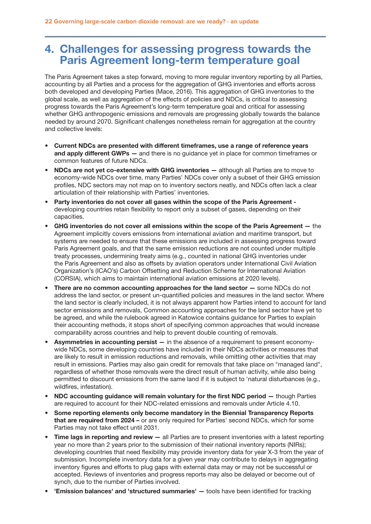# 4. Challenges for assessing progress towards the Paris Agreement long-term temperature goal

The Paris Agreement takes a step forward, moving to more regular inventory reporting by all Parties, accounting by all Parties and a process for the aggregation of GHG inventories and efforts across both developed and developing Parties (Mace, 2016). This aggregation of GHG inventories to the global scale, as well as aggregation of the effects of policies and NDCs, is critical to assessing progress towards the Paris Agreement's long-term temperature goal and critical for assessing whether GHG anthropogenic emissions and removals are progressing globally towards the balance needed by around 2070. Significant challenges nonetheless remain for aggregation at the country and collective levels:

- Current NDCs are presented with different timeframes, use a range of reference years and apply different GWPs - and there is no guidance yet in place for common timeframes or common features of future NDCs.
- NDCs are not yet co-extensive with GHG inventories although all Parties are to move to economy-wide NDCs over time, many Parties' NDCs cover only a subset of their GHG emission profiles, NDC sectors may not map on to inventory sectors neatly, and NDCs often lack a clear articulation of their relationship with Parties' inventories.
- Party inventories do not cover all gases within the scope of the Paris Agreement developing countries retain flexibility to report only a subset of gases, depending on their capacities.
- GHG inventories do not cover all emissions within the scope of the Paris Agreement the Agreement implicitly covers emissions from international aviation and maritime transport, but systems are needed to ensure that these emissions are included in assessing progress toward Paris Agreement goals, and that the same emission reductions are not counted under multiple treaty processes, undermining treaty aims (e.g., counted in national GHG inventories under the Paris Agreement and also as offsets by aviation operators under International Civil Aviation Organization's (ICAO's) Carbon Offsetting and Reduction Scheme for International Aviation (CORSIA), which aims to maintain international aviation emissions at 2020 levels).
- There are no common accounting approaches for the land sector  $-$  some NDCs do not address the land sector, or present un-quantified policies and measures in the land sector. Where the land sector is clearly included, it is not always apparent how Parties intend to account for land sector emissions and removals, Common accounting approaches for the land sector have yet to be agreed, and while the rulebook agreed in Katowice contains guidance for Parties to explain their accounting methods, it stops short of specifying common approaches that would increase comparability across countries and help to prevent double counting of removals.
- Asymmetries in accounting persist in the absence of a requirement to present economywide NDCs, some developing countries have included in their NDCs activities or measures that are likely to result in emission reductions and removals, while omitting other activities that may result in emissions. Parties may also gain credit for removals that take place on "managed land", regardless of whether those removals were the direct result of human activity, while also being permitted to discount emissions from the same land if it is subject to 'natural disturbances (e.g., wildfires, infestation).
- NDC accounting guidance will remain voluntary for the first NDC period though Parties are required to account for their NDC-related emissions and removals under Article 4.10.
- Some reporting elements only become mandatory in the Biennial Transparency Reports that are required from 2024 – or are only required for Parties' second NDCs, which for some Parties may not take effect until 2031.
- Time lags in reporting and review all Parties are to present inventories with a latest reporting year no more than 2 years prior to the submission of their national inventory reports (NIRs); developing countries that need flexibility may provide inventory data for year X-3 from the year of submission. Incomplete inventory data for a given year may contribute to delays in aggregating inventory figures and efforts to plug gaps with external data may or may not be successful or accepted. Reviews of inventories and progress reports may also be delayed or become out of synch, due to the number of Parties involved.
- 'Emission balances' and 'structured summaries' tools have been identified for tracking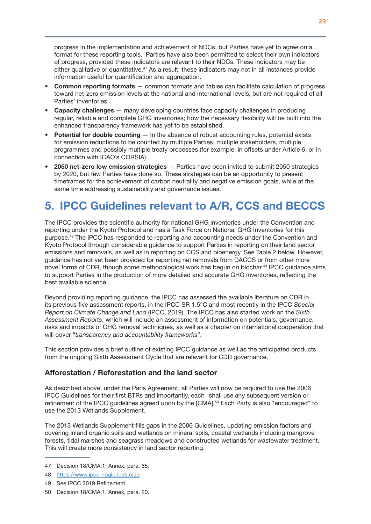progress in the implementation and achievement of NDCs, but Parties have yet to agree on a format for these reporting tools. Parties have also been permitted to select their own indicators of progress, provided these indicators are relevant to their NDCs. These indicators may be either qualitative or quantitative.<sup>47</sup> As a result, these indicators may not in all instances provide information useful for quantification and aggregation.

- Common reporting formats common formats and tables can facilitate calculation of progress toward net-zero emission levels at the national and international levels, but are not required of all Parties' inventories.
- Capacity challenges many developing countries face capacity challenges in producing regular, reliable and complete GHG inventories; how the necessary flexibility will be built into the enhanced transparency framework has yet to be established.
- Potential for double counting  $-$  In the absence of robust accounting rules, potential exists for emission reductions to be counted by multiple Parties, multiple stakeholders, multiple programmes and possibly multiple treaty processes (for example, in offsets under Article 6, or in connection with ICAO's CORSIA).
- 2050 net-zero low emission strategies Parties have been invited to submit 2050 strategies by 2020, but few Parties have done so. These strategies can be an opportunity to present timeframes for the achievement of carbon neutrality and negative emission goals, while at the same time addressing sustainability and governance issues.

# 5. IPCC Guidelines relevant to A/R, CCS and BECCS

The IPCC provides the scientific authority for national GHG inventories under the Convention and reporting under the Kyoto Protocol and has a Task Force on National GHG Inventories for this purpose.48 The IPCC has responded to reporting and accounting needs under the Convention and Kyoto Protocol through considerable guidance to support Parties in reporting on their land sector emissions and removals, as well as in reporting on CCS and bioenergy. See Table 2 below. However, guidance has not yet been provided for reporting net removals from DACCS or from other more novel forms of CDR, though some methodological work has begun on biochar.<sup>49</sup> IPCC guidance aims to support Parties in the production of more detailed and accurate GHG inventories, reflecting the best available science.

Beyond providing reporting guidance, the IPCC has assessed the available literature on CDR in its previous five assessment reports, in the IPCC SR 1.5°C and most recently in the IPCC *Special Report on Climate Change and Land* (IPCC, 2019). The IPCC has also started work on the *Sixth Assessment Reports*, which will include an assessment of information on potentials, governance, risks and impacts of GHG removal techniques, as well as a chapter on international cooperation that will cover "*transparency and accountability frameworks*".

This section provides a brief outline of existing IPCC guidance as well as the anticipated products from the ongoing Sixth Assessment Cycle that are relevant for CDR governance.

## Afforestation / Reforestation and the land sector

As described above, under the Paris Agreement, all Parties will now be required to use the 2006 IPCC Guidelines for their first BTRs and importantly, each "shall use any subsequent version or refinement of the IPCC guidelines agreed upon by the [CMA].50 Each Party is also "encouraged" to use the 2013 Wetlands Supplement.

The 2013 Wetlands Supplement fills gaps in the 2006 Guidelines, updating emission factors and covering inland organic soils and wetlands on mineral soils, coastal wetlands including mangrove forests, tidal marshes and seagrass meadows and constructed wetlands for wastewater treatment. This will create more consistency in land sector reporting.

<sup>47</sup> Decision 18/CMA.1, Annex, para. 65.

<sup>48</sup> <https://www.ipcc-nggip.iges.or.jp>

<sup>49</sup> See IPCC 2019 Refinement

<sup>50</sup> Decision 18/CMA.1, Annex, para. 20.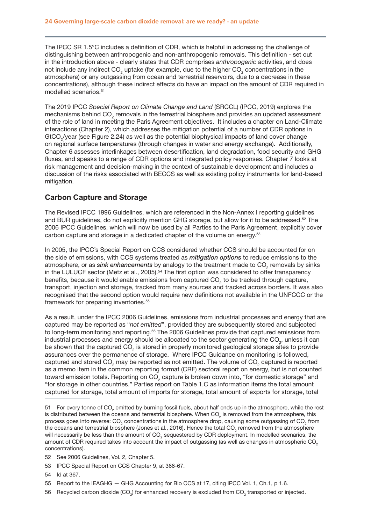<span id="page-25-0"></span>The IPCC SR 1.5°C includes a definition of CDR, which is helpful in addressing the challenge of distinguishing between anthropogenic and non-anthropogenic removals. This definition - set out in the introduction above - clearly states that CDR comprises *anthropogenic* activities, and does not include any indirect CO<sub>2</sub> uptake (for example, due to the higher CO<sub>2</sub> concentrations in the atmosphere) or any outgassing from ocean and terrestrial reservoirs, due to a decrease in these concentrations), although these indirect effects do have an impact on the amount of CDR required in modelled scenarios.51

The 2019 IPCC *Special Report on Climate Change and Land* (SRCCL) (IPCC, 2019) explores the mechanisms behind CO<sub>2</sub> removals in the terrestrial biosphere and provides an updated assessment of the role of land in meeting the Paris Agreement objectives. It includes a chapter on Land-Climate interactions (Chapter 2), which addresses the mitigation potential of a number of CDR options in  $GtCO_2$ /year (see Figure 2.24) as well as the potential biophysical impacts of land cover change on regional surface temperatures (through changes in water and energy exchange). Additionally, Chapter 6 assesses interlinkages between desertification, land degradation, food security and GHG fluxes, and speaks to a range of CDR options and integrated policy responses. Chapter 7 looks at risk management and decision-making in the context of sustainable development and includes a discussion of the risks associated with BECCS as well as existing policy instruments for land-based mitigation.

## Carbon Capture and Storage

The Revised IPCC 1996 Guidelines, which are referenced in the Non-Annex I reporting guidelines and BUR guidelines, do not explicitly mention GHG storage, but allow for it to be addressed.<sup>52</sup> The 2006 IPCC Guidelines, which will now be used by all Parties to the Paris Agreement, explicitly cover carbon capture and storage in a dedicated chapter of the volume on energy.<sup>53</sup>

In 2005, the IPCC's Special Report on CCS considered whether CCS should be accounted for on the side of emissions, with CCS systems treated as *mitigation options* to reduce emissions to the atmosphere, or as *sink enhancements* by analogy to the treatment made to CO<sub>2</sub> removals by sinks in the LULUCF sector (Metz et al., 2005).<sup>54</sup> The first option was considered to offer transparency benefits, because it would enable emissions from captured CO<sub>2</sub> to be tracked through capture, transport, injection and storage, tracked from many sources and tracked across borders. It was also recognised that the second option would require new definitions not available in the UNFCCC or the framework for preparing inventories.<sup>55</sup>

As a result, under the IPCC 2006 Guidelines, emissions from industrial processes and energy that are captured may be reported as "*not emitted*", provided they are subsequently stored and subjected to long-term monitoring and reporting.<sup>56</sup> The 2006 Guidelines provide that captured emissions from industrial processes and energy should be allocated to the sector generating the CO<sub>2</sub>, unless it can be shown that the captured CO<sub>2</sub> is stored in properly monitored geological storage sites to provide assurances over the permanence of storage. Where IPCC Guidance on monitoring is followed, captured and stored CO<sub>2</sub> may be reported as not emitted. The volume of CO<sub>2</sub> captured is reported as a memo item in the common reporting format (CRF) sectoral report on energy, but is not counted toward emission totals. Reporting on CO<sub>2</sub> capture is broken down into, "for domestic storage" and "for storage in other countries." Parties report on Table 1.C as information items the total amount captured for storage, total amount of imports for storage, total amount of exports for storage, total

- 52 See 2006 Guidelines, Vol. 2, Chapter 5.
- 53 IPCC Special Report on CCS Chapter 9, at 366-67.
- 54 Id at 367.
- 55 Report to the IEAGHG GHG Accounting for Bio CCS at 17, citing IPCC Vol. 1, Ch.1, p 1.6.
- 56 Recycled carbon dioxide (CO<sub>2</sub>) for enhanced recovery is excluded from CO<sub>2</sub> transported or injected.

<sup>51</sup> For every tonne of CO<sub>2</sub> emitted by burning fossil fuels, about half ends up in the atmosphere, while the rest is distributed between the oceans and terrestrial biosphere. When CO<sub>2</sub> is removed from the atmosphere, this process goes into reverse: CO<sub>2</sub> concentrations in the atmosphere drop, causing some outgassing of CO<sub>2</sub> from the oceans and terrestrial biosphere (Jones et al., 2016). Hence the total CO<sub>2</sub> removed from the atmosphere will necessarily be less than the amount of CO<sub>2</sub> sequestered by CDR deployment. In modelled scenarios, the amount of CDR required takes into account the impact of outgassing (as well as changes in atmospheric CO<sub>2</sub> concentrations).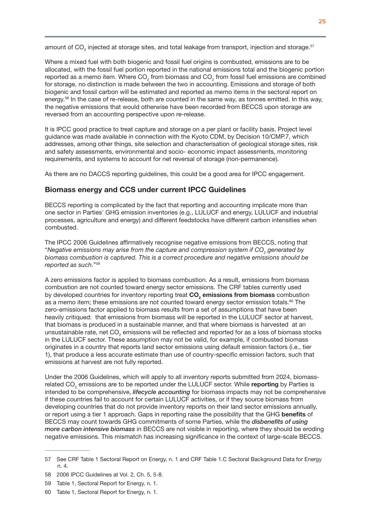amount of CO<sub>2</sub> injected at storage sites, and total leakage from transport, injection and storage.<sup>57</sup>

Where a mixed fuel with both biogenic and fossil fuel origins is combusted, emissions are to be allocated, with the fossil fuel portion reported in the national emissions total and the biogenic portion reported as a memo item. Where CO<sub>2</sub> from biomass and CO<sub>2</sub> from fossil fuel emissions are combined for storage, no distinction is made between the two in accounting. Emissions and storage of both biogenic and fossil carbon will be estimated and reported as memo items in the sectoral report on energy.58 In the case of re-release, both are counted in the same way, as tonnes emitted. In this way, the negative emissions that would otherwise have been recorded from BECCS upon storage are reversed from an accounting perspective upon re-release.

It is IPCC good practice to treat capture and storage on a per plant or facility basis. Project level guidance was made available in connection with the Kyoto CDM, by Decision 10/CMP.7, which addresses, among other things, site selection and characterisation of geological storage sites, risk and safety assessments, environmental and socio- economic impact assessments, monitoring requirements, and systems to account for net reversal of storage (non-permanence).

As there are no DACCS reporting guidelines, this could be a good area for IPCC engagement.

## Biomass energy and CCS under current IPCC Guidelines

BECCS reporting is complicated by the fact that reporting and accounting implicate more than one sector in Parties' GHG emission inventories (e.g., LULUCF and energy, LULUCF and industrial processes, agriculture and energy) and different feedstocks have different carbon intensities when combusted.

The IPCC 2006 Guidelines affirmatively recognise negative emissions from BECCS, noting that "Negative emissions may arise from the capture and compression system if  $\mathsf{CO}_2^{}$  generated by *biomass combustion is captured. This is a correct procedure and negative emissions should be reported as such.*"59

A zero emissions factor is applied to biomass combustion. As a result, emissions from biomass combustion are not counted toward energy sector emissions. The CRF tables currently used by developed countries for inventory reporting treat CO<sub>2</sub> emissions from biomass combustion as a memo item; these emissions are not counted toward energy sector emission totals.<sup>60</sup> The zero-emissions factor applied to biomass results from a set of assumptions that have been heavily critiqued: that emissions from biomass will be reported in the LULUCF sector at harvest, that biomass is produced in a sustainable manner, and that where biomass is harvested at an unsustainable rate, net CO<sub>2</sub> emissions will be reflected and reported for as a loss of biomass stocks in the LULUCF sector. These assumption may not be valid, for example, if combusted biomass originates in a country that reports land sector emissions using default emission factors (i.e., tier 1), that produce a less accurate estimate than use of country-specific emission factors, such that emissions at harvest are not fully reported.

Under the 2006 Guidelines, which will apply to all inventory reports submitted from 2024, biomassrelated CO<sub>2</sub> emissions are to be reported under the LULUCF sector. While reporting by Parties is intended to be comprehensive, *lifecycle accounting* for biomass impacts may not be comprehensive if these countries fail to account for certain LULUCF activities, or if they source biomass from developing countries that do not provide inventory reports on their land sector emissions annually, or report using a tier 1 approach. Gaps in reporting raise the possibility that the GHG benefits of BECCS may count towards GHG commitments of some Parties, while the *disbenefits of using more carbon intensive biomass* in BECCS are not visible in reporting, where they should be eroding negative emissions. This mismatch has increasing significance in the context of large-scale BECCS.

<sup>57</sup> See CRF Table 1 Sectoral Report on Energy, n. 1 and CRF Table 1.C Sectoral Background Data for Energy n. 4.

<sup>58</sup> 2006 IPCC Guidelines at Vol. 2, Ch. 5, 5-8.

<sup>59</sup> Table 1, Sectoral Report for Energy, n. 1.

<sup>60</sup> Table 1, Sectoral Report for Energy, n. 1.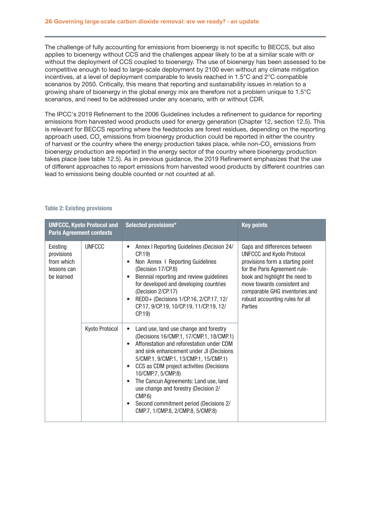The challenge of fully accounting for emissions from bioenergy is not specific to BECCS, but also applies to bioenergy without CCS and the challenges appear likely to be at a similar scale with or without the deployment of CCS coupled to bioenergy. The use of bioenergy has been assessed to be competitive enough to lead to large-scale deployment by 2100 even without any climate mitigation incentives, at a level of deployment comparable to levels reached in 1.5°C and 2°C compatible scenarios by 2050. Critically, this means that reporting and sustainability issues in relation to a growing share of bioenergy in the global energy mix are therefore not a problem unique to 1.5°C scenarios, and need to be addressed under any scenario, with or without CDR.

The IPCC's 2019 Refinement to the 2006 Guidelines includes a refinement to guidance for reporting emissions from harvested wood products used for energy generation (Chapter 12, section 12.5). This is relevant for BECCS reporting where the feedstocks are forest residues, depending on the reporting approach used, CO<sub>2</sub> emissions from bioenergy production could be reported in either the country of harvest or the country where the energy production takes place, while non-CO<sub>2</sub> emissions from bioenergy production are reported in the energy sector of the country where bioenergy production takes place (see table 12.5). As in previous guidance, the 2019 Refinement emphasizes that the use of different approaches to report emissions from harvested wood products by different countries can lead to emissions being double counted or not counted at all.

| <b>UNFCCC, Kyoto Protocol and</b><br><b>Paris Agreement contexts</b> |                | Selected provisions*                                                                                                                                                                                                                                                                                                                                                                                                                                                                      | <b>Key points</b>                                                                                                                                                                                                                                                                      |
|----------------------------------------------------------------------|----------------|-------------------------------------------------------------------------------------------------------------------------------------------------------------------------------------------------------------------------------------------------------------------------------------------------------------------------------------------------------------------------------------------------------------------------------------------------------------------------------------------|----------------------------------------------------------------------------------------------------------------------------------------------------------------------------------------------------------------------------------------------------------------------------------------|
| Existing<br>provisions<br>from which<br>lessons can<br>be learned    | <b>UNFCCC</b>  | Annex I Reporting Guidelines (Decision 24/<br>CP.19)<br>Non Annex I Reporting Guidelines<br>(Decision 17/CP.8)<br>Biennial reporting and review guidelines<br>for developed and developing countries<br>(Decision 2/CP.17)<br>REDD+ (Decisions 1/CP.16, 2/CP.17, 12/<br>$\bullet$<br>CP.17, 9/CP.19, 10/CP.19, 11/CP.19, 12/<br>CP.19)                                                                                                                                                    | Gaps and differences between<br><b>UNFCCC and Kyoto Protocol</b><br>provisions form a starting point<br>for the Paris Agreement rule-<br>book and highlight the need to<br>move towards consistent and<br>comparable GHG inventories and<br>robust accounting rules for all<br>Parties |
|                                                                      | Kyoto Protocol | Land use, land use change and forestry<br>$\bullet$<br>(Decisions 16/CMP.1, 17/CMP.1, 18/CMP.1)<br>Afforestation and reforestation under CDM<br>and sink enhancement under JI (Decisions<br>5/CMP.1, 9/CMP.1, 13/CMP.1, 15/CMP.1)<br>CCS as CDM project activities (Decisions<br>$\bullet$<br>10/CMP.7, 5/CMP.8)<br>The Cancun Agreements: Land use, land<br>use change and forestry (Decision 2/<br>CMP.6<br>Second commitment period (Decisions 2/<br>CMP.7, 1/CMP.8, 2/CMP.8, 5/CMP.8) |                                                                                                                                                                                                                                                                                        |

### Table 2: Existing provisions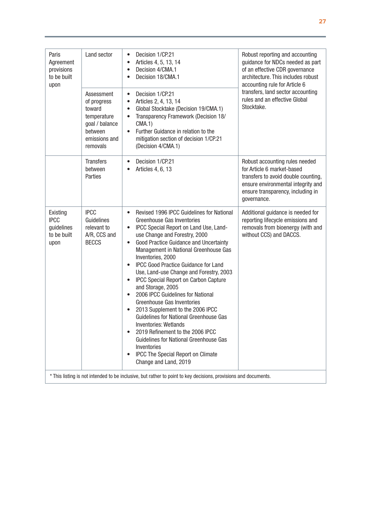| Paris<br>Agreement<br>provisions<br>to be built<br>upon      | Land sector                                                                                                  | Decision 1/CP.21<br>$\bullet$<br>Articles 4, 5, 13, 14<br>$\bullet$<br>Decision 4/CMA.1<br>$\bullet$<br>Decision 18/CMA.1<br>$\bullet$                                                                                                                                                                                                                                                                                                                                                                                                                                                                                                                                                                                                                                                                                                        | Robust reporting and accounting<br>guidance for NDCs needed as part<br>of an effective CDR governance<br>architecture. This includes robust<br>accounting rule for Article 6                  |
|--------------------------------------------------------------|--------------------------------------------------------------------------------------------------------------|-----------------------------------------------------------------------------------------------------------------------------------------------------------------------------------------------------------------------------------------------------------------------------------------------------------------------------------------------------------------------------------------------------------------------------------------------------------------------------------------------------------------------------------------------------------------------------------------------------------------------------------------------------------------------------------------------------------------------------------------------------------------------------------------------------------------------------------------------|-----------------------------------------------------------------------------------------------------------------------------------------------------------------------------------------------|
|                                                              | Assessment<br>of progress<br>toward<br>temperature<br>goal / balance<br>between<br>emissions and<br>removals | Decision 1/CP.21<br>$\bullet$<br>Articles 2, 4, 13, 14<br>$\bullet$<br>Global Stocktake (Decision 19/CMA.1)<br>$\bullet$<br>Transparency Framework (Decision 18/<br>$\bullet$<br>CMA.1)<br>Further Guidance in relation to the<br>$\bullet$<br>mitigation section of decision 1/CP.21<br>(Decision 4/CMA.1)                                                                                                                                                                                                                                                                                                                                                                                                                                                                                                                                   | transfers, land sector accounting<br>rules and an effective Global<br>Stocktake.                                                                                                              |
|                                                              | <b>Transfers</b><br>between<br>Parties                                                                       | Decision 1/CP.21<br>$\bullet$<br>Articles 4, 6, 13                                                                                                                                                                                                                                                                                                                                                                                                                                                                                                                                                                                                                                                                                                                                                                                            | Robust accounting rules needed<br>for Article 6 market-based<br>transfers to avoid double counting,<br>ensure environmental integrity and<br>ensure transparency, including in<br>governance. |
| Existing<br><b>IPCC</b><br>guidelines<br>to be built<br>upon | <b>IPCC</b><br>Guidelines<br>relevant to<br>A/R, CCS and<br><b>BECCS</b>                                     | Revised 1996 IPCC Guidelines for National<br>$\bullet$<br>Greenhouse Gas Inventories<br>IPCC Special Report on Land Use, Land-<br>$\bullet$<br>use Change and Forestry, 2000<br>Good Practice Guidance and Uncertainty<br>$\bullet$<br>Management in National Greenhouse Gas<br>Inventories, 2000<br>IPCC Good Practice Guidance for Land<br>$\bullet$<br>Use, Land-use Change and Forestry, 2003<br><b>IPCC Special Report on Carbon Capture</b><br>$\bullet$<br>and Storage, 2005<br>2006 IPCC Guidelines for National<br>$\bullet$<br><b>Greenhouse Gas Inventories</b><br>2013 Supplement to the 2006 IPCC<br>Guidelines for National Greenhouse Gas<br>Inventories: Wetlands<br>2019 Refinement to the 2006 IPCC<br>Guidelines for National Greenhouse Gas<br>Inventories<br>IPCC The Special Report on Climate<br>Change and Land, 2019 | Additional guidance is needed for<br>reporting lifecycle emissions and<br>removals from bioenergy (with and<br>without CCS) and DACCS.                                                        |
|                                                              |                                                                                                              | * This listing is not intended to be inclusive, but rather to point to key decisions, provisions and documents.                                                                                                                                                                                                                                                                                                                                                                                                                                                                                                                                                                                                                                                                                                                               |                                                                                                                                                                                               |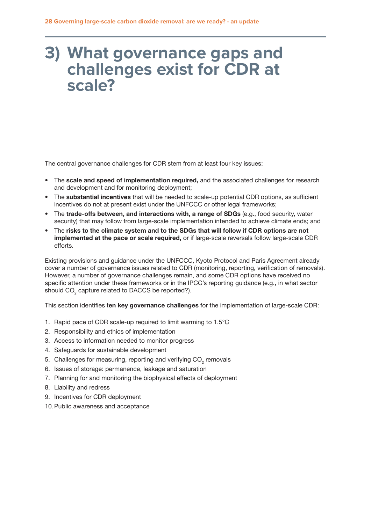# <span id="page-29-0"></span>**3) What governance gaps and challenges exist for CDR at scale?**

The central governance challenges for CDR stem from at least four key issues:

- The scale and speed of implementation required, and the associated challenges for research and development and for monitoring deployment;
- The substantial incentives that will be needed to scale-up potential CDR options, as sufficient incentives do not at present exist under the UNFCCC or other legal frameworks;
- The trade-offs between, and interactions with, a range of SDGs (e.g., food security, water security) that may follow from large-scale implementation intended to achieve climate ends; and
- The risks to the climate system and to the SDGs that will follow if CDR options are not implemented at the pace or scale required, or if large-scale reversals follow large-scale CDR efforts.

Existing provisions and guidance under the UNFCCC, Kyoto Protocol and Paris Agreement already cover a number of governance issues related to CDR (monitoring, reporting, verification of removals). However, a number of governance challenges remain, and some CDR options have received no specific attention under these frameworks or in the IPCC's reporting guidance (e.g., in what sector should CO<sub>2</sub> capture related to DACCS be reported?).

This section identifies ten key governance challenges for the implementation of large-scale CDR:

- 1. Rapid pace of CDR scale-up required to limit warming to 1.5°C
- 2. Responsibility and ethics of implementation
- 3. Access to information needed to monitor progress
- 4. Safeguards for sustainable development
- 5. Challenges for measuring, reporting and verifying CO<sub>2</sub> removals
- 6. Issues of storage: permanence, leakage and saturation
- 7. Planning for and monitoring the biophysical effects of deployment
- 8. Liability and redress
- 9. Incentives for CDR deployment
- 10.Public awareness and acceptance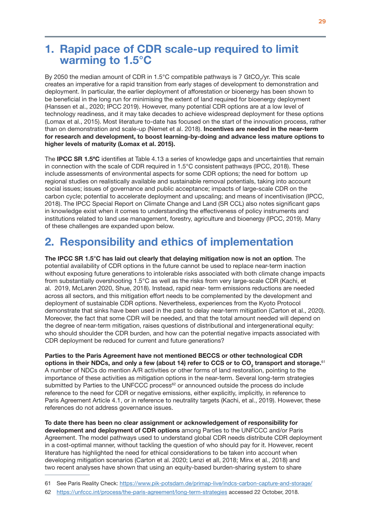## 1. Rapid pace of CDR scale-up required to limit warming to 1.5°C

By 2050 the median amount of CDR in 1.5°C compatible pathways is 7 GtCO<sub>2</sub>/yr. This scale creates an imperative for a rapid transition from early stages of development to demonstration and deployment. In particular, the earlier deployment of afforestation or bioenergy has been shown to be beneficial in the long run for minimising the extent of land required for bioenergy deployment (Hanssen et al., 2020; IPCC 2019). However, many potential CDR options are at a low level of technology readiness, and it may take decades to achieve widespread deployment for these options (Lomax et al., 2015). Most literature to-date has focused on the start of the innovation process, rather than on demonstration and scale-up (Nemet et al. 2018). Incentives are needed in the near-term for research and development, to boost learning-by-doing and advance less mature options to higher levels of maturity (Lomax et al. 2015).

The **IPCC SR 1.5°C** identifies at Table 4.13 a series of knowledge gaps and uncertainties that remain in connection with the scale of CDR required in 1.5°C consistent pathways (IPCC, 2018). These include assessments of environmental aspects for some CDR options; the need for bottom up regional studies on realistically available and sustainable removal potentials, taking into account social issues; issues of governance and public acceptance; impacts of large-scale CDR on the carbon cycle; potential to accelerate deployment and upscaling; and means of incentivisation (IPCC, 2018). The IPCC Special Report on Climate Change and Land (SR CCL) also notes significant gaps in knowledge exist when it comes to understanding the effectiveness of policy instruments and institutions related to land use management, forestry, agriculture and bioenergy (IPCC, 2019). Many of these challenges are expanded upon below.

# 2. Responsibility and ethics of implementation

The IPCC SR 1.5°C has laid out clearly that delaying mitigation now is not an option. The potential availability of CDR options in the future cannot be used to replace near-term inaction without exposing future generations to intolerable risks associated with both climate change impacts from substantially overshooting 1.5°C as well as the risks from very large-scale CDR (Kachi, et al. 2019, McLaren 2020, Shue, 2018). Instead, rapid near- term emissions reductions are needed across all sectors, and this mitigation effort needs to be complemented by the development and deployment of sustainable CDR options. Nevertheless, experiences from the Kyoto Protocol demonstrate that sinks have been used in the past to delay near-term mitigation (Carton et al., 2020). Moreover, the fact that some CDR will be needed, and that the total amount needed will depend on the degree of near-term mitigation, raises questions of distributional and intergenerational equity: who should shoulder the CDR burden, and how can the potential negative impacts associated with CDR deployment be reduced for current and future generations?

Parties to the Paris Agreement have not mentioned BECCS or other technological CDR options in their NDCs, and only a few (about 14) refer to CCS or to CO<sub>2</sub> transport and storage. $^{\mathfrak{sl}}$ A number of NDCs do mention A/R activities or other forms of land restoration, pointing to the importance of these activities as mitigation options in the near-term. Several long-term strategies submitted by Parties to the UNFCCC process $62$  or announced outside the process do include reference to the need for CDR or negative emissions, either explicitly, implicitly, in reference to Paris Agreement Article 4.1, or in reference to neutrality targets (Kachi, et al., 2019). However, these references do not address governance issues.

To date there has been no clear assignment or acknowledgement of responsibility for development and deployment of CDR options among Parties to the UNFCCC and/or Paris Agreement. The model pathways used to understand global CDR needs distribute CDR deployment in a cost-optimal manner, without tackling the question of who should pay for it. However, recent literature has highlighted the need for ethical considerations to be taken into account when developing mitigation scenarios (Carton et al. 2020; Lenzi et all, 2018; Minx et al., 2018) and two recent analyses have shown that using an equity-based burden-sharing system to share

62 <https://unfccc.int/process/the-paris-agreement/long-term-strategies>accessed 22 October, 2018.

<sup>61</sup> See Paris Reality Check:<https://www.pik-potsdam.de/primap-live/indcs-carbon-capture-and-storage/>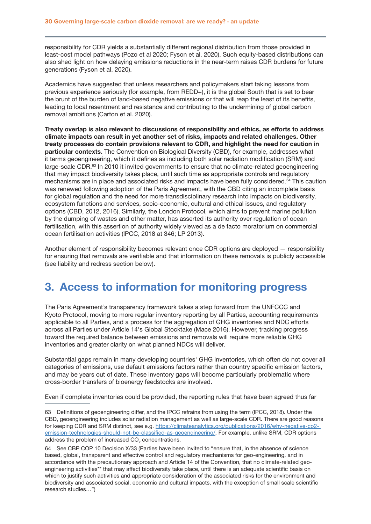responsibility for CDR yields a substantially different regional distribution from those provided in least-cost model pathways (Pozo et al 2020; Fyson et al. 2020). Such equity-based distributions can also shed light on how delaying emissions reductions in the near-term raises CDR burdens for future generations (Fyson et al. 2020).

Academics have suggested that unless researchers and policymakers start taking lessons from previous experience seriously (for example, from REDD+), it is the global South that is set to bear the brunt of the burden of land-based negative emissions or that will reap the least of its benefits, leading to local resentment and resistance and contributing to the undermining of global carbon removal ambitions (Carton et al. 2020).

Treaty overlap is also relevant to discussions of responsibility and ethics, as efforts to address climate impacts can result in yet another set of risks, impacts and related challenges. Other treaty processes do contain provisions relevant to CDR, and highlight the need for caution in particular contexts. The Convention on Biological Diversity (CBD), for example, addresses what it terms geoengineering, which it defines as including both solar radiation modification (SRM) and large-scale CDR.<sup>63</sup> In 2010 it invited governments to ensure that no climate-related geoengineering that may impact biodiversity takes place, until such time as appropriate controls and regulatory mechanisms are in place and associated risks and impacts have been fully considered.64 This caution was renewed following adoption of the Paris Agreement, with the CBD citing an incomplete basis for global regulation and the need for more transdisciplinary research into impacts on biodiversity, ecosystem functions and services, socio-economic, cultural and ethical issues, and regulatory options (CBD, 2012, 2016). Similarly, the London Protocol, which aims to prevent marine pollution by the dumping of wastes and other matter, has asserted its authority over regulation of ocean fertilisation, with this assertion of authority widely viewed as a de facto moratorium on commercial ocean fertilisation activities (IPCC, 2018 at 346; LP 2013).

Another element of responsibility becomes relevant once CDR options are deployed — responsibility for ensuring that removals are verifiable and that information on these removals is publicly accessible (see liability and redress section below).

## 3. Access to information for monitoring progress

The Paris Agreement's transparency framework takes a step forward from the UNFCCC and Kyoto Protocol, moving to more regular inventory reporting by all Parties, accounting requirements applicable to all Parties, and a process for the aggregation of GHG inventories and NDC efforts across all Parties under Article 14's Global Stocktake (Mace 2016). However, tracking progress toward the required balance between emissions and removals will require more reliable GHG inventories and greater clarity on what planned NDCs will deliver.

Substantial gaps remain in many developing countries' GHG inventories, which often do not cover all categories of emissions, use default emissions factors rather than country specific emission factors, and may be years out of date. These inventory gaps will become particularly problematic where cross-border transfers of bioenergy feedstocks are involved.

Even if complete inventories could be provided, the reporting rules that have been agreed thus far

<sup>63</sup> Definitions of geoengineering differ, and the IPCC refrains from using the term (IPCC, 2018). Under the CBD, geoengineering includes solar radiation management as well as large-scale CDR. There are good reasons for keeping CDR and SRM distinct, see e.g. [https://climateanalytics.org/publications/2016/why-negative-co2](https://climateanalytics.org/publications/2016/why-negative-co2- emission-technologies-should-not-be-classified-as-geoengineering/)  [emission-technologies-should-not-be-classified-as-geoengineering/.](https://climateanalytics.org/publications/2016/why-negative-co2- emission-technologies-should-not-be-classified-as-geoengineering/) For example, unlike SRM, CDR options address the problem of increased  $\mathsf{CO}_2^{}$  concentrations.

<sup>64</sup> See CBP COP 10 Decision X/33 (Parties have been invited to "ensure that, in the absence of science based, global, transparent and effective control and regulatory mechanisms for geo-engineering, and in accordance with the precautionary approach and Article 14 of the Convention, that no climate-related geoengineering activities\*\* that may affect biodiversity take place, until there is an adequate scientific basis on which to justify such activities and appropriate consideration of the associated risks for the environment and biodiversity and associated social, economic and cultural impacts, with the exception of small scale scientific research studies…")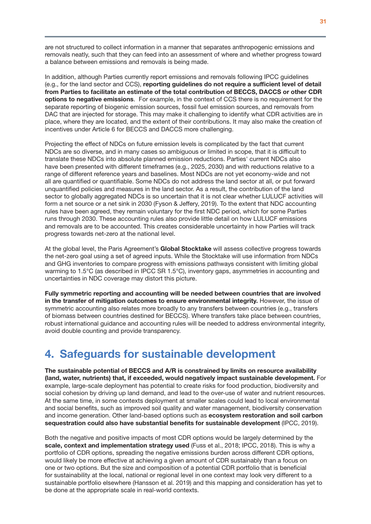are not structured to collect information in a manner that separates anthropogenic emissions and removals neatly, such that they can feed into an assessment of where and whether progress toward a balance between emissions and removals is being made.

In addition, although Parties currently report emissions and removals following IPCC guidelines (e.g., for the land sector and CCS), reporting guidelines do not require a sufficient level of detail from Parties to facilitate an estimate of the total contribution of BECCS, DACCS or other CDR options to negative emissions. For example, in the context of CCS there is no requirement for the separate reporting of biogenic emission sources, fossil fuel emission sources, and removals from DAC that are injected for storage. This may make it challenging to identify what CDR activities are in place, where they are located, and the extent of their contributions. It may also make the creation of incentives under Article 6 for BECCS and DACCS more challenging.

Projecting the effect of NDCs on future emission levels is complicated by the fact that current NDCs are so diverse, and in many cases so ambiguous or limited in scope, that it is difficult to translate these NDCs into absolute planned emission reductions. Parties' current NDCs also have been presented with different timeframes (e.g., 2025, 2030) and with reductions relative to a range of different reference years and baselines. Most NDCs are not yet economy-wide and not all are quantified or quantifiable. Some NDCs do not address the land sector at all, or put forward unquantified policies and measures in the land sector. As a result, the contribution of the land sector to globally aggregated NDCs is so uncertain that it is not clear whether LULUCF activities will form a net source or a net sink in 2030 (Fyson & Jeffery, 2019). To the extent that NDC accounting rules have been agreed, they remain voluntary for the first NDC period, which for some Parties runs through 2030. These accounting rules also provide little detail on how LULUCF emissions and removals are to be accounted. This creates considerable uncertainty in how Parties will track progress towards net-zero at the national level.

At the global level, the Paris Agreement's Global Stocktake will assess collective progress towards the net-zero goal using a set of agreed inputs. While the Stocktake will use information from NDCs and GHG inventories to compare progress with emissions pathways consistent with limiting global warming to 1.5°C (as described in IPCC SR 1.5°C), inventory gaps, asymmetries in accounting and uncertainties in NDC coverage may distort this picture.

Fully symmetric reporting and accounting will be needed between countries that are involved in the transfer of mitigation outcomes to ensure environmental integrity. However, the issue of symmetric accounting also relates more broadly to any transfers between countries (e.g., transfers of biomass between countries destined for BECCS). Where transfers take place between countries, robust international guidance and accounting rules will be needed to address environmental integrity, avoid double counting and provide transparency.

## 4. Safeguards for sustainable development

The sustainable potential of BECCS and A/R is constrained by limits on resource availability (land, water, nutrients) that, if exceeded, would negatively impact sustainable development. For example, large-scale deployment has potential to create risks for food production, biodiversity and social cohesion by driving up land demand, and lead to the over-use of water and nutrient resources. At the same time, in some contexts deployment at smaller scales could lead to local environmental and social benefits, such as improved soil quality and water management, biodiversity conservation and income generation. Other land-based options such as **ecosystem restoration and soil carbon** sequestration could also have substantial benefits for sustainable development (IPCC, 2019).

Both the negative and positive impacts of most CDR options would be largely determined by the scale, context and implementation strategy used (Fuss et al., 2018; IPCC, 2018). This is why a portfolio of CDR options, spreading the negative emissions burden across different CDR options, would likely be more effective at achieving a given amount of CDR sustainably than a focus on one or two options. But the size and composition of a potential CDR portfolio that is beneficial for sustainability at the local, national or regional level in one context may look very different to a sustainable portfolio elsewhere (Hansson et al. 2019) and this mapping and consideration has yet to be done at the appropriate scale in real-world contexts.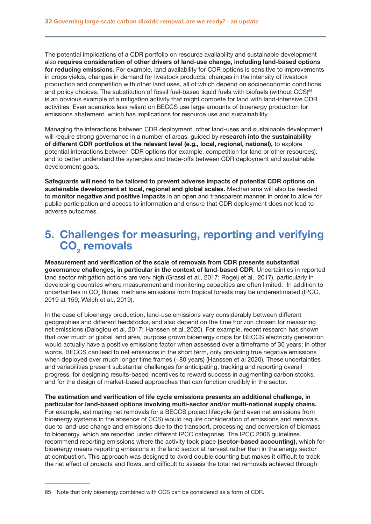<span id="page-33-0"></span>The potential implications of a CDR portfolio on resource availability and sustainable development also requires consideration of other drivers of land-use change, including land-based options for reducing emissions. For example, land availability for CDR options is sensitive to improvements in crops yields, changes in demand for livestock products, changes in the intensity of livestock production and competition with other land uses, all of which depend on socioeconomic conditions and policy choices. The substitution of fossil fuel-based liquid fuels with biofuels (without CCS)<sup>65</sup> is an obvious example of a mitigation activity that might compete for land with land-intensive CDR activities. Even scenarios less reliant on BECCS use large amounts of bioenergy production for emissions abatement, which has implications for resource use and sustainability.

Managing the interactions between CDR deployment, other land-uses and sustainable development will require strong governance in a number of areas, guided by research into the sustainability of different CDR portfolios at the relevant level (e.g., local, regional, national), to explore potential interactions between CDR options (for example, competition for land or other resources), and to better understand the synergies and trade-offs between CDR deployment and sustainable development goals.

Safeguards will need to be tailored to prevent adverse impacts of potential CDR options on sustainable development at local, regional and global scales. Mechanisms will also be needed to monitor negative and positive impacts in an open and transparent manner, in order to allow for public participation and access to information and ensure that CDR deployment does not lead to adverse outcomes.

# 5. Challenges for measuring, reporting and verifying CO<sub>2</sub> removals

Measurement and verification of the scale of removals from CDR presents substantial governance challenges, in particular in the context of land-based CDR. Uncertainties in reported land sector mitigation actions are very high (Grassi et al., 2017; Rogelj et al., 2017), particularly in developing countries where measurement and monitoring capacities are often limited. In addition to uncertainties in CO<sub>2</sub> fluxes, methane emissions from tropical forests may be underestimated (IPCC, 2019 at 159; Welch et al., 2019).

In the case of bioenergy production, land-use emissions vary considerably between different geographies and different feedstocks, and also depend on the time horizon chosen for measuring net emissions (Daioglou et al. 2017; Hanssen et al. 2020). For example, recent research has shown that over much of global land area, purpose grown bioenergy crops for BECCS electricity generation would actually have a positive emissions factor when assessed over a timeframe of 30 years; in other words, BECCS can lead to net emissions in the short term, only providing true negative emissions when deployed over much longer time frames (~80 years) (Hanssen et al 2020). These uncertainties and variabilities present substantial challenges for anticipating, tracking and reporting overall progress, for designing results-based incentives to reward success in augmenting carbon stocks, and for the design of market-based approaches that can function credibly in the sector.

The estimation and verification of life cycle emissions presents an additional challenge, in particular for land-based options involving multi-sector and/or multi-national supply chains. For example, estimating net removals for a BECCS project lifecycle (and even net emissions from bioenergy systems in the absence of CCS) would require consideration of emissions and removals due to land-use change and emissions due to the transport, processing and conversion of biomass to bioenergy, which are reported under different IPCC categories. The IPCC 2006 guidelines recommend reporting emissions where the activity took place (sector-based accounting), which for bioenergy means reporting emissions in the land sector at harvest rather than in the energy sector at combustion. This approach was designed to avoid double counting but makes it difficult to track the net effect of projects and flows, and difficult to assess the total net removals achieved through

<sup>65</sup> Note that only bioenergy combined with CCS can be considered as a form of CDR.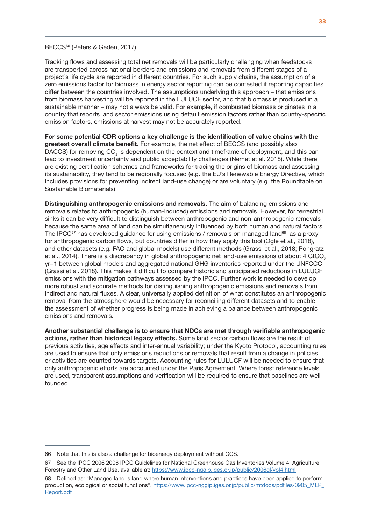### BECCS<sup>66</sup> (Peters & Geden, 2017).

Tracking flows and assessing total net removals will be particularly challenging when feedstocks are transported across national borders and emissions and removals from different stages of a project's life cycle are reported in different countries. For such supply chains, the assumption of a zero emissions factor for biomass in energy sector reporting can be contested if reporting capacities differ between the countries involved. The assumptions underlying this approach – that emissions from biomass harvesting will be reported in the LULUCF sector, and that biomass is produced in a sustainable manner – may not always be valid. For example, if combusted biomass originates in a country that reports land sector emissions using default emission factors rather than country-specific emission factors, emissions at harvest may not be accurately reported.

For some potential CDR options a key challenge is the identification of value chains with the greatest overall climate benefit. For example, the net effect of BECCS (and possibly also DACCS) for removing CO<sub>2</sub> is dependent on the context and timeframe of deployment, and this can lead to investment uncertainty and public acceptability challenges (Nemet et al. 2018). While there are existing certification schemes and frameworks for tracing the origins of biomass and assessing its sustainability, they tend to be regionally focused (e.g. the EU's Renewable Energy Directive, which includes provisions for preventing indirect land-use change) or are voluntary (e.g. the Roundtable on Sustainable Biomaterials).

Distinguishing anthropogenic emissions and removals. The aim of balancing emissions and removals relates to anthropogenic (human-induced) emissions and removals. However, for terrestrial sinks it can be very difficult to distinguish between anthropogenic and non-anthropogenic removals because the same area of land can be simultaneously influenced by both human and natural factors. The IPCC<sup>67</sup> has developed guidance for using emissions / removals on managed land<sup>68</sup> as a proxy for anthropogenic carbon flows, but countries differ in how they apply this tool (Ogle et al., 2018), and other datasets (e.g. FAO and global models) use different methods (Grassi et al., 2018; Pongratz et al., 2014). There is a discrepancy in global anthropogenic net land-use emissions of about 4 GtCO<sub>2</sub> yr−1 between global models and aggregated national GHG inventories reported under the UNFCCC (Grassi et al. 2018). This makes it difficult to compare historic and anticipated reductions in LULUCF emissions with the mitigation pathways assessed by the IPCC. Further work is needed to develop more robust and accurate methods for distinguishing anthropogenic emissions and removals from indirect and natural fluxes. A clear, universally applied definition of what constitutes an anthropogenic removal from the atmosphere would be necessary for reconciling different datasets and to enable the assessment of whether progress is being made in achieving a balance between anthropogenic emissions and removals.

Another substantial challenge is to ensure that NDCs are met through verifiable anthropogenic actions, rather than historical legacy effects. Some land sector carbon flows are the result of previous activities, age effects and inter-annual variability; under the Kyoto Protocol, accounting rules are used to ensure that only emissions reductions or removals that result from a change in policies or activities are counted towards targets. Accounting rules for LULUCF will be needed to ensure that only anthropogenic efforts are accounted under the Paris Agreement. Where forest reference levels are used, transparent assumptions and verification will be required to ensure that baselines are wellfounded.

<sup>66</sup> Note that this is also a challenge for bioenergy deployment without CCS.

<sup>67</sup> See the IPCC 2006 2006 IPCC Guidelines for National Greenhouse Gas Inventories Volume 4: Agriculture, Forestry and Other Land Use, available at: <https://www.ipcc-nggip.iges.or.jp/public/2006gl/vol4.html>

<sup>68</sup> Defined as: "Managed land is land where human interventions and practices have been applied to perform production, ecological or social functions". https://www.ipcc-ngqip.iges.or.jp/public/mtdocs/pdfiles/0905\_MLP\_ [Report.pdf](https://www.ipcc-nggip.iges.or.jp/public/mtdocs/pdfiles/0905_MLP_ Report.pdf)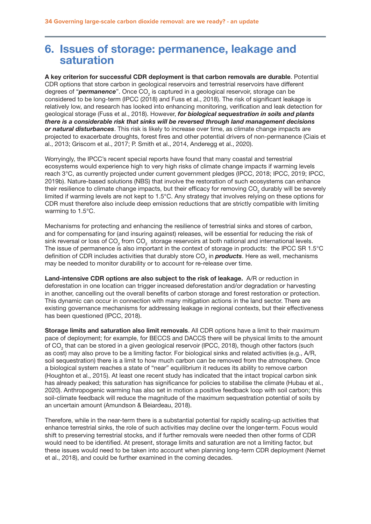## 6. Issues of storage: permanence, leakage and saturation

A key criterion for successful CDR deployment is that carbon removals are durable. Potential CDR options that store carbon in geological reservoirs and terrestrial reservoirs have different degrees of "**permanence**". Once CO<sub>2</sub> is captured in a geological reservoir, storage can be considered to be long-term (IPCC (2018) and Fuss et al., 2018). The risk of significant leakage is relatively low, and research has looked into enhancing monitoring, verification and leak detection for geological storage (Fuss et al., 2018). However, *for biological sequestration in soils and plants there is a considerable risk that sinks will be reversed through land management decisions or natural disturbances*. This risk is likely to increase over time, as climate change impacts are projected to exacerbate droughts, forest fires and other potential drivers of non-permanence (Ciais et al., 2013; Griscom et al., 2017; P. Smith et al., 2014, Anderegg et al., 2020).

Worryingly, the IPCC's recent special reports have found that many coastal and terrestrial ecosystems would experience high to very high risks of climate change impacts if warming levels reach 3°C, as currently projected under current government pledges (IPCC, 2018; IPCC, 2019; IPCC, 2019b). Nature-based solutions (NBS) that involve the restoration of such ecosystems can enhance their resilience to climate change impacts, but their efficacy for removing CO<sub>2</sub> durably will be severely limited if warming levels are not kept to 1.5°C. Any strategy that involves relying on these options for CDR must therefore also include deep emission reductions that are strictly compatible with limiting warming to 1.5°C.

Mechanisms for protecting and enhancing the resilience of terrestrial sinks and stores of carbon, and for compensating for (and insuring against) releases, will be essential for reducing the risk of sink reversal or loss of CO<sub>2</sub> from CO<sub>2</sub> storage reservoirs at both national and international levels. The issue of permanence is also important in the context of storage in products: the IPCC SR 1.5°C definition of CDR includes activities that durably store CO<sub>2</sub> in *products*. Here as well, mechanisms may be needed to monitor durability or to account for re-release over time.

Land-intensive CDR options are also subject to the risk of leakage. A/R or reduction in deforestation in one location can trigger increased deforestation and/or degradation or harvesting in another, cancelling out the overall benefits of carbon storage and forest restoration or protection. This dynamic can occur in connection with many mitigation actions in the land sector. There are existing governance mechanisms for addressing leakage in regional contexts, but their effectiveness has been questioned (IPCC, 2018).

Storage limits and saturation also limit removals. All CDR options have a limit to their maximum pace of deployment; for example, for BECCS and DACCS there will be physical limits to the amount of CO<sub>2</sub> that can be stored in a given geological reservoir (IPCC, 2018), though other factors (such as cost) may also prove to be a limiting factor. For biological sinks and related activities (e.g., A/R, soil sequestration) there is a limit to how much carbon can be removed from the atmosphere. Once a biological system reaches a state of "near" equilibrium it reduces its ability to remove carbon (Houghton et al., 2015). At least one recent study has indicated that the intact tropical carbon sink has already peaked; this saturation has significance for policies to stabilise the climate (Hubau et al., 2020). Anthropogenic warming has also set in motion a positive feedback loop with soil carbon; this soil-climate feedback will reduce the magnitude of the maximum sequestration potential of soils by an uncertain amount (Amundson & Beiardeau, 2018).

Therefore, while in the near-term there is a substantial potential for rapidly scaling-up activities that enhance terrestrial sinks, the role of such activities may decline over the longer-term. Focus would shift to preserving terrestrial stocks, and if further removals were needed then other forms of CDR would need to be identified. At present, storage limits and saturation are not a limiting factor, but these issues would need to be taken into account when planning long-term CDR deployment (Nemet et al., 2018), and could be further examined in the coming decades.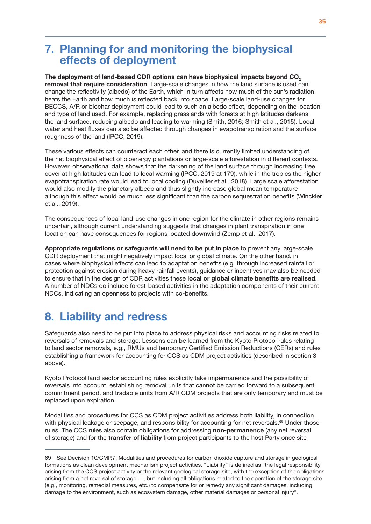# 7. Planning for and monitoring the biophysical effects of deployment

The deployment of land-based CDR options can have biophysical impacts beyond CO<sub>2</sub> removal that require consideration. Large-scale changes in how the land surface is used can change the reflectivity (albedo) of the Earth, which in turn affects how much of the sun's radiation heats the Earth and how much is reflected back into space. Large-scale land-use changes for BECCS, A/R or biochar deployment could lead to such an albedo effect, depending on the location and type of land used. For example, replacing grasslands with forests at high latitudes darkens the land surface, reducing albedo and leading to warming (Smith, 2016; Smith et al., 2015). Local water and heat fluxes can also be affected through changes in evapotranspiration and the surface roughness of the land (IPCC, 2019).

These various effects can counteract each other, and there is currently limited understanding of the net biophysical effect of bioenergy plantations or large-scale afforestation in different contexts. However, observational data shows that the darkening of the land surface through increasing tree cover at high latitudes can lead to local warming (IPCC, 2019 at 179), while in the tropics the higher evapotranspiration rate would lead to local cooling (Duveiller et al., 2018). Large scale afforestation would also modify the planetary albedo and thus slightly increase global mean temperature although this effect would be much less significant than the carbon sequestration benefits (Winckler et al., 2019).

The consequences of local land-use changes in one region for the climate in other regions remains uncertain, although current understanding suggests that changes in plant transpiration in one location can have consequences for regions located downwind (Zemp et al., 2017).

Appropriate regulations or safeguards will need to be put in place to prevent any large-scale CDR deployment that might negatively impact local or global climate. On the other hand, in cases where biophysical effects can lead to adaptation benefits (e.g. through increased rainfall or protection against erosion during heavy rainfall events), guidance or incentives may also be needed to ensure that in the design of CDR activities these local or global climate benefits are realised. A number of NDCs do include forest-based activities in the adaptation components of their current NDCs, indicating an openness to projects with co-benefits.

# 8. Liability and redress

Safeguards also need to be put into place to address physical risks and accounting risks related to reversals of removals and storage. Lessons can be learned from the Kyoto Protocol rules relating to land sector removals, e.g., RMUs and temporary Certified Emission Reductions (CERs) and rules establishing a framework for accounting for CCS as CDM project activities (described in section 3 above).

Kyoto Protocol land sector accounting rules explicitly take impermanence and the possibility of reversals into account, establishing removal units that cannot be carried forward to a subsequent commitment period, and tradable units from A/R CDM projects that are only temporary and must be replaced upon expiration.

Modalities and procedures for CCS as CDM project activities address both liability, in connection with physical leakage or seepage, and responsibility for accounting for net reversals.<sup>69</sup> Under those rules, The CCS rules also contain obligations for addressing non-permanence (any net reversal of storage) and for the transfer of liability from project participants to the host Party once site

<sup>69</sup> See Decision 10/CMP.7, Modalities and procedures for carbon dioxide capture and storage in geological formations as clean development mechanism project activities. "Liability" is defined as "the legal responsibility arising from the CCS project activity or the relevant geological storage site, with the exception of the obligations arising from a net reversal of storage …, but including all obligations related to the operation of the storage site (e.g., monitoring, remedial measures, etc.) to compensate for or remedy any significant damages, including damage to the environment, such as ecosystem damage, other material damages or personal injury".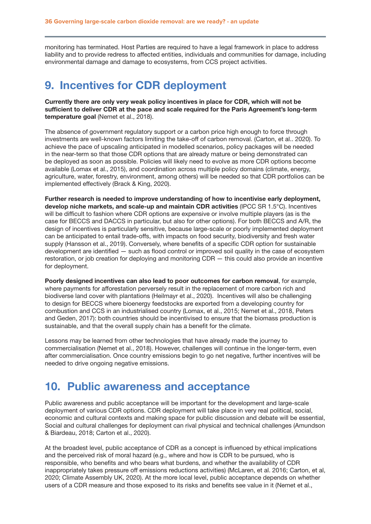monitoring has terminated. Host Parties are required to have a legal framework in place to address liability and to provide redress to affected entities, individuals and communities for damage, including environmental damage and damage to ecosystems, from CCS project activities.

## 9. Incentives for CDR deployment

Currently there are only very weak policy incentives in place for CDR, which will not be sufficient to deliver CDR at the pace and scale required for the Paris Agreement's long-term temperature goal (Nemet et al., 2018).

The absence of government regulatory support or a carbon price high enough to force through investments are well-known factors limiting the take-off of carbon removal. (Carton, et al.. 2020). To achieve the pace of upscaling anticipated in modelled scenarios, policy packages will be needed in the near-term so that those CDR options that are already mature or being demonstrated can be deployed as soon as possible. Policies will likely need to evolve as more CDR options become available (Lomax et al., 2015), and coordination across multiple policy domains (climate, energy, agriculture, water, forestry, environment, among others) will be needed so that CDR portfolios can be implemented effectively (Brack & King, 2020).

Further research is needed to improve understanding of how to incentivise early deployment, develop niche markets, and scale-up and maintain CDR activities (IPCC SR 1.5°C). Incentives will be difficult to fashion where CDR options are expensive or involve multiple players (as is the case for BECCS and DACCS in particular, but also for other options). For both BECCS and A/R, the design of incentives is particularly sensitive, because large-scale or poorly implemented deployment can be anticipated to entail trade-offs, with impacts on food security, biodiversity and fresh water supply (Hansson et al., 2019). Conversely, where benefits of a specific CDR option for sustainable development are identified — such as flood control or improved soil quality in the case of ecosystem restoration, or job creation for deploying and monitoring CDR — this could also provide an incentive for deployment.

Poorly designed incentives can also lead to poor outcomes for carbon removal, for example, where payments for afforestation perversely result in the replacement of more carbon rich and biodiverse land cover with plantations (Heilmayr et al., 2020). Incentives will also be challenging to design for BECCS where bioenergy feedstocks are exported from a developing country for combustion and CCS in an industrialised country (Lomax, et al., 2015; Nemet et al., 2018, Peters and Geden, 2017): both countries should be incentivised to ensure that the biomass production is sustainable, and that the overall supply chain has a benefit for the climate.

Lessons may be learned from other technologies that have already made the journey to commercialisation (Nemet et al., 2018). However, challenges will continue in the longer-term, even after commercialisation. Once country emissions begin to go net negative, further incentives will be needed to drive ongoing negative emissions.

## 10. Public awareness and acceptance

Public awareness and public acceptance will be important for the development and large-scale deployment of various CDR options. CDR deployment will take place in very real political, social, economic and cultural contexts and making space for public discussion and debate will be essential, Social and cultural challenges for deployment can rival physical and technical challenges (Amundson & Biardeau, 2018; Carton et al., 2020).

At the broadest level, public acceptance of CDR as a concept is influenced by ethical implications and the perceived risk of moral hazard (e.g., where and how is CDR to be pursued, who is responsible, who benefits and who bears what burdens, and whether the availability of CDR inappropriately takes pressure off emissions reductions activities) (McLaren, et al. 2016; Carton, et al, 2020; Climate Assembly UK, 2020). At the more local level, public acceptance depends on whether users of a CDR measure and those exposed to its risks and benefits see value in it (Nemet et al.,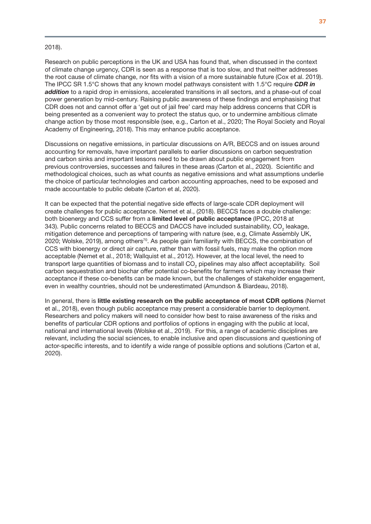### <span id="page-38-0"></span>2018).

Research on public perceptions in the UK and USA has found that, when discussed in the context of climate change urgency, CDR is seen as a response that is too slow, and that neither addresses the root cause of climate change, nor fits with a vision of a more sustainable future (Cox et al. 2019). The IPCC SR 1.5°C shows that any known model pathways consistent with 1.5°C require *CDR in addition* to a rapid drop in emissions, accelerated transitions in all sectors, and a phase-out of coal power generation by mid-century. Raising public awareness of these findings and emphasising that CDR does not and cannot offer a 'get out of jail free' card may help address concerns that CDR is being presented as a convenient way to protect the status quo, or to undermine ambitious climate change action by those most responsible (see, e.g., Carton et al., 2020; The Royal Society and Royal Academy of Engineering, 2018). This may enhance public acceptance.

Discussions on negative emissions, in particular discussions on A/R, BECCS and on issues around accounting for removals, have important parallels to earlier discussions on carbon sequestration and carbon sinks and important lessons need to be drawn about public engagement from previous controversies, successes and failures in these areas (Carton et al., 2020). Scientific and methodological choices, such as what counts as negative emissions and what assumptions underlie the choice of particular technologies and carbon accounting approaches, need to be exposed and made accountable to public debate (Carton et al, 2020).

It can be expected that the potential negative side effects of large-scale CDR deployment will create challenges for public acceptance. Nemet et al., (2018). BECCS faces a double challenge: both bioenergy and CCS suffer from a limited level of public acceptance (IPCC, 2018 at 343). Public concerns related to BECCS and DACCS have included sustainability, CO<sub>2</sub> leakage, mitigation deterrence and perceptions of tampering with nature (see, e.g, Climate Assembly UK, 2020; Wolske, 2019), among others<sup>70</sup>. As people gain familiarity with BECCS, the combination of CCS with bioenergy or direct air capture, rather than with fossil fuels, may make the option more acceptable (Nemet et al., 2018; Wallquist et al., 2012). However, at the local level, the need to transport large quantities of biomass and to install CO<sub>2</sub> pipelines may also affect acceptability. Soil carbon sequestration and biochar offer potential co-benefits for farmers which may increase their acceptance if these co-benefits can be made known, but the challenges of stakeholder engagement, even in wealthy countries, should not be underestimated (Amundson & Biardeau, 2018).

In general, there is little existing research on the public acceptance of most CDR options (Nemet et al., 2018), even though public acceptance may present a considerable barrier to deployment. Researchers and policy makers will need to consider how best to raise awareness of the risks and benefits of particular CDR options and portfolios of options in engaging with the public at local, national and international levels (Wolske et al., 2019). For this, a range of academic disciplines are relevant, including the social sciences, to enable inclusive and open discussions and questioning of actor-specific interests, and to identify a wide range of possible options and solutions (Carton et al, 2020).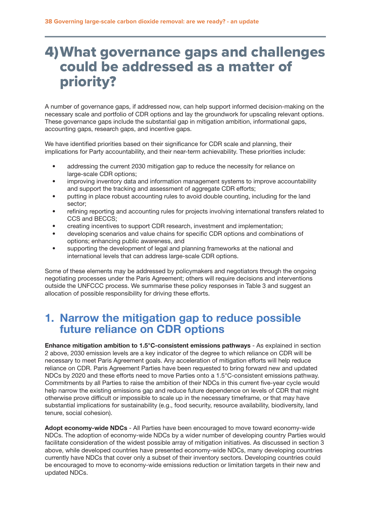# <span id="page-39-0"></span>4)What governance gaps and challenges could be addressed as a matter of priority?

A number of governance gaps, if addressed now, can help support informed decision-making on the necessary scale and portfolio of CDR options and lay the groundwork for upscaling relevant options. These governance gaps include the substantial gap in mitigation ambition, informational gaps, accounting gaps, research gaps, and incentive gaps.

We have identified priorities based on their significance for CDR scale and planning, their implications for Party accountability, and their near-term achievability. These priorities include:

- addressing the current 2030 mitigation gap to reduce the necessity for reliance on large-scale CDR options;
- improving inventory data and information management systems to improve accountability and support the tracking and assessment of aggregate CDR efforts;
- putting in place robust accounting rules to avoid double counting, including for the land sector;
- refining reporting and accounting rules for projects involving international transfers related to CCS and BECCS;
- creating incentives to support CDR research, investment and implementation;
- developing scenarios and value chains for specific CDR options and combinations of options; enhancing public awareness, and
- supporting the development of legal and planning frameworks at the national and international levels that can address large-scale CDR options.

Some of these elements may be addressed by policymakers and negotiators through the ongoing negotiating processes under the Paris Agreement; others will require decisions and interventions outside the UNFCCC process. We summarise these policy responses in Table 3 and suggest an allocation of possible responsibility for driving these efforts.

## 1. Narrow the mitigation gap to reduce possible future reliance on CDR options

Enhance mitigation ambition to 1.5°C-consistent emissions pathways - As explained in section 2 above, 2030 emission levels are a key indicator of the degree to which reliance on CDR will be necessary to meet Paris Agreement goals. Any acceleration of mitigation efforts will help reduce reliance on CDR. Paris Agreement Parties have been requested to bring forward new and updated NDCs by 2020 and these efforts need to move Parties onto a 1.5°C-consistent emissions pathway. Commitments by all Parties to raise the ambition of their NDCs in this current five-year cycle would help narrow the existing emissions gap and reduce future dependence on levels of CDR that might otherwise prove difficult or impossible to scale up in the necessary timeframe, or that may have substantial implications for sustainability (e.g., food security, resource availability, biodiversity, land tenure, social cohesion).

Adopt economy-wide NDCs - All Parties have been encouraged to move toward economy-wide NDCs. The adoption of economy-wide NDCs by a wider number of developing country Parties would facilitate consideration of the widest possible array of mitigation initiatives. As discussed in section 3 above, while developed countries have presented economy-wide NDCs, many developing countries currently have NDCs that cover only a subset of their inventory sectors. Developing countries could be encouraged to move to economy-wide emissions reduction or limitation targets in their new and updated NDCs.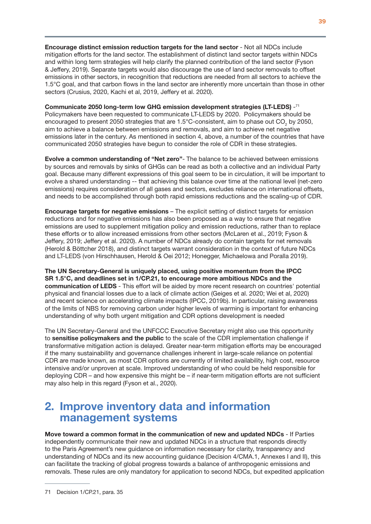Encourage distinct emission reduction targets for the land sector - Not all NDCs include mitigation efforts for the land sector. The establishment of distinct land sector targets within NDCs and within long term strategies will help clarify the planned contribution of the land sector (Fyson & Jeffery, 2019). Separate targets would also discourage the use of land sector removals to offset emissions in other sectors, in recognition that reductions are needed from all sectors to achieve the 1.5°C goal, and that carbon flows in the land sector are inherently more uncertain than those in other sectors (Crusius, 2020, Kachi et al, 2019, Jeffery et al. 2020).

Communicate 2050 long-term low GHG emission development strategies (LT-LEDS) -71 Policymakers have been requested to communicate LT-LEDS by 2020. Policymakers should be encouraged to present 2050 strategies that are 1.5°C-consistent, aim to phase out CO<sub>2</sub> by 2050, aim to achieve a balance between emissions and removals, and aim to achieve net negative emissions later in the century. As mentioned in section 4, above, a number of the countries that have

communicated 2050 strategies have begun to consider the role of CDR in these strategies.

Evolve a common understanding of "Net zero"- The balance to be achieved between emissions by sources and removals by sinks of GHGs can be read as both a collective and an individual Party goal. Because many different expressions of this goal seem to be in circulation, it will be important to evolve a shared understanding -- that achieving this balance over time at the national level (net-zero emissions) requires consideration of all gases and sectors, excludes reliance on international offsets, and needs to be accomplished through both rapid emissions reductions and the scaling-up of CDR.

Encourage targets for negative emissions – The explicit setting of distinct targets for emission reductions and for negative emissions has also been proposed as a way to ensure that negative emissions are used to supplement mitigation policy and emission reductions, rather than to replace these efforts or to allow increased emissions from other sectors (McLaren et al., 2019; Fyson & Jeffery, 2019; Jeffery et al. 2020). A number of NDCs already do contain targets for net removals (Herold & Böttcher 2018), and distinct targets warrant consideration in the context of future NDCs and LT-LEDS (von Hirschhausen, Herold & Oei 2012; Honegger, Michaelowa and Poralla 2019).

The UN Secretary-General is uniquely placed, using positive momentum from the IPCC SR 1.5°C, and deadlines set in 1/CP.21, to encourage more ambitious NDCs and the communication of LEDS - This effort will be aided by more recent research on countries' potential physical and financial losses due to a lack of climate action (Geiges et al. 2020; Wei et al, 2020) and recent science on accelerating climate impacts (IPCC, 2019b). In particular, raising awareness of the limits of NBS for removing carbon under higher levels of warming is important for enhancing understanding of why both urgent mitigation and CDR options development is needed

The UN Secretary-General and the UNFCCC Executive Secretary might also use this opportunity to sensitise policymakers and the public to the scale of the CDR implementation challenge if transformative mitigation action is delayed. Greater near-term mitigation efforts may be encouraged if the many sustainability and governance challenges inherent in large-scale reliance on potential CDR are made known, as most CDR options are currently of limited availability, high cost, resource intensive and/or unproven at scale. Improved understanding of who could be held responsible for deploying CDR – and how expensive this might be – if near-term mitigation efforts are not sufficient may also help in this regard (Fyson et al., 2020).

# 2. Improve inventory data and information management systems

Move toward a common format in the communication of new and updated NDCs - If Parties independently communicate their new and updated NDCs in a structure that responds directly to the Paris Agreement's new guidance on information necessary for clarity, transparency and understanding of NDCs and its new accounting guidance (Decision 4/CMA.1, Annexes I and II), this can facilitate the tracking of global progress towards a balance of anthropogenic emissions and removals. These rules are only mandatory for application to second NDCs, but expedited application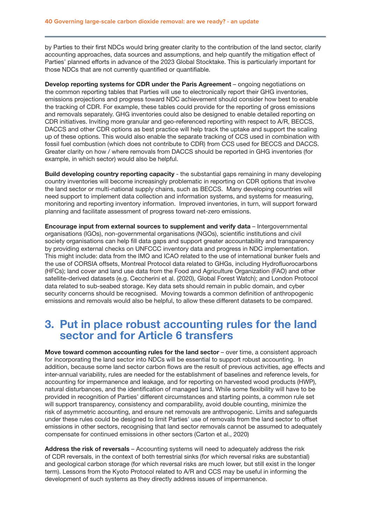by Parties to their first NDCs would bring greater clarity to the contribution of the land sector, clarify accounting approaches, data sources and assumptions, and help quantify the mitigation effect of Parties' planned efforts in advance of the 2023 Global Stocktake. This is particularly important for those NDCs that are not currently quantified or quantifiable.

Develop reporting systems for CDR under the Paris Agreement – ongoing negotiations on the common reporting tables that Parties will use to electronically report their GHG inventories, emissions projections and progress toward NDC achievement should consider how best to enable the tracking of CDR. For example, these tables could provide for the reporting of gross emissions and removals separately. GHG inventories could also be designed to enable detailed reporting on CDR initiatives. Inviting more granular and geo-referenced reporting with respect to A/R, BECCS, DACCS and other CDR options as best practice will help track the uptake and support the scaling up of these options. This would also enable the separate tracking of CCS used in combination with fossil fuel combustion (which does not contribute to CDR) from CCS used for BECCS and DACCS. Greater clarity on how / where removals from DACCS should be reported in GHG inventories (for example, in which sector) would also be helpful.

Build developing country reporting capacity - the substantial gaps remaining in many developing country inventories will become increasingly problematic in reporting on CDR options that involve the land sector or multi-national supply chains, such as BECCS. Many developing countries will need support to implement data collection and information systems, and systems for measuring, monitoring and reporting inventory information. Improved inventories, in turn, will support forward planning and facilitate assessment of progress toward net-zero emissions.

Encourage input from external sources to supplement and verify data - Intergovernmental organisations (IGOs), non-governmental organisations (NGOs), scientific institutions and civil society organisations can help fill data gaps and support greater accountability and transparency by providing external checks on UNFCCC inventory data and progress in NDC implementation. This might include: data from the IMO and ICAO related to the use of international bunker fuels and the use of CORSIA offsets, Montreal Protocol data related to GHGs, including Hydrofluorocarbons (HFCs); land cover and land use data from the Food and Agriculture Organization (FAO) and other satellite-derived datasets (e.g. Ceccherini et al. (2020), Global Forest Watch); and London Protocol data related to sub-seabed storage. Key data sets should remain in public domain, and cyber security concerns should be recognised. Moving towards a common definition of anthropogenic emissions and removals would also be helpful, to allow these different datasets to be compared.

## 3. Put in place robust accounting rules for the land sector and for Article 6 transfers

Move toward common accounting rules for the land sector – over time, a consistent approach for incorporating the land sector into NDCs will be essential to support robust accounting. In addition, because some land sector carbon flows are the result of previous activities, age effects and inter-annual variability, rules are needed for the establishment of baselines and reference levels, for accounting for impermanence and leakage, and for reporting on harvested wood products (HWP), natural disturbances, and the identification of managed land. While some flexibility will have to be provided in recognition of Parties' different circumstances and starting points, a common rule set will support transparency, consistency and comparability, avoid double counting, minimize the risk of asymmetric accounting, and ensure net removals are anthropogenic. Limits and safeguards under these rules could be designed to limit Parties' use of removals from the land sector to offset emissions in other sectors, recognising that land sector removals cannot be assumed to adequately compensate for continued emissions in other sectors (Carton et al., 2020)

Address the risk of reversals – Accounting systems will need to adequately address the risk of CDR reversals, in the context of both terrestrial sinks (for which reversal risks are substantial) and geological carbon storage (for which reversal risks are much lower, but still exist in the longer term). Lessons from the Kyoto Protocol related to A/R and CCS may be useful in informing the development of such systems as they directly address issues of impermanence.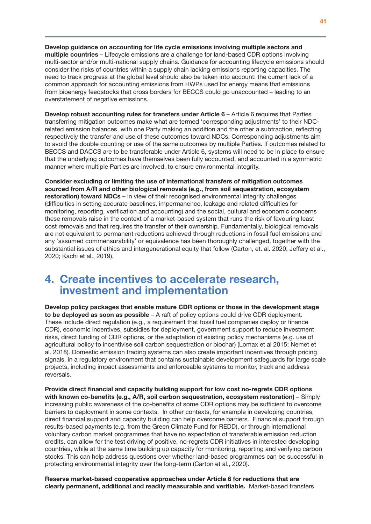Develop guidance on accounting for life cycle emissions involving multiple sectors and multiple countries – Lifecycle emissions are a challenge for land-based CDR options involving multi-sector and/or multi-national supply chains. Guidance for accounting lifecycle emissions should consider the risks of countries within a supply chain lacking emissions reporting capacities. The need to track progress at the global level should also be taken into account: the current lack of a common approach for accounting emissions from HWPs used for energy means that emissions from bioenergy feedstocks that cross borders for BECCS could go unaccounted – leading to an overstatement of negative emissions.

Develop robust accounting rules for transfers under Article 6 – Article 6 requires that Parties transferring mitigation outcomes make what are termed 'corresponding adjustments' to their NDCrelated emission balances, with one Party making an addition and the other a subtraction, reflecting respectively the transfer and use of these outcomes toward NDCs. Corresponding adjustments aim to avoid the double counting or use of the same outcomes by multiple Parties. If outcomes related to BECCS and DACCS are to be transferable under Article 6, systems will need to be in place to ensure that the underlying outcomes have themselves been fully accounted, and accounted in a symmetric manner where multiple Parties are involved, to ensure environmental integrity.

Consider excluding or limiting the use of international transfers of mitigation outcomes sourced from A/R and other biological removals (e.g., from soil sequestration, ecosystem restoration) toward NDCs – in view of their recognised environmental integrity challenges (difficulties in setting accurate baselines, impermanence, leakage and related difficulties for monitoring, reporting, verification and accounting) and the social, cultural and economic concerns these removals raise in the context of a market-based system that runs the risk of favouring least cost removals and that requires the transfer of their ownership. Fundamentally, biological removals are not equivalent to permanent reductions achieved through reductions in fossil fuel emissions and any 'assumed commensurability' or equivalence has been thoroughly challenged, together with the substantial issues of ethics and intergenerational equity that follow (Carton, et. al. 2020; Jeffery et al., 2020; Kachi et al., 2019).

## 4. Create incentives to accelerate research, investment and implementation

Develop policy packages that enable mature CDR options or those in the development stage to be deployed as soon as possible – A raft of policy options could drive CDR deployment. These include direct regulation (e.g., a requirement that fossil fuel companies deploy or finance CDR), economic incentives, subsidies for deployment, government support to reduce investment risks, direct funding of CDR options, or the adaptation of existing policy mechanisms (e.g. use of agricultural policy to incentivise soil carbon sequestration or biochar) (Lomax et al 2015; Nemet et al. 2018). Domestic emission trading systems can also create important incentives through pricing signals, in a regulatory environment that contains sustainable development safeguards for large scale projects, including impact assessments and enforceable systems to monitor, track and address reversals.

Provide direct financial and capacity building support for low cost no-regrets CDR options with known co-benefits (e.g., A/R, soil carbon sequestration, ecosystem restoration) - Simply increasing public awareness of the co-benefits of some CDR options may be sufficient to overcome barriers to deployment in some contexts. In other contexts, for example in developing countries, direct financial support and capacity building can help overcome barriers. Financial support through results-based payments (e.g. from the Green Climate Fund for REDD), or through international voluntary carbon market programmes that have no expectation of transferable emission reduction credits, can allow for the test driving of positive, no-regrets CDR initiatives in interested developing countries, while at the same time building up capacity for monitoring, reporting and verifying carbon stocks. This can help address questions over whether land-based programmes can be successful in protecting environmental integrity over the long-term (Carton et al., 2020).

Reserve market-based cooperative approaches under Article 6 for reductions that are clearly permanent, additional and readily measurable and verifiable. Market-based transfers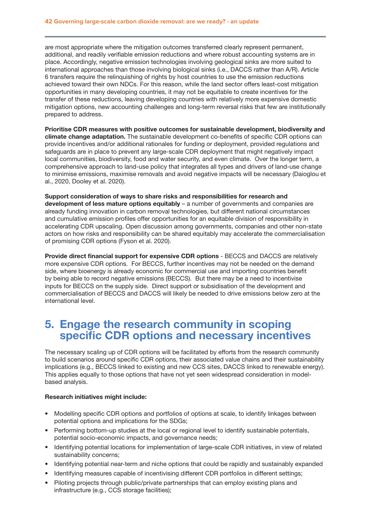are most appropriate where the mitigation outcomes transferred clearly represent permanent, additional, and readily verifiable emission reductions and where robust accounting systems are in place. Accordingly, negative emission technologies involving geological sinks are more suited to international approaches than those involving biological sinks (i.e., DACCS rather than A/R). Article 6 transfers require the relinquishing of rights by host countries to use the emission reductions achieved toward their own NDCs. For this reason, while the land sector offers least-cost mitigation opportunities in many developing countries, it may not be equitable to create incentives for the transfer of these reductions, leaving developing countries with relatively more expensive domestic mitigation options, new accounting challenges and long-term reversal risks that few are institutionally prepared to address.

Prioritise CDR measures with positive outcomes for sustainable development, biodiversity and climate change adaptation. The sustainable development co-benefits of specific CDR options can provide incentives and/or additional rationales for funding or deployment, provided regulations and safeguards are in place to prevent any large-scale CDR deployment that might negatively impact local communities, biodiversity, food and water security, and even climate. Over the longer term, a comprehensive approach to land-use policy that integrates all types and drivers of land-use change to minimise emissions, maximise removals and avoid negative impacts will be necessary (Daioglou et al., 2020, Dooley et al. 2020).

Support consideration of ways to share risks and responsibilities for research and development of less mature options equitably – a number of governments and companies are already funding innovation in carbon removal technologies, but different national circumstances and cumulative emission profiles offer opportunities for an equitable division of responsibility in accelerating CDR upscaling. Open discussion among governments, companies and other non-state actors on how risks and responsibility can be shared equitably may accelerate the commercialisation of promising CDR options (Fyson et al. 2020).

Provide direct financial support for expensive CDR options - BECCS and DACCS are relatively more expensive CDR options. For BECCS, further incentives may not be needed on the demand side, where bioenergy is already economic for commercial use and importing countries benefit by being able to record negative emissions (BECCS). But there may be a need to incentivise inputs for BECCS on the supply side. Direct support or subsidisation of the development and commercialisation of BECCS and DACCS will likely be needed to drive emissions below zero at the international level.

## 5. Engage the research community in scoping specific CDR options and necessary incentives

The necessary scaling up of CDR options will be facilitated by efforts from the research community to build scenarios around specific CDR options, their associated value chains and their sustainability implications (e.g., BECCS linked to existing and new CCS sites, DACCS linked to renewable energy). This applies equally to those options that have not yet seen widespread consideration in modelbased analysis.

### Research initiatives might include:

- Modelling specific CDR options and portfolios of options at scale, to identify linkages between potential options and implications for the SDGs;
- Performing bottom-up studies at the local or regional level to identify sustainable potentials, potential socio-economic impacts, and governance needs;
- Identifying potential locations for implementation of large-scale CDR initiatives, in view of related sustainability concerns;
- Identifying potential near-term and niche options that could be rapidly and sustainably expanded
- Identifying measures capable of incentivising different CDR portfolios in different settings;
- Piloting projects through public/private partnerships that can employ existing plans and infrastructure (e.g., CCS storage facilities);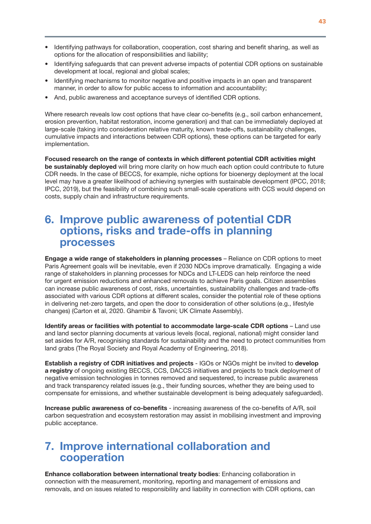- Identifying pathways for collaboration, cooperation, cost sharing and benefit sharing, as well as options for the allocation of responsibilities and liability;
- Identifying safeguards that can prevent adverse impacts of potential CDR options on sustainable development at local, regional and global scales;
- Identifying mechanisms to monitor negative and positive impacts in an open and transparent manner, in order to allow for public access to information and accountability;
- And, public awareness and acceptance surveys of identified CDR options.

Where research reveals low cost options that have clear co-benefits (e.g., soil carbon enhancement, erosion prevention, habitat restoration, income generation) and that can be immediately deployed at large-scale (taking into consideration relative maturity, known trade-offs, sustainability challenges, cumulative impacts and interactions between CDR options), these options can be targeted for early implementation.

Focused research on the range of contexts in which different potential CDR activities might be sustainably deployed will bring more clarity on how much each option could contribute to future CDR needs. In the case of BECCS, for example, niche options for bioenergy deployment at the local level may have a greater likelihood of achieving synergies with sustainable development (IPCC, 2018; IPCC, 2019), but the feasibility of combining such small-scale operations with CCS would depend on costs, supply chain and infrastructure requirements.

## 6. Improve public awareness of potential CDR options, risks and trade-offs in planning processes

Engage a wide range of stakeholders in planning processes – Reliance on CDR options to meet Paris Agreement goals will be inevitable, even if 2030 NDCs improve dramatically. Engaging a wide range of stakeholders in planning processes for NDCs and LT-LEDS can help reinforce the need for urgent emission reductions and enhanced removals to achieve Paris goals. Citizen assemblies can increase public awareness of cost, risks, uncertainties, sustainability challenges and trade-offs associated with various CDR options at different scales, consider the potential role of these options in delivering net-zero targets, and open the door to consideration of other solutions (e.g., lifestyle changes) (Carton et al, 2020. Ghambir & Tavoni; UK Climate Assembly).

Identify areas or facilities with potential to accommodate large-scale CDR options – Land use and land sector planning documents at various levels (local, regional, national) might consider land set asides for A/R, recognising standards for sustainability and the need to protect communities from land grabs (The Royal Society and Royal Academy of Engineering, 2018).

Establish a registry of CDR initiatives and projects - IGOs or NGOs might be invited to develop a registry of ongoing existing BECCS, CCS, DACCS initiatives and projects to track deployment of negative emission technologies in tonnes removed and sequestered, to increase public awareness and track transparency related issues (e.g., their funding sources, whether they are being used to compensate for emissions, and whether sustainable development is being adequately safeguarded).

Increase public awareness of co-benefits - increasing awareness of the co-benefits of A/R, soil carbon sequestration and ecosystem restoration may assist in mobilising investment and improving public acceptance.

## 7. Improve international collaboration and cooperation

Enhance collaboration between international treaty bodies: Enhancing collaboration in connection with the measurement, monitoring, reporting and management of emissions and removals, and on issues related to responsibility and liability in connection with CDR options, can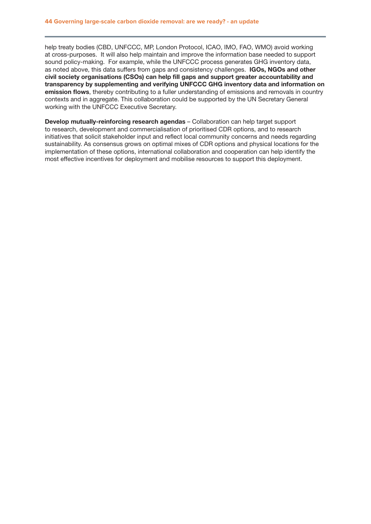help treaty bodies (CBD, UNFCCC, MP, London Protocol, ICAO, IMO, FAO, WMO) avoid working at cross-purposes. It will also help maintain and improve the information base needed to support sound policy-making. For example, while the UNFCCC process generates GHG inventory data, as noted above, this data suffers from gaps and consistency challenges. IGOs, NGOs and other civil society organisations (CSOs) can help fill gaps and support greater accountability and transparency by supplementing and verifying UNFCCC GHG inventory data and information on emission flows, thereby contributing to a fuller understanding of emissions and removals in country contexts and in aggregate. This collaboration could be supported by the UN Secretary General working with the UNFCCC Executive Secretary.

Develop mutually-reinforcing research agendas – Collaboration can help target support to research, development and commercialisation of prioritised CDR options, and to research initiatives that solicit stakeholder input and reflect local community concerns and needs regarding sustainability. As consensus grows on optimal mixes of CDR options and physical locations for the implementation of these options, international collaboration and cooperation can help identify the most effective incentives for deployment and mobilise resources to support this deployment.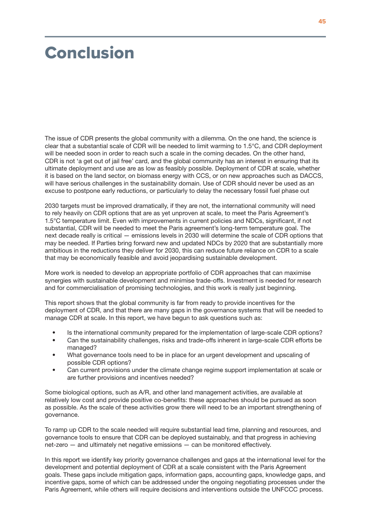# <span id="page-46-0"></span>Conclusion

The issue of CDR presents the global community with a dilemma. On the one hand, the science is clear that a substantial scale of CDR will be needed to limit warming to 1.5°C, and CDR deployment will be needed soon in order to reach such a scale in the coming decades. On the other hand, CDR is not 'a get out of jail free' card, and the global community has an interest in ensuring that its ultimate deployment and use are as low as feasibly possible. Deployment of CDR at scale, whether it is based on the land sector, on biomass energy with CCS, or on new approaches such as DACCS, will have serious challenges in the sustainability domain. Use of CDR should never be used as an excuse to postpone early reductions, or particularly to delay the necessary fossil fuel phase out

2030 targets must be improved dramatically, if they are not, the international community will need to rely heavily on CDR options that are as yet unproven at scale, to meet the Paris Agreement's 1.5°C temperature limit. Even with improvements in current policies and NDCs, significant, if not substantial, CDR will be needed to meet the Paris agreement's long-term temperature goal. The next decade really is critical — emissions levels in 2030 will determine the scale of CDR options that may be needed. If Parties bring forward new and updated NDCs by 2020 that are substantially more ambitious in the reductions they deliver for 2030, this can reduce future reliance on CDR to a scale that may be economically feasible and avoid jeopardising sustainable development.

More work is needed to develop an appropriate portfolio of CDR approaches that can maximise synergies with sustainable development and minimise trade-offs. Investment is needed for research and for commercialisation of promising technologies, and this work is really just beginning.

This report shows that the global community is far from ready to provide incentives for the deployment of CDR, and that there are many gaps in the governance systems that will be needed to manage CDR at scale. In this report, we have begun to ask questions such as:

- Is the international community prepared for the implementation of large-scale CDR options?
- Can the sustainability challenges, risks and trade-offs inherent in large-scale CDR efforts be managed?
- What governance tools need to be in place for an urgent development and upscaling of possible CDR options?
- Can current provisions under the climate change regime support implementation at scale or are further provisions and incentives needed?

Some biological options, such as A/R, and other land management activities, are available at relatively low cost and provide positive co-benefits: these approaches should be pursued as soon as possible. As the scale of these activities grow there will need to be an important strengthening of governance.

To ramp up CDR to the scale needed will require substantial lead time, planning and resources, and governance tools to ensure that CDR can be deployed sustainably, and that progress in achieving net-zero — and ultimately net negative emissions — can be monitored effectively.

In this report we identify key priority governance challenges and gaps at the international level for the development and potential deployment of CDR at a scale consistent with the Paris Agreement goals. These gaps include mitigation gaps, information gaps, accounting gaps, knowledge gaps, and incentive gaps, some of which can be addressed under the ongoing negotiating processes under the Paris Agreement, while others will require decisions and interventions outside the UNFCCC process.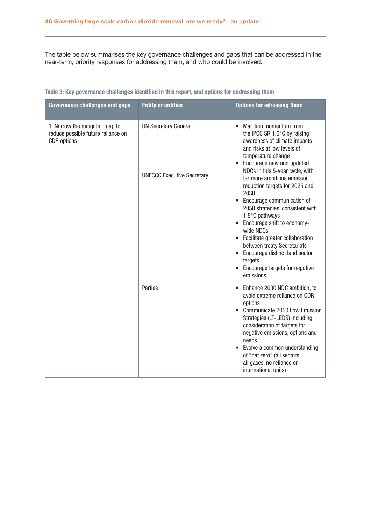The table below summarises the key governance challenges and gaps that can be addressed in the near-term, priority responses for addressing them, and who could be involved.

| <b>Governance challenges and gaps</b>                                                       | <b>Entity or entities</b>         | <b>Options for adressing them</b>                                                                                                                                                                                                                                                                                                                                                                                 |
|---------------------------------------------------------------------------------------------|-----------------------------------|-------------------------------------------------------------------------------------------------------------------------------------------------------------------------------------------------------------------------------------------------------------------------------------------------------------------------------------------------------------------------------------------------------------------|
| 1. Narrow the mitigation gap to<br>reduce possible future reliance on<br><b>CDR</b> options | <b>UN Secretary General</b>       | Maintain momentum from<br>the IPCC SR 1.5°C by raising<br>awareness of climate impacts<br>and risks at low levels of<br>temperature change<br>Encourage new and updated                                                                                                                                                                                                                                           |
|                                                                                             | <b>UNFCCC Executive Secretary</b> | NDCs in this 5-year cycle, with<br>far more ambitious emission<br>reduction targets for 2025 and<br>2030<br>• Encourage communication of<br>2050 strategies, consistent with<br>1.5°C pathways<br>• Encourage shift to economy-<br>wide NDCs<br>• Facilitate greater collaboration<br>between treaty Secretariats<br>• Encourage distinct land sector<br>targets<br>• Encourage targets for negative<br>emissions |
|                                                                                             | Parties                           | Enhance 2030 NDC ambition, to<br>avoid extreme reliance on CDR<br>options<br>Communicate 2050 Low Emission<br>Strategies (LT-LEDS) including<br>consideration of targets for<br>negative emissions, options and<br>needs<br>Evolve a common understanding<br>of "net zero" (all sectors,<br>all gases, no reliance on<br>international units)                                                                     |

### Table 3: Key governance challenges identified in this report, and options for addressing them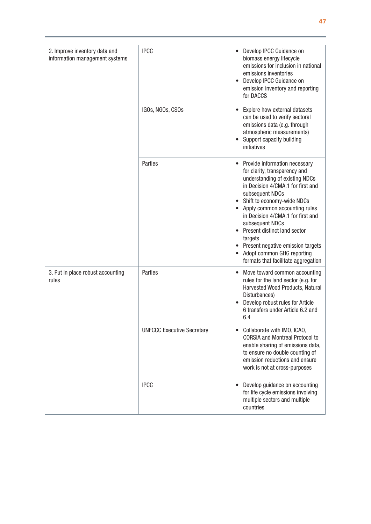| 2. Improve inventory data and<br>information management systems | <b>IPCC</b><br>IGOs, NGOs, CSOs   | Develop IPCC Guidance on<br>biomass energy lifecycle<br>emissions for inclusion in national<br>emissions inventories<br>Develop IPCC Guidance on<br>emission inventory and reporting<br>for DACCS<br>Explore how external datasets<br>can be used to verify sectoral                                                                                                                                                                   |
|-----------------------------------------------------------------|-----------------------------------|----------------------------------------------------------------------------------------------------------------------------------------------------------------------------------------------------------------------------------------------------------------------------------------------------------------------------------------------------------------------------------------------------------------------------------------|
|                                                                 |                                   | emissions data (e.g. through<br>atmospheric measurements)<br>Support capacity building<br>initiatives                                                                                                                                                                                                                                                                                                                                  |
|                                                                 | Parties                           | Provide information necessary<br>for clarity, transparency and<br>understanding of existing NDCs<br>in Decision 4/CMA.1 for first and<br>subsequent NDCs<br>Shift to economy-wide NDCs<br>Apply common accounting rules<br>in Decision 4/CMA.1 for first and<br>subsequent NDCs<br>Present distinct land sector<br>targets<br>• Present negative emission targets<br>Adopt common GHG reporting<br>formats that facilitate aggregation |
| 3. Put in place robust accounting<br>rules                      | Parties                           | Move toward common accounting<br>rules for the land sector (e.g. for<br>Harvested Wood Products, Natural<br>Disturbances)<br>Develop robust rules for Article<br>6 transfers under Article 6.2 and<br>6.4                                                                                                                                                                                                                              |
|                                                                 | <b>UNFCCC Executive Secretary</b> | Collaborate with IMO, ICAO,<br><b>CORSIA and Montreal Protocol to</b><br>enable sharing of emissions data,<br>to ensure no double counting of<br>emission reductions and ensure<br>work is not at cross-purposes                                                                                                                                                                                                                       |
|                                                                 | <b>IPCC</b>                       | Develop guidance on accounting<br>for life cycle emissions involving<br>multiple sectors and multiple<br>countries                                                                                                                                                                                                                                                                                                                     |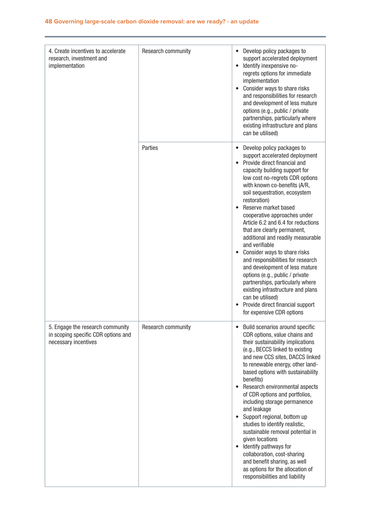| 4. Create incentives to accelerate<br>research, investment and<br>implementation                | Research community | Develop policy packages to<br>$\bullet$<br>support accelerated deployment<br>Identify inexpensive no-<br>$\bullet$<br>regrets options for immediate<br>implementation<br>Consider ways to share risks<br>and responsibilities for research<br>and development of less mature<br>options (e.g., public / private<br>partnerships, particularly where<br>existing infrastructure and plans<br>can be utilised)                                                                                                                                                                                                                                                                                                                                                            |
|-------------------------------------------------------------------------------------------------|--------------------|-------------------------------------------------------------------------------------------------------------------------------------------------------------------------------------------------------------------------------------------------------------------------------------------------------------------------------------------------------------------------------------------------------------------------------------------------------------------------------------------------------------------------------------------------------------------------------------------------------------------------------------------------------------------------------------------------------------------------------------------------------------------------|
|                                                                                                 | Parties            | Develop policy packages to<br>$\bullet$<br>support accelerated deployment<br>Provide direct financial and<br>capacity building support for<br>low cost no-regrets CDR options<br>with known co-benefits (A/R,<br>soil sequestration, ecosystem<br>restoration)<br>Reserve market based<br>cooperative approaches under<br>Article 6.2 and 6.4 for reductions<br>that are clearly permanent,<br>additional and readily measurable<br>and verifiable<br>Consider ways to share risks<br>$\bullet$<br>and responsibilities for research<br>and development of less mature<br>options (e.g., public / private<br>partnerships, particularly where<br>existing infrastructure and plans<br>can be utilised)<br>Provide direct financial support<br>for expensive CDR options |
| 5. Engage the research community<br>in scoping specific CDR options and<br>necessary incentives | Research community | Build scenarios around specific<br>$\bullet$<br>CDR options, value chains and<br>their sustainability implications<br>(e.g., BECCS linked to existing<br>and new CCS sites, DACCS linked<br>to renewable energy, other land-<br>based options with sustainability<br>benefits)<br>Research environmental aspects<br>$\bullet$<br>of CDR options and portfolios,<br>including storage permanence<br>and leakage<br>Support regional, bottom up<br>$\bullet$<br>studies to identify realistic,<br>sustainable removal potential in<br>given locations<br>Identify pathways for<br>$\bullet$<br>collaboration, cost-sharing<br>and benefit sharing, as well<br>as options for the allocation of<br>responsibilities and liability                                          |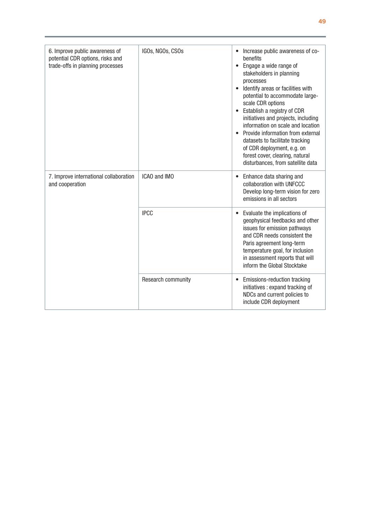| 6. Improve public awareness of<br>potential CDR options, risks and<br>trade-offs in planning processes | IGOs, NGOs, CSOs   | Increase public awareness of co-<br>benefits<br>• Engage a wide range of<br>stakeholders in planning<br>processes<br>Identify areas or facilities with<br>potential to accommodate large-<br>scale CDR options<br>Establish a registry of CDR<br>initiatives and projects, including<br>information on scale and location<br>Provide information from external<br>datasets to facilitate tracking<br>of CDR deployment, e.g. on<br>forest cover, clearing, natural<br>disturbances, from satellite data |
|--------------------------------------------------------------------------------------------------------|--------------------|---------------------------------------------------------------------------------------------------------------------------------------------------------------------------------------------------------------------------------------------------------------------------------------------------------------------------------------------------------------------------------------------------------------------------------------------------------------------------------------------------------|
| 7. Improve international collaboration<br>and cooperation                                              | ICAO and IMO       | Enhance data sharing and<br>collaboration with UNFCCC<br>Develop long-term vision for zero<br>emissions in all sectors                                                                                                                                                                                                                                                                                                                                                                                  |
|                                                                                                        | <b>IPCC</b>        | Evaluate the implications of<br>geophysical feedbacks and other<br>issues for emission pathways<br>and CDR needs consistent the<br>Paris agreement long-term<br>temperature goal, for inclusion<br>in assessment reports that will<br>inform the Global Stocktake                                                                                                                                                                                                                                       |
|                                                                                                        | Research community | Emissions-reduction tracking<br>initiatives: expand tracking of<br>NDCs and current policies to<br>include CDR deployment                                                                                                                                                                                                                                                                                                                                                                               |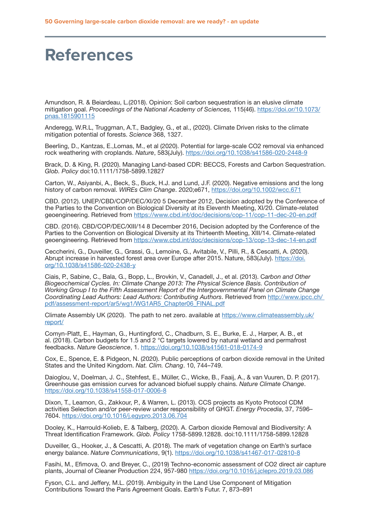# **References**

Amundson, R. & Beiardeau, L.(2018). Opinion: Soil carbon sequestration is an elusive climate mitigation goal. *Proceedings of the National Academy of Sciences,* 115(46). [https://doi.or/10.1073/](https://doi.or/10.1073/pnas.1815901115 ) [pnas.1815901115](https://doi.or/10.1073/pnas.1815901115 )

Anderegg, W.R.L, Truggman, A.T., Badgley, G., et al., (2020). Climate Driven risks to the climate mitigation potential of forests. *Science* 368, 1327.

Beerling, D., Kantzas, E.,Lomas, M., et al (2020). Potential for large-scale CO2 removal via enhanced rock weathering with croplands. *Nature*, 583(July). [https://doi.org/10.1038/s41586-020-2448-9](https://doi.org/10.1038/s41586-020-2448-9 )

Brack, D. & King, R. (2020). Managing Land-based CDR: BECCS, Forests and Carbon Sequestration. *Glob. Policy* doi:10.1111/1758-5899.12827

Carton, W., Asiyanbi, A., Beck, S., Buck, H.J. and Lund, J.F. (2020). Negative emissions and the long history of carbon removal. *WIREs Clim Change*. 2020;e671, [https://doi.org/10.1002/wcc.671](https://doi.org/10.1002/wcc.671 )

CBD. (2012). UNEP/CBD/COP/DEC/XI/20 5 December 2012, Decision adopted by the Conference of the Parties to the Convention on Biological Diversity at its Eleventh Meeting, XI/20. Climate-related geoengineering. Retrieved from <https://www.cbd.int/doc/decisions/cop-11/cop-11-dec-20-en.pdf>

CBD. (2016). CBD/COP/DEC/XIII/14 8 December 2016, Decision adopted by the Conference of the Parties to the Convention on Biological Diversity at its Thirteenth Meeting, XIII/14. Climate-related geoengineering. Retrieved from [https://www.cbd.int/doc/decisions/cop-13/cop-13-dec-14-en.pdf](https://www.cbd.int/doc/decisions/cop-13/cop-13-dec-14-en.pdf )

Ceccherini, G., Duveiller, G., Grassi, G., Lemoine, G., Avitabile, V., Pilli, R., & Cescatti, A. (2020). Abrupt increase in harvested forest area over Europe after 2015. Nature, 583(July). [https://doi.](https://doi.org/10.1038/s41586-020-2438-y ) [org/10.1038/s41586-020-2438-y](https://doi.org/10.1038/s41586-020-2438-y )

Ciais, P., Sabine, C., Bala, G., Bopp, L., Brovkin, V., Canadell, J., et al. (2013). C*arbon and Other Biogeochemical Cycles. In: Climate Change 2013: The Physical Science Basis. Contribution of Working Group I to the Fifth Assessment Report of the Intergovernmental Panel on Climate Change Coordinating Lead Authors: Lead Authors: Contributing Authors*. Retrieved from [http://www.ipcc.ch/](http://www.ipcc.ch/ pdf/assessment-report/ar5/wg1/WG1AR5_Chapter06_FINAL.pdf )  [pdf/assessment-report/ar5/wg1/WG1AR5\\_Chapter06\\_FINAL.pdf](http://www.ipcc.ch/ pdf/assessment-report/ar5/wg1/WG1AR5_Chapter06_FINAL.pdf )

Climate Assembly UK (2020). The path to net zero. available at [https://www.climateassembly.uk/](https://www.climateassembly.uk/report/ ) [report/](https://www.climateassembly.uk/report/ )

Comyn-Platt, E., Hayman, G., Huntingford, C., Chadburn, S. E., Burke, E. J., Harper, A. B., et al. (2018). Carbon budgets for 1.5 and 2 °C targets lowered by natural wetland and permafrost feedbacks. *Nature Geoscience*, 1. [https://doi.org/10.1038/s41561-018-0174-9](https://doi.org/10.1038/s41561-018-0174-9 )

Cox, E., Spence, E. & Pidgeon, N. (2020). Public perceptions of carbon dioxide removal in the United States and the United Kingdom. *Nat. Clim. Chang*. 10, 744–749.

Daioglou, V., Doelman, J. C., Stehfest, E., Müller, C., Wicke, B., Faaij, A., & van Vuuren, D. P. (2017). Greenhouse gas emission curves for advanced biofuel supply chains. *Nature Climate Change*. [https://doi.org/10.1038/s41558-017-0006-8](https://doi.org/10.1038/s41558-017-0006-8 )

Dixon, T., Leamon, G., Zakkour, P., & Warren, L. (2013). CCS projects as Kyoto Protocol CDM activities Selection and/or peer-review under responsibility of GHGT. *Energy Procedia*, 37, 7596– 7604. <https://doi.org/10.1016/j.egypro.2013.06.704>

Dooley, K., Harrould-Kolieb, E. & Talberg, (2020). A. Carbon dioxide Removal and Biodiversity: A Threat Identification Framework. *Glob. Policy* 1758-5899.12828. doi:10.1111/1758-5899.12828

Duveiller, G., Hooker, J., & Cescatti, A. (2018). The mark of vegetation change on Earth's surface energy balance. *Nature Communications*, 9(1). [https://doi.org/10.1038/s41467-017-02810-8](https://doi.org/10.1038/s41467-017-02810-8 )

Fasihi, M., Efimova, O. and Breyer, C., (2019) Techno-economic assessment of CO2 direct air capture plants, Journal of Cleaner Production 224, 957-980 [https://doi.org/10.1016/j.jclepro.2019.03.086](https://doi.org/10.1016/j.jclepro.2019.03.086 )

Fyson, C.L. and Jeffery, M.L. (2019). Ambiguity in the Land Use Component of Mitigation Contributions Toward the Paris Agreement Goals. Earth's Futur. 7, 873–891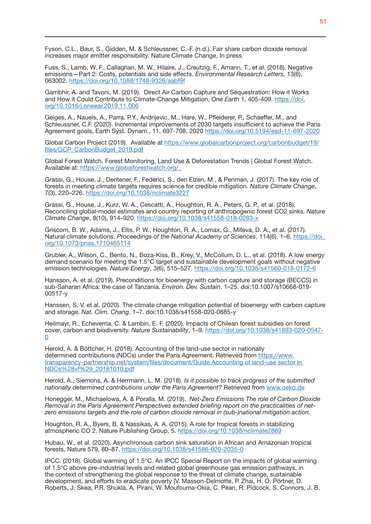Fyson, C.L., Baur, S., Gidden, M. & Schleussner, C.-F. (n.d.). Fair share carbon dioxide removal increases major emitter responsibility. Nature Climate Change, In press.

Fuss, S., Lamb, W. F., Callaghan, M. W., Hilaire, J., Creutzig, F., Amann, T., et al. (2018). Negative emissions—Part 2: Costs, potentials and side effects. *Environmental Research Letters,* 13(6), 063002. [https://doi.org/10.1088/1748-9326/aabf9f](https://doi.org/10.1088/1748-9326/aabf9f )

Gambhir, A. and Tavoni, M. (2019). Direct Air Carbon Capture and Sequestration: How it Works and How it Could Contribute to Climate-Change Mitigation, *One Earth* 1, 405-409. [https://doi.](https://doi.org/10.1016/j.oneear.2019.11.006 ) [org/10.1016/j.oneear.2019.11.006](https://doi.org/10.1016/j.oneear.2019.11.006 )

Geiges, A., Nauels, A., Parra, P.Y., Andrijevic, M., Hare, W., Pfleiderer, P., Schaeffer, M., and Schleussner, C.F. (2020). Incremental improvements of 2030 targets insufficient to achieve the Paris Agreement goals, Earth Syst. Dynam., 11, 697-708, 2020 [https://doi.org/10.5194/esd-11-697-2020](https://doi.org/10.5194/esd-11-697-2020 )

Global Carbon Project (2019). Available at [https://www.globalcarbonproject.org/carbonbudget/19/](https://www.globalcarbonproject.org/carbonbudget/19/files/GCP_CarbonBudget_2019.pdf ) [files/GCP\\_CarbonBudget\\_2019.pdf](https://www.globalcarbonproject.org/carbonbudget/19/files/GCP_CarbonBudget_2019.pdf )

Global Forest Watch. Forest Monitoring, Land Use & Deforestation Trends | Global Forest Watch. Available at: [https://www.globalforestwatch.org/.](https://www.globalforestwatch.org/.  ) 

Grassi, G., House, J., Dentener, F., Federici, S., den Elzen, M., & Penman, J. (2017). The key role of forests in meeting climate targets requires science for credible mitigation. *Nature Climate Change*, 7(3), 220–226. [https://doi.org/10.1038/nclimate3227](https://doi.org/10.1038/nclimate3227 )

Grassi, G., House, J., Kurz, W. A., Cescatti, A., Houghton, R. A., Peters, G. P., et al. (2018). Reconciling global-model estimates and country reporting of anthropogenic forest CO2 sinks. *Nature Climate Change*, 8(10), 914–920. [https://doi.org/10.1038/s41558-018-0283-x](https://doi.org/10.1038/s41558-018-0283-x )

Griscom, B. W., Adams, J., Ellis, P. W., Houghton, R. A., Lomax, G., Miteva, D. A., et al. (2017). Natural climate solutions. *Proceedings of the National Academy of Sciences*, 114(6), 1–6. [https://doi.](https://doi. org/10.1073/pnas.1710465114 )  [org/10.1073/pnas.1710465114](https://doi. org/10.1073/pnas.1710465114 )

Grubler, A., Wilson, C., Bento, N., Boza-Kiss, B., Krey, V., McCollum, D. L., et al. (2018). A low energy demand scenario for meeting the 1.5°C target and sustainable development goals without negative emission technologies. *Nature Energy*, 3(6), 515–527. [https://doi.org/10.1038/s41560-018-0172-6](https://doi.org/10.1038/s41560-018-0172-6 )

Hansson, A. et al. (2019). Preconditions for bioenergy with carbon capture and storage (BECCS) in sub-Saharan Africa: the case of Tanzania. *Environ. Dev. Sustain*. 1–25. doi:10.1007/s10668-019- 00517-y

Hanssen, S. V. et al. (2020). The climate change mitigation potential of bioenergy with carbon capture and storage. *Nat. Clim. Chang*. 1–7. doi:10.1038/s41558-020-0885-y

Heilmayr, R., Echeverría, C. & Lambin, E. F. (2020). Impacts of Chilean forest subsidies on forest cover, carbon and biodiversity. *Nature Sustainability*, 1–9. [https://doi.org/10.1038/s41893-020-0547-](https://doi.org/10.1038/s41893-020-0547-0 ) [0](https://doi.org/10.1038/s41893-020-0547-0 )

Herold, A. & Böttcher, H. (2018). Accounting of the land-use sector in nationally determined contributions (NDCs) under the Paris Agreement. Retrieved from [https://www.](https://www.transparency-partnership.net/system/files/document/Guide Accounting of land-use sector in NDCs%28vf%29_20181010.pdf ) [transparency-partnership.net/system/files/document/Guide Accounting of land-use sector in](https://www.transparency-partnership.net/system/files/document/Guide Accounting of land-use sector in NDCs%28vf%29_20181010.pdf )  [NDCs%28vf%29\\_20181010.pdf](https://www.transparency-partnership.net/system/files/document/Guide Accounting of land-use sector in NDCs%28vf%29_20181010.pdf )

Herold, A., Siemons, A. & Herrmann, L. M. (2018). *Is it possible to track progress of the submitted nationally determined contributions under the Paris Agreement?* Retrieved from [www.oeko.de](http://www.oeko.de)

Honegger, M., Michaelowa, A. & Poralla, M. (2019). *Net-Zero Emissions The role of Carbon Dioxide Removal in the Paris Agreement Perspectives extended briefing report on the practicalities of netzero emissions targets and the role of carbon dioxide removal in (sub-)national mitigation action.* 

Houghton, R. A., Byers, B. & Nassikas, A. A. (2015). A role for tropical forests in stabilizing atmospheric CO 2. Nature Publishing Group, 5. [https://doi.org/10.1038/nclimate2869](https://doi.org/10.1038/nclimate2869 )

Hubau, W., et al. (2020). Asynchronous carbon sink saturation in African and Amazonian tropical forests, Nature 579, 80–87. [https://doi.org/10.1038/s41586-020-2035-0](https://doi.org/10.1038/s41586-020-2035-0 )

IPCC. (2018). Global warming of 1.5°C. An IPCC Special Report on the impacts of global warming of 1.5°C above pre-industrial levels and related global greenhouse gas emission pathways, in the context of strengthening the global response to the threat of climate change, sustainable development, and efforts to eradicate poverty [V. Masson-Delmotte, P. Zhai, H. O. Pörtner, D. Roberts, J. Skea, P.R. Shukla, A. Pirani, W. Moufouma-Okia, C. Péan, R. Pidcock, S. Connors, J. B.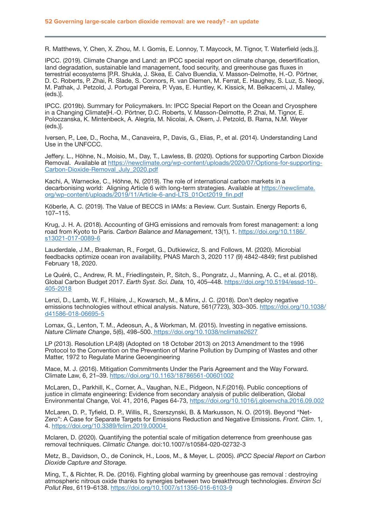R. Matthews, Y. Chen, X. Zhou, M. I. Gomis, E. Lonnoy, T. Maycock, M. Tignor, T. Waterfield (eds.)].

IPCC. (2019). Climate Change and Land: an IPCC special report on climate change, desertification, land degradation, sustainable land management, food security, and greenhouse gas fluxes in terrestrial ecosystems [P.R. Shukla, J. Skea, E. Calvo Buendia, V. Masson-Delmotte, H.-O. Pörtner, D. C. Roberts, P. Zhai, R. Slade, S. Connors, R. van Diemen, M. Ferrat, E. Haughey, S. Luz, S. Neogi, M. Pathak, J. Petzold, J. Portugal Pereira, P. Vyas, E. Huntley, K. Kissick, M. Belkacemi, J. Malley, (eds.)].

IPCC. (2019b). Summary for Policymakers. In: IPCC Special Report on the Ocean and Cryosphere in a Changing Climate[H.-O. Pörtner, D.C. Roberts, V. Masson-Delmotte, P. Zhai, M. Tignor, E. Poloczanska, K. Mintenbeck, A. Alegría, M. Nicolai, A. Okem, J. Petzold, B. Rama, N.M. Weyer (eds.)].

Iversen, P., Lee, D., Rocha, M., Canaveira, P., Davis, G., Elias, P., et al. (2014). Understanding Land Use in the UNFCCC.

Jeffery. L., Höhne, N., Moisio, M., Day, T., Lawless, B. (2020). Options for supporting Carbon Dioxide Removal. Available at [https://newclimate.org/wp-content/uploads/2020/07/Options-for-supporting-](https://newclimate.org/wp-content/uploads/2020/07/Options-for-supporting-Carbon-Dioxide-Removal_July_2020.pdf )Carbon-Dioxide-Removal July 2020.pdf

Kachi, A, Warnecke, C., Höhne, N. (2019). The role of international carbon markets in a decarbonising world: Aligning Article 6 with long-term strategies. Available at [https://newclimate.](https://newclimate.org/wp-content/uploads/2019/11/Article-6-and-LTS_01Oct2019_fin.pdf ) [org/wp-content/uploads/2019/11/Article-6-and-LTS\\_01Oct2019\\_fin.pdf](https://newclimate.org/wp-content/uploads/2019/11/Article-6-and-LTS_01Oct2019_fin.pdf )

Köberle, A. C. (2019). The Value of BECCS in IAMs: a Review. Curr. Sustain. Energy Reports 6, 107–115.

Krug, J. H. A. (2018). Accounting of GHG emissions and removals from forest management: a long road from Kyoto to Paris. *Carbon Balance and Management*, 13(1), 1. [https://doi.org/10.1186/](https://doi.org/10.1186/ s13021-017-0089-6 )  [s13021-017-0089-6](https://doi.org/10.1186/ s13021-017-0089-6 )

Lauderdale, J.M., Braakman, R., Forget, G., Dutkiewicz, S. and Follows, M. (2020). Microbial feedbacks optimize ocean iron availability, PNAS March 3, 2020 117 (9) 4842-4849; first published February 18, 2020.

Le Quéré, C., Andrew, R. M., Friedlingstein, P., Sitch, S., Pongratz, J., Manning, A. C., et al. (2018). Global Carbon Budget 2017. *Earth Syst. Sci. Data,* 10, 405–448. [https://doi.org/10.5194/essd-10-](https://doi.org/10.5194/essd-10- 405-2018 )  [405-2018](https://doi.org/10.5194/essd-10- 405-2018 )

Lenzi, D., Lamb, W. F., Hilaire, J., Kowarsch, M., & Minx, J. C. (2018). Don't deploy negative emissions technologies without ethical analysis. Nature, 561(7723), 303–305. [https://doi.org/10.1038/](https://doi.org/10.1038/ d41586-018-06695-5 ) [d41586-018-06695-5](https://doi.org/10.1038/ d41586-018-06695-5 )

Lomax, G., Lenton, T. M., Adeosun, A., & Workman, M. (2015). Investing in negative emissions. *Nature Climate Change*, 5(6), 498–500. [https://doi.org/10.1038/nclimate2627]( https://doi.org/10.1038/nclimate2627 )

LP (2013). Resolution LP.4(8) (Adopted on 18 October 2013) on 2013 Amendment to the 1996 Protocol to the Convention on the Prevention of Marine Pollution by Dumping of Wastes and other Matter, 1972 to Regulate Marine Geoengineering

Mace, M. J. (2016). Mitigation Commitments Under the Paris Agreement and the Way Forward. Climate Law, 6, 21–39. [https://doi.org/10.1163/18786561-00601002](https://doi.org/10.1163/18786561-00601002 )

McLaren, D., Parkhill, K., Corner, A., Vaughan, N.E., Pidgeon, N.F.(2016). Public conceptions of justice in climate engineering: Evidence from secondary analysis of public deliberation, Global Environmental Change, Vol. 41, 2016, Pages 64-73, [https://doi.org/10.1016/j.gloenvcha.2016.09.002](https://doi.org/10.1016/j.gloenvcha.2016.09.002 )

McLaren, D. P., Tyfield, D. P., Willis, R., Szerszynski, B. & Markusson, N. O. (2019). Beyond "Net-Zero": A Case for Separate Targets for Emissions Reduction and Negative Emissions. *Front. Clim*. 1, 4. [https://doi.org/10.3389/fclim.2019.00004](https://doi.org/10.3389/fclim.2019.00004  ) 

Mclaren, D. (2020). Quantifying the potential scale of mitigation deterrence from greenhouse gas removal techniques. *Climatic Change.* doi:10.1007/s10584-020-02732-3

Metz, B., Davidson, O., de Coninck, H., Loos, M., & Meyer, L. (2005). *IPCC Special Report on Carbon Dioxide Capture and Storage.*

Ming, T., & Richter, R. De. (2016). Fighting global warming by greenhouse gas removal : destroying atmospheric nitrous oxide thanks to synergies between two breakthrough technologies. *Environ Sci Pollut Res*, 6119–6138. [https://doi.org/10.1007/s11356-016-6103-9](https://doi.org/10.1007/s11356-016-6103-9 )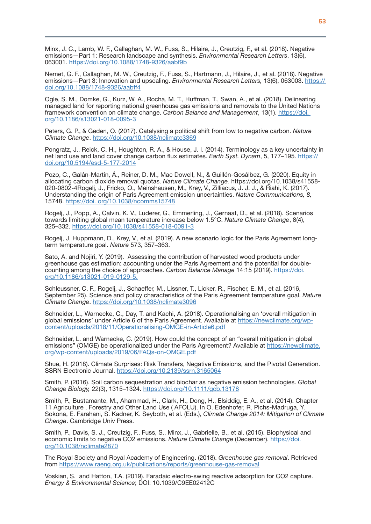Minx, J. C., Lamb, W. F., Callaghan, M. W., Fuss, S., Hilaire, J., Creutzig, F., et al. (2018). Negative emissions—Part 1: Research landscape and synthesis. *Environmental Research Letters*, 13(6), 063001. [https://doi.org/10.1088/1748-9326/aabf9b](https://doi.org/10.1088/1748-9326/aabf9b )

Nemet, G. F., Callaghan, M. W., Creutzig, F., Fuss, S., Hartmann, J., Hilaire, J., et al. (2018). Negative emissions—Part 3: Innovation and upscaling. *Environmental Research Letters,* 13(6), 063003. [https://](https:// doi.org/10.1088/1748-9326/aabff4 )  [doi.org/10.1088/1748-9326/aabff4](https:// doi.org/10.1088/1748-9326/aabff4 )

Ogle, S. M., Domke, G., Kurz, W. A., Rocha, M. T., Huffman, T., Swan, A., et al. (2018). Delineating managed land for reporting national greenhouse gas emissions and removals to the United Nations framework convention on climate change. *Carbon Balance and Management*, 13(1). [https://doi.](https://doi. org/10.1186/s13021-018-0095-3 )  [org/10.1186/s13021-018-0095-3](https://doi. org/10.1186/s13021-018-0095-3 )

Peters, G. P., & Geden, O. (2017). Catalysing a political shift from low to negative carbon. *Nature Climate Change*. [https://doi.org/10.1038/nclimate3369](https://doi.org/10.1038/nclimate3369 )

Pongratz, J., Reick, C. H., Houghton, R. A., & House, J. I. (2014). Terminology as a key uncertainty in net land use and land cover change carbon flux estimates. *Earth Syst. Dynam*, 5, 177–195. [https://](https:// doi.org/10.5194/esd-5-177-2014 )  [doi.org/10.5194/esd-5-177-2014](https:// doi.org/10.5194/esd-5-177-2014 )

Pozo, C., Galán-Martín, Á., Reiner, D. M., Mac Dowell, N., & Guillén-Gosálbez, G. (2020). Equity in allocating carbon dioxide removal quotas. *Nature Climate Change.* https://doi.org/10.1038/s41558- 020-0802-4Rogelj, J., Fricko, O., Meinshausen, M., Krey, V., Zilliacus, J. J. J., & Riahi, K. (2017). Understanding the origin of Paris Agreement emission uncertainties. *Nature Communications, 8,* 15748.<https://doi. org/10.1038/ncomms15748>

Rogelj, J., Popp, A., Calvin, K. V., Luderer, G., Emmerling, J., Gernaat, D., et al. (2018). Scenarios towards limiting global mean temperature increase below 1.5°C. *Nature Climate Change*, 8(4), 325–332. [https://doi.org/10.1038/s41558-018-0091-3](https://doi.org/10.1038/s41558-018-0091-3 )

Rogelj, J, Huppmann, D., Krey, V., et al. (2019). A new scenario logic for the Paris Agreement longterm temperature goal. *Nature* 573, 357–363.

Sato, A. and Nojiri, Y. (2019). Assessing the contribution of harvested wood products under greenhouse gas estimation: accounting under the Paris Agreement and the potential for doublecounting among the choice of approaches. *Carbon Balance Manage* 14:15 (2019). [https://doi.](https://doi.org/10.1186/s13021-019-0129-5. ) [org/10.1186/s13021-019-0129-5.](https://doi.org/10.1186/s13021-019-0129-5. )

Schleussner, C. F., Rogelj, J., Schaeffer, M., Lissner, T., Licker, R., Fischer, E. M., et al. (2016, September 25). Science and policy characteristics of the Paris Agreement temperature goal. *Nature Climate Change*. [https://doi.org/10.1038/nclimate3096](https://doi.org/10.1038/nclimate3096 )

Schneider, L., Warnecke, C., Day, T. and Kachi, A. (2018). Operationalising an 'overall mitigation in global emissions' under Article 6 of the Paris Agreement. Available at [https://newclimate.org/wp](https://newclimate.org/wp-content/uploads/2018/11/Operationalising-OMGE-in-Article6.pdf )[content/uploads/2018/11/Operationalising-OMGE-in-Article6.pdf](https://newclimate.org/wp-content/uploads/2018/11/Operationalising-OMGE-in-Article6.pdf )

Schneider, L. and Warnecke, C. (2019). How could the concept of an "overall mitigation in global emissions" (OMGE) be operationalized under the Paris Agreement? Available at [https://newclimate.](https://newclimate.org/wp-content/uploads/2019/06/FAQs-on-OMGE.pdf ) [org/wp-content/uploads/2019/06/FAQs-on-OMGE.pdf](https://newclimate.org/wp-content/uploads/2019/06/FAQs-on-OMGE.pdf )

Shue, H. (2018). Climate Surprises: Risk Transfers, Negative Emissions, and the Pivotal Generation. SSRN Electronic Journal. <https://doi.org/10.2139/ssrn.3165064>

Smith, P. (2016). Soil carbon sequestration and biochar as negative emission technologies. *Global Change Biology,* 22(3), 1315–1324. [https://doi.org/10.1111/gcb.13178](https://doi.org/10.1111/gcb.13178 )

Smith, P., Bustamante, M., Ahammad, H., Clark, H., Dong, H., Elsiddig, E. A., et al. (2014). Chapter 11 Agriculture , Forestry and Other Land Use ( AFOLU). In O. Edenhofer, R. Pichs-Madruga, Y. Sokona, E. Farahani, S. Kadner, K. Seyboth, et al. (Eds.), *Climate Change 2014: Mitigation of Climate Change*. Cambridge Univ Press.

Smith, P., Davis, S. J., Creutzig, F., Fuss, S., Minx, J., Gabrielle, B., et al. (2015). Biophysical and economic limits to negative CO2 emissions. *Nature Climate Change* (December). [https://doi.](https://doi. org/10.1038/nclimate2870 )  [org/10.1038/nclimate2870](https://doi. org/10.1038/nclimate2870 )

The Royal Society and Royal Academy of Engineering. (2018). *Greenhouse gas removal*. Retrieved from [https://www.raeng.org.uk/publications/reports/greenhouse-gas-removal](https://www.raeng.org.uk/publications/reports/greenhouse-gas-removal )

Voskian, S. and Hatton, T.A. (2019). Faradaic electro-swing reactive adsorption for CO2 capture. *Energy & Environmental Science*; DOI: 10.1039/C9EE02412C